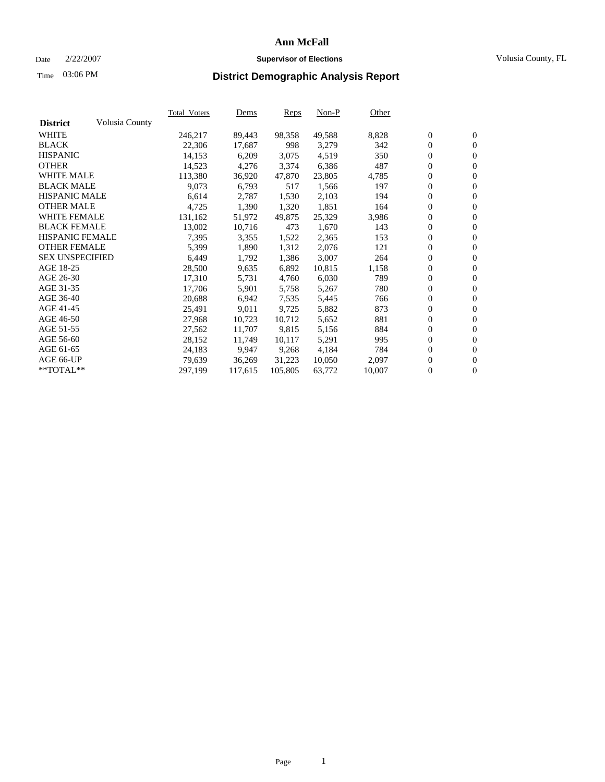### Date 2/22/2007 **Supervisor of Elections** Volusia County, FL

# Time **District Demographic Analysis Report** 03:06 PM

|                        |                | Total Voters | Dems    | <b>Reps</b> | $Non-P$ | Other  |                  |                  |  |
|------------------------|----------------|--------------|---------|-------------|---------|--------|------------------|------------------|--|
| <b>District</b>        | Volusia County |              |         |             |         |        |                  |                  |  |
| <b>WHITE</b>           |                | 246,217      | 89,443  | 98,358      | 49,588  | 8,828  | $\boldsymbol{0}$ | $\mathbf{0}$     |  |
| <b>BLACK</b>           |                | 22,306       | 17,687  | 998         | 3,279   | 342    | $\mathbf{0}$     | $\mathbf{0}$     |  |
| <b>HISPANIC</b>        |                | 14,153       | 6,209   | 3,075       | 4,519   | 350    | $\overline{0}$   | $\mathbf{0}$     |  |
| <b>OTHER</b>           |                | 14,523       | 4,276   | 3,374       | 6,386   | 487    | $\boldsymbol{0}$ | $\boldsymbol{0}$ |  |
| <b>WHITE MALE</b>      |                | 113,380      | 36,920  | 47,870      | 23,805  | 4,785  | 0                | $\mathbf{0}$     |  |
| <b>BLACK MALE</b>      |                | 9,073        | 6,793   | 517         | 1,566   | 197    | $\boldsymbol{0}$ | $\boldsymbol{0}$ |  |
| <b>HISPANIC MALE</b>   |                | 6,614        | 2,787   | 1,530       | 2,103   | 194    | 0                | $\mathbf{0}$     |  |
| <b>OTHER MALE</b>      |                | 4,725        | 1,390   | 1,320       | 1,851   | 164    | $\overline{0}$   | $\mathbf{0}$     |  |
| <b>WHITE FEMALE</b>    |                | 131,162      | 51,972  | 49,875      | 25,329  | 3,986  | $\overline{0}$   | $\mathbf{0}$     |  |
| <b>BLACK FEMALE</b>    |                | 13,002       | 10,716  | 473         | 1,670   | 143    | $\overline{0}$   | $\mathbf{0}$     |  |
| <b>HISPANIC FEMALE</b> |                | 7,395        | 3,355   | 1,522       | 2,365   | 153    | $\boldsymbol{0}$ | $\boldsymbol{0}$ |  |
| <b>OTHER FEMALE</b>    |                | 5,399        | 1,890   | 1,312       | 2,076   | 121    | 0                | $\mathbf{0}$     |  |
| <b>SEX UNSPECIFIED</b> |                | 6,449        | 1,792   | 1,386       | 3,007   | 264    | $\boldsymbol{0}$ | $\mathbf{0}$     |  |
| AGE 18-25              |                | 28,500       | 9,635   | 6,892       | 10,815  | 1,158  | $\boldsymbol{0}$ | $\mathbf{0}$     |  |
| AGE 26-30              |                | 17,310       | 5,731   | 4,760       | 6,030   | 789    | $\boldsymbol{0}$ | $\mathbf{0}$     |  |
| AGE 31-35              |                | 17,706       | 5,901   | 5,758       | 5,267   | 780    | $\boldsymbol{0}$ | $\boldsymbol{0}$ |  |
| AGE 36-40              |                | 20,688       | 6,942   | 7,535       | 5,445   | 766    | $\boldsymbol{0}$ | $\mathbf{0}$     |  |
| AGE 41-45              |                | 25,491       | 9,011   | 9,725       | 5,882   | 873    | $\boldsymbol{0}$ | $\boldsymbol{0}$ |  |
| AGE 46-50              |                | 27,968       | 10,723  | 10,712      | 5,652   | 881    | 0                | $\mathbf{0}$     |  |
| AGE 51-55              |                | 27,562       | 11,707  | 9,815       | 5,156   | 884    | $\overline{0}$   | $\mathbf{0}$     |  |
| AGE 56-60              |                | 28,152       | 11,749  | 10,117      | 5,291   | 995    | $\overline{0}$   | $\mathbf{0}$     |  |
| AGE 61-65              |                | 24,183       | 9,947   | 9,268       | 4,184   | 784    | $\overline{0}$   | $\boldsymbol{0}$ |  |
| AGE 66-UP              |                | 79,639       | 36,269  | 31,223      | 10,050  | 2,097  | $\overline{0}$   | $\boldsymbol{0}$ |  |
| **TOTAL**              |                | 297,199      | 117,615 | 105,805     | 63,772  | 10,007 | $\boldsymbol{0}$ | $\overline{0}$   |  |
|                        |                |              |         |             |         |        |                  |                  |  |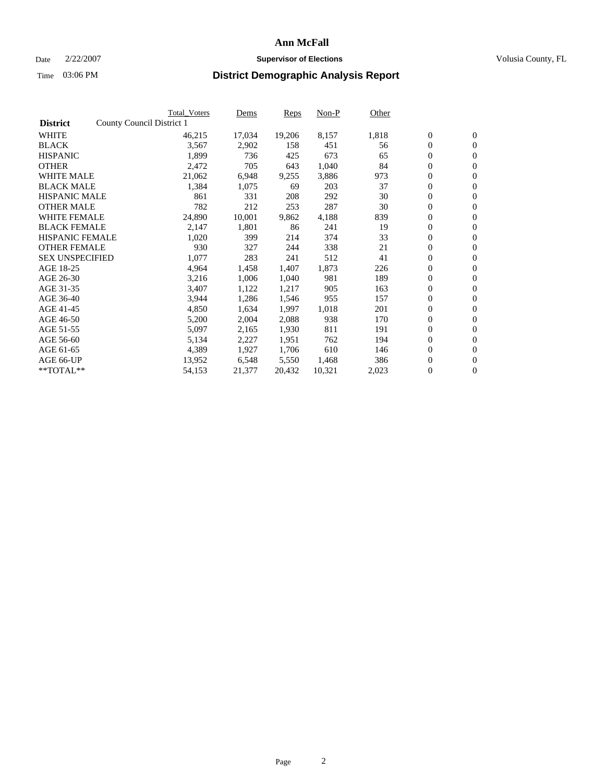#### Date  $2/22/2007$  **Supervisor of Elections** Volusia County, FL

|                        | Total_Voters              | Dems   | <b>Reps</b> | Non-P  | Other |                  |                  |  |
|------------------------|---------------------------|--------|-------------|--------|-------|------------------|------------------|--|
| <b>District</b>        | County Council District 1 |        |             |        |       |                  |                  |  |
| <b>WHITE</b>           | 46,215                    | 17,034 | 19,206      | 8,157  | 1,818 | $\boldsymbol{0}$ | $\mathbf{0}$     |  |
| <b>BLACK</b>           | 3,567                     | 2,902  | 158         | 451    | 56    | $\boldsymbol{0}$ | $\mathbf{0}$     |  |
| <b>HISPANIC</b>        | 1,899                     | 736    | 425         | 673    | 65    | $\boldsymbol{0}$ | $\mathbf{0}$     |  |
| <b>OTHER</b>           | 2,472                     | 705    | 643         | 1,040  | 84    | $\boldsymbol{0}$ | $\mathbf{0}$     |  |
| <b>WHITE MALE</b>      | 21,062                    | 6,948  | 9,255       | 3,886  | 973   | 0                | $\mathbf{0}$     |  |
| <b>BLACK MALE</b>      | 1,384                     | 1,075  | 69          | 203    | 37    | $\boldsymbol{0}$ | $\mathbf{0}$     |  |
| <b>HISPANIC MALE</b>   | 861                       | 331    | 208         | 292    | 30    | $\overline{0}$   | $\mathbf{0}$     |  |
| <b>OTHER MALE</b>      | 782                       | 212    | 253         | 287    | 30    | $\overline{0}$   | $\mathbf{0}$     |  |
| <b>WHITE FEMALE</b>    | 24,890                    | 10,001 | 9,862       | 4,188  | 839   | $\mathbf{0}$     | $\mathbf{0}$     |  |
| <b>BLACK FEMALE</b>    | 2,147                     | 1,801  | 86          | 241    | 19    | $\boldsymbol{0}$ | $\mathbf{0}$     |  |
| <b>HISPANIC FEMALE</b> | 1,020                     | 399    | 214         | 374    | 33    | $\boldsymbol{0}$ | $\mathbf{0}$     |  |
| <b>OTHER FEMALE</b>    | 930                       | 327    | 244         | 338    | 21    | 0                | $\mathbf{0}$     |  |
| <b>SEX UNSPECIFIED</b> | 1,077                     | 283    | 241         | 512    | 41    | $\boldsymbol{0}$ | $\mathbf{0}$     |  |
| AGE 18-25              | 4,964                     | 1,458  | 1,407       | 1,873  | 226   | $\boldsymbol{0}$ | $\mathbf{0}$     |  |
| AGE 26-30              | 3,216                     | 1,006  | 1,040       | 981    | 189   | $\overline{0}$   | $\mathbf{0}$     |  |
| AGE 31-35              | 3,407                     | 1,122  | 1,217       | 905    | 163   | $\boldsymbol{0}$ | $\mathbf{0}$     |  |
| AGE 36-40              | 3,944                     | 1,286  | 1,546       | 955    | 157   | $\boldsymbol{0}$ | $\mathbf{0}$     |  |
| AGE 41-45              | 4,850                     | 1,634  | 1,997       | 1,018  | 201   | $\boldsymbol{0}$ | $\mathbf{0}$     |  |
| AGE 46-50              | 5,200                     | 2,004  | 2,088       | 938    | 170   | $\boldsymbol{0}$ | $\mathbf{0}$     |  |
| AGE 51-55              | 5,097                     | 2,165  | 1,930       | 811    | 191   | $\boldsymbol{0}$ | $\mathbf{0}$     |  |
| AGE 56-60              | 5,134                     | 2,227  | 1,951       | 762    | 194   | $\overline{0}$   | $\mathbf{0}$     |  |
| AGE 61-65              | 4,389                     | 1,927  | 1,706       | 610    | 146   | $\mathbf{0}$     | $\boldsymbol{0}$ |  |
| AGE 66-UP              | 13,952                    | 6,548  | 5,550       | 1,468  | 386   | $\boldsymbol{0}$ | $\mathbf{0}$     |  |
| **TOTAL**              | 54,153                    | 21,377 | 20,432      | 10,321 | 2,023 | $\boldsymbol{0}$ | $\overline{0}$   |  |
|                        |                           |        |             |        |       |                  |                  |  |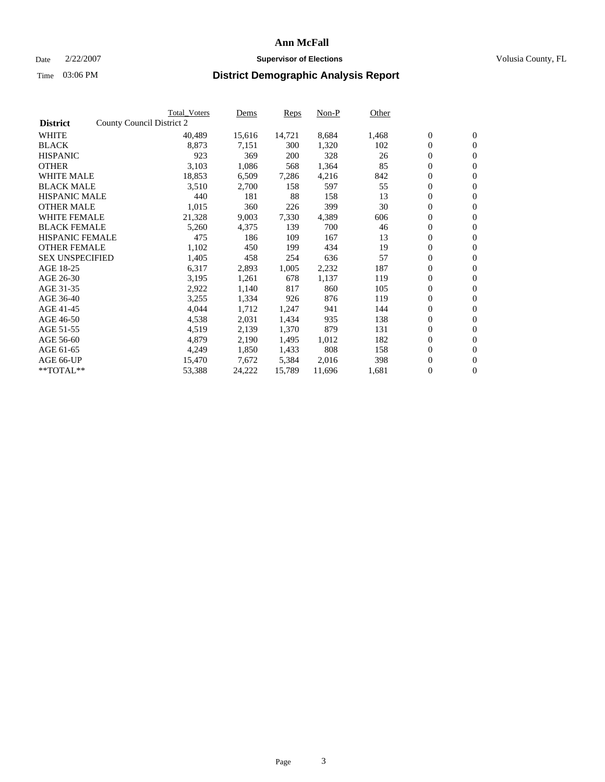#### Date  $2/22/2007$  **Supervisor of Elections** Volusia County, FL

|                        | Total_Voters              | Dems   | <b>Reps</b> | Non-P  | Other |                  |                  |  |
|------------------------|---------------------------|--------|-------------|--------|-------|------------------|------------------|--|
| <b>District</b>        | County Council District 2 |        |             |        |       |                  |                  |  |
| <b>WHITE</b>           | 40,489                    | 15,616 | 14,721      | 8,684  | 1,468 | $\boldsymbol{0}$ | $\mathbf{0}$     |  |
| <b>BLACK</b>           | 8,873                     | 7,151  | 300         | 1,320  | 102   | $\boldsymbol{0}$ | $\mathbf{0}$     |  |
| <b>HISPANIC</b>        | 923                       | 369    | 200         | 328    | 26    | $\boldsymbol{0}$ | $\mathbf{0}$     |  |
| <b>OTHER</b>           | 3,103                     | 1,086  | 568         | 1,364  | 85    | $\boldsymbol{0}$ | $\mathbf{0}$     |  |
| <b>WHITE MALE</b>      | 18,853                    | 6,509  | 7,286       | 4,216  | 842   | 0                | $\mathbf{0}$     |  |
| <b>BLACK MALE</b>      | 3,510                     | 2,700  | 158         | 597    | 55    | $\boldsymbol{0}$ | $\mathbf{0}$     |  |
| <b>HISPANIC MALE</b>   | 440                       | 181    | 88          | 158    | 13    | $\overline{0}$   | $\mathbf{0}$     |  |
| <b>OTHER MALE</b>      | 1,015                     | 360    | 226         | 399    | 30    | $\boldsymbol{0}$ | $\mathbf{0}$     |  |
| <b>WHITE FEMALE</b>    | 21,328                    | 9,003  | 7,330       | 4,389  | 606   | $\mathbf{0}$     | $\mathbf{0}$     |  |
| <b>BLACK FEMALE</b>    | 5,260                     | 4,375  | 139         | 700    | 46    | $\boldsymbol{0}$ | $\mathbf{0}$     |  |
| <b>HISPANIC FEMALE</b> | 475                       | 186    | 109         | 167    | 13    | $\boldsymbol{0}$ | $\mathbf{0}$     |  |
| <b>OTHER FEMALE</b>    | 1,102                     | 450    | 199         | 434    | 19    | 0                | $\mathbf{0}$     |  |
| <b>SEX UNSPECIFIED</b> | 1,405                     | 458    | 254         | 636    | 57    | $\boldsymbol{0}$ | $\mathbf{0}$     |  |
| AGE 18-25              | 6,317                     | 2,893  | 1,005       | 2,232  | 187   | $\boldsymbol{0}$ | $\mathbf{0}$     |  |
| AGE 26-30              | 3,195                     | 1,261  | 678         | 1,137  | 119   | $\overline{0}$   | $\mathbf{0}$     |  |
| AGE 31-35              | 2,922                     | 1,140  | 817         | 860    | 105   | $\boldsymbol{0}$ | $\mathbf{0}$     |  |
| AGE 36-40              | 3,255                     | 1,334  | 926         | 876    | 119   | $\boldsymbol{0}$ | $\mathbf{0}$     |  |
| AGE 41-45              | 4,044                     | 1,712  | 1,247       | 941    | 144   | $\boldsymbol{0}$ | $\mathbf{0}$     |  |
| AGE 46-50              | 4,538                     | 2,031  | 1,434       | 935    | 138   | $\boldsymbol{0}$ | $\mathbf{0}$     |  |
| AGE 51-55              | 4,519                     | 2,139  | 1,370       | 879    | 131   | $\boldsymbol{0}$ | $\mathbf{0}$     |  |
| AGE 56-60              | 4,879                     | 2,190  | 1,495       | 1,012  | 182   | $\boldsymbol{0}$ | $\mathbf{0}$     |  |
| AGE 61-65              | 4,249                     | 1,850  | 1,433       | 808    | 158   | $\mathbf{0}$     | $\boldsymbol{0}$ |  |
| AGE 66-UP              | 15,470                    | 7,672  | 5,384       | 2,016  | 398   | $\boldsymbol{0}$ | $\mathbf{0}$     |  |
| **TOTAL**              | 53,388                    | 24,222 | 15,789      | 11,696 | 1,681 | $\boldsymbol{0}$ | $\overline{0}$   |  |
|                        |                           |        |             |        |       |                  |                  |  |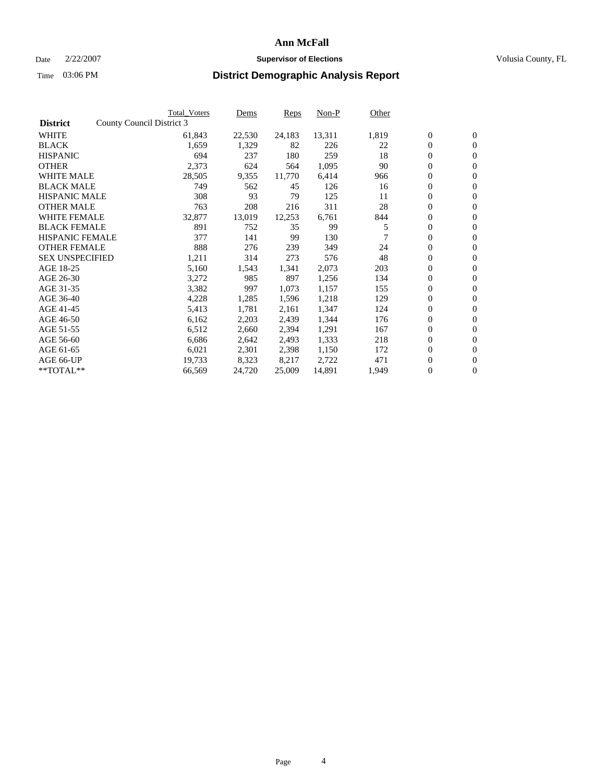#### Date  $2/22/2007$  **Supervisor of Elections** Volusia County, FL

|                        |                           | <b>Total_Voters</b> | Dems   | <b>Reps</b> | Non-P  | Other |                  |                |  |
|------------------------|---------------------------|---------------------|--------|-------------|--------|-------|------------------|----------------|--|
| <b>District</b>        | County Council District 3 |                     |        |             |        |       |                  |                |  |
| <b>WHITE</b>           |                           | 61,843              | 22,530 | 24,183      | 13,311 | 1,819 | $\overline{0}$   | $\mathbf{0}$   |  |
| <b>BLACK</b>           |                           | 1,659               | 1,329  | 82          | 226    | 22    | $\overline{0}$   | $\mathbf{0}$   |  |
| <b>HISPANIC</b>        |                           | 694                 | 237    | 180         | 259    | 18    | $\boldsymbol{0}$ | $\mathbf{0}$   |  |
| <b>OTHER</b>           |                           | 2,373               | 624    | 564         | 1,095  | 90    | $\boldsymbol{0}$ | $\mathbf{0}$   |  |
| <b>WHITE MALE</b>      |                           | 28,505              | 9,355  | 11,770      | 6,414  | 966   | 0                | $\mathbf{0}$   |  |
| <b>BLACK MALE</b>      |                           | 749                 | 562    | 45          | 126    | 16    | $\boldsymbol{0}$ | $\mathbf{0}$   |  |
| <b>HISPANIC MALE</b>   |                           | 308                 | 93     | 79          | 125    | 11    | $\overline{0}$   | $\mathbf{0}$   |  |
| <b>OTHER MALE</b>      |                           | 763                 | 208    | 216         | 311    | 28    | $\overline{0}$   | $\mathbf{0}$   |  |
| <b>WHITE FEMALE</b>    |                           | 32,877              | 13,019 | 12,253      | 6,761  | 844   | $\overline{0}$   | $\mathbf{0}$   |  |
| <b>BLACK FEMALE</b>    |                           | 891                 | 752    | 35          | 99     | 5     | $\boldsymbol{0}$ | $\mathbf{0}$   |  |
| <b>HISPANIC FEMALE</b> |                           | 377                 | 141    | 99          | 130    |       | $\boldsymbol{0}$ | $\mathbf{0}$   |  |
| <b>OTHER FEMALE</b>    |                           | 888                 | 276    | 239         | 349    | 24    | 0                | $\mathbf{0}$   |  |
| <b>SEX UNSPECIFIED</b> |                           | 1,211               | 314    | 273         | 576    | 48    | $\boldsymbol{0}$ | $\mathbf{0}$   |  |
| AGE 18-25              |                           | 5,160               | 1,543  | 1,341       | 2,073  | 203   | $\boldsymbol{0}$ | $\mathbf{0}$   |  |
| AGE 26-30              |                           | 3,272               | 985    | 897         | 1,256  | 134   | $\overline{0}$   | $\mathbf{0}$   |  |
| AGE 31-35              |                           | 3,382               | 997    | 1,073       | 1,157  | 155   | $\boldsymbol{0}$ | $\mathbf{0}$   |  |
| AGE 36-40              |                           | 4,228               | 1,285  | 1,596       | 1,218  | 129   | $\boldsymbol{0}$ | $\mathbf{0}$   |  |
| AGE 41-45              |                           | 5,413               | 1,781  | 2,161       | 1,347  | 124   | $\boldsymbol{0}$ | $\mathbf{0}$   |  |
| AGE 46-50              |                           | 6,162               | 2,203  | 2,439       | 1,344  | 176   | 0                | $\mathbf{0}$   |  |
| AGE 51-55              |                           | 6,512               | 2,660  | 2,394       | 1,291  | 167   | $\boldsymbol{0}$ | $\mathbf{0}$   |  |
| AGE 56-60              |                           | 6,686               | 2,642  | 2,493       | 1,333  | 218   | $\overline{0}$   | $\mathbf{0}$   |  |
| AGE 61-65              |                           | 6,021               | 2,301  | 2,398       | 1,150  | 172   | $\mathbf{0}$     | $\mathbf{0}$   |  |
| AGE 66-UP              |                           | 19,733              | 8,323  | 8,217       | 2,722  | 471   | $\boldsymbol{0}$ | $\mathbf{0}$   |  |
| **TOTAL**              |                           | 66,569              | 24,720 | 25,009      | 14,891 | 1,949 | 0                | $\overline{0}$ |  |
|                        |                           |                     |        |             |        |       |                  |                |  |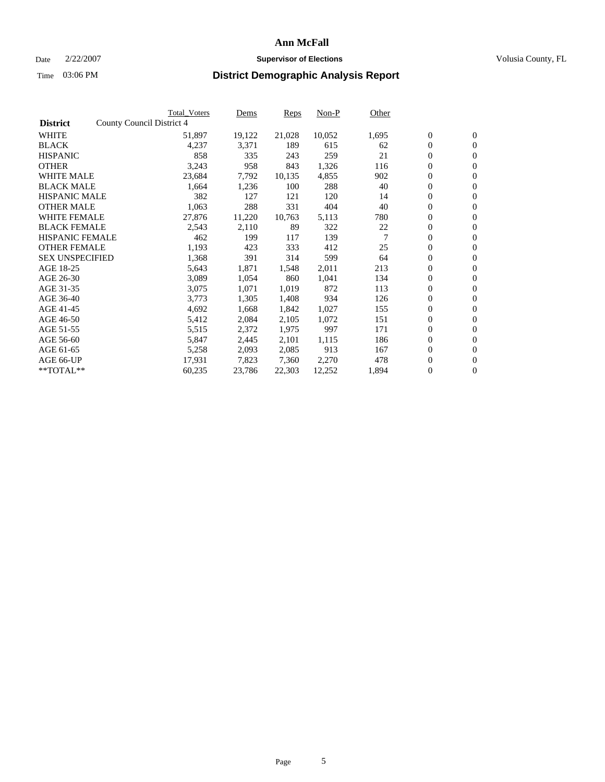#### Date  $2/22/2007$  **Supervisor of Elections** Volusia County, FL

|                        | Total_Voters              | Dems   | <b>Reps</b> | Non-P  | Other |                  |                |  |
|------------------------|---------------------------|--------|-------------|--------|-------|------------------|----------------|--|
| <b>District</b>        | County Council District 4 |        |             |        |       |                  |                |  |
| <b>WHITE</b>           | 51,897                    | 19,122 | 21,028      | 10,052 | 1,695 | $\boldsymbol{0}$ | $\mathbf{0}$   |  |
| <b>BLACK</b>           | 4,237                     | 3,371  | 189         | 615    | 62    | $\overline{0}$   | $\mathbf{0}$   |  |
| <b>HISPANIC</b>        | 858                       | 335    | 243         | 259    | 21    | $\boldsymbol{0}$ | $\mathbf{0}$   |  |
| <b>OTHER</b>           | 3,243                     | 958    | 843         | 1,326  | 116   | $\boldsymbol{0}$ | $\mathbf{0}$   |  |
| <b>WHITE MALE</b>      | 23,684                    | 7,792  | 10,135      | 4,855  | 902   | $\boldsymbol{0}$ | $\mathbf{0}$   |  |
| <b>BLACK MALE</b>      | 1,664                     | 1,236  | 100         | 288    | 40    | $\boldsymbol{0}$ | $\mathbf{0}$   |  |
| <b>HISPANIC MALE</b>   | 382                       | 127    | 121         | 120    | 14    | $\overline{0}$   | $\mathbf{0}$   |  |
| <b>OTHER MALE</b>      | 1,063                     | 288    | 331         | 404    | 40    | $\overline{0}$   | $\mathbf{0}$   |  |
| <b>WHITE FEMALE</b>    | 27,876                    | 11,220 | 10,763      | 5,113  | 780   | $\mathbf{0}$     | $\mathbf{0}$   |  |
| <b>BLACK FEMALE</b>    | 2,543                     | 2,110  | 89          | 322    | 22    | $\boldsymbol{0}$ | $\mathbf{0}$   |  |
| <b>HISPANIC FEMALE</b> | 462                       | 199    | 117         | 139    | 7     | $\boldsymbol{0}$ | $\mathbf{0}$   |  |
| <b>OTHER FEMALE</b>    | 1,193                     | 423    | 333         | 412    | 25    | 0                | $\mathbf{0}$   |  |
| <b>SEX UNSPECIFIED</b> | 1,368                     | 391    | 314         | 599    | 64    | $\boldsymbol{0}$ | $\mathbf{0}$   |  |
| AGE 18-25              | 5,643                     | 1,871  | 1,548       | 2,011  | 213   | $\boldsymbol{0}$ | $\mathbf{0}$   |  |
| AGE 26-30              | 3,089                     | 1,054  | 860         | 1,041  | 134   | $\overline{0}$   | $\mathbf{0}$   |  |
| AGE 31-35              | 3,075                     | 1,071  | 1,019       | 872    | 113   | $\overline{0}$   | $\mathbf{0}$   |  |
| AGE 36-40              | 3,773                     | 1,305  | 1,408       | 934    | 126   | $\boldsymbol{0}$ | $\mathbf{0}$   |  |
| AGE 41-45              | 4,692                     | 1,668  | 1,842       | 1,027  | 155   | $\boldsymbol{0}$ | $\mathbf{0}$   |  |
| AGE 46-50              | 5,412                     | 2,084  | 2,105       | 1,072  | 151   | 0                | $\mathbf{0}$   |  |
| AGE 51-55              | 5,515                     | 2,372  | 1,975       | 997    | 171   | $\boldsymbol{0}$ | $\mathbf{0}$   |  |
| AGE 56-60              | 5,847                     | 2,445  | 2,101       | 1,115  | 186   | $\overline{0}$   | $\mathbf{0}$   |  |
| AGE 61-65              | 5,258                     | 2,093  | 2,085       | 913    | 167   | $\mathbf{0}$     | $\mathbf{0}$   |  |
| AGE 66-UP              | 17,931                    | 7,823  | 7,360       | 2,270  | 478   | $\boldsymbol{0}$ | $\mathbf{0}$   |  |
| **TOTAL**              | 60,235                    | 23,786 | 22,303      | 12,252 | 1,894 | 0                | $\overline{0}$ |  |
|                        |                           |        |             |        |       |                  |                |  |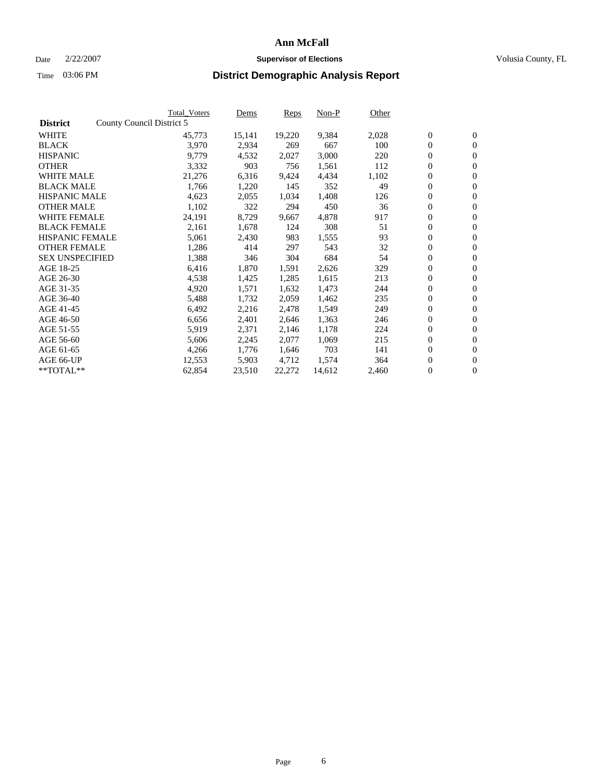#### Date  $2/22/2007$  **Supervisor of Elections** Volusia County, FL

|                        |                           | <b>Total Voters</b> | Dems   | <b>Reps</b> | Non-P  | Other |                  |                  |  |
|------------------------|---------------------------|---------------------|--------|-------------|--------|-------|------------------|------------------|--|
| <b>District</b>        | County Council District 5 |                     |        |             |        |       |                  |                  |  |
| <b>WHITE</b>           |                           | 45,773              | 15,141 | 19,220      | 9,384  | 2,028 | $\overline{0}$   | $\mathbf{0}$     |  |
| <b>BLACK</b>           |                           | 3,970               | 2,934  | 269         | 667    | 100   | $\overline{0}$   | $\mathbf{0}$     |  |
| <b>HISPANIC</b>        |                           | 9,779               | 4,532  | 2,027       | 3,000  | 220   | $\boldsymbol{0}$ | $\mathbf{0}$     |  |
| <b>OTHER</b>           |                           | 3,332               | 903    | 756         | 1,561  | 112   | $\boldsymbol{0}$ | $\mathbf{0}$     |  |
| <b>WHITE MALE</b>      |                           | 21,276              | 6,316  | 9,424       | 4,434  | 1,102 | 0                | $\mathbf{0}$     |  |
| <b>BLACK MALE</b>      |                           | 1,766               | 1,220  | 145         | 352    | 49    | $\boldsymbol{0}$ | $\mathbf{0}$     |  |
| <b>HISPANIC MALE</b>   |                           | 4,623               | 2,055  | 1,034       | 1,408  | 126   | $\overline{0}$   | $\mathbf{0}$     |  |
| <b>OTHER MALE</b>      |                           | 1,102               | 322    | 294         | 450    | 36    | $\boldsymbol{0}$ | $\mathbf{0}$     |  |
| <b>WHITE FEMALE</b>    |                           | 24,191              | 8,729  | 9,667       | 4,878  | 917   | $\mathbf{0}$     | $\mathbf{0}$     |  |
| <b>BLACK FEMALE</b>    |                           | 2,161               | 1,678  | 124         | 308    | 51    | $\boldsymbol{0}$ | $\mathbf{0}$     |  |
| <b>HISPANIC FEMALE</b> |                           | 5,061               | 2,430  | 983         | 1,555  | 93    | $\boldsymbol{0}$ | $\mathbf{0}$     |  |
| <b>OTHER FEMALE</b>    |                           | 1,286               | 414    | 297         | 543    | 32    | 0                | $\mathbf{0}$     |  |
| <b>SEX UNSPECIFIED</b> |                           | 1,388               | 346    | 304         | 684    | 54    | $\boldsymbol{0}$ | $\mathbf{0}$     |  |
| AGE 18-25              |                           | 6,416               | 1,870  | 1,591       | 2,626  | 329   | $\boldsymbol{0}$ | $\mathbf{0}$     |  |
| AGE 26-30              |                           | 4,538               | 1,425  | 1,285       | 1,615  | 213   | $\overline{0}$   | $\mathbf{0}$     |  |
| AGE 31-35              |                           | 4,920               | 1,571  | 1,632       | 1,473  | 244   | $\boldsymbol{0}$ | $\mathbf{0}$     |  |
| AGE 36-40              |                           | 5,488               | 1,732  | 2,059       | 1,462  | 235   | $\boldsymbol{0}$ | $\mathbf{0}$     |  |
| AGE 41-45              |                           | 6,492               | 2,216  | 2,478       | 1,549  | 249   | $\boldsymbol{0}$ | $\mathbf{0}$     |  |
| AGE 46-50              |                           | 6,656               | 2,401  | 2,646       | 1,363  | 246   | $\boldsymbol{0}$ | $\mathbf{0}$     |  |
| AGE 51-55              |                           | 5,919               | 2,371  | 2,146       | 1,178  | 224   | $\boldsymbol{0}$ | $\mathbf{0}$     |  |
| AGE 56-60              |                           | 5,606               | 2,245  | 2,077       | 1,069  | 215   | $\overline{0}$   | $\mathbf{0}$     |  |
| AGE 61-65              |                           | 4,266               | 1,776  | 1,646       | 703    | 141   | $\mathbf{0}$     | $\boldsymbol{0}$ |  |
| AGE 66-UP              |                           | 12,553              | 5,903  | 4,712       | 1,574  | 364   | $\boldsymbol{0}$ | $\mathbf{0}$     |  |
| **TOTAL**              |                           | 62,854              | 23,510 | 22,272      | 14,612 | 2,460 | $\boldsymbol{0}$ | $\overline{0}$   |  |
|                        |                           |                     |        |             |        |       |                  |                  |  |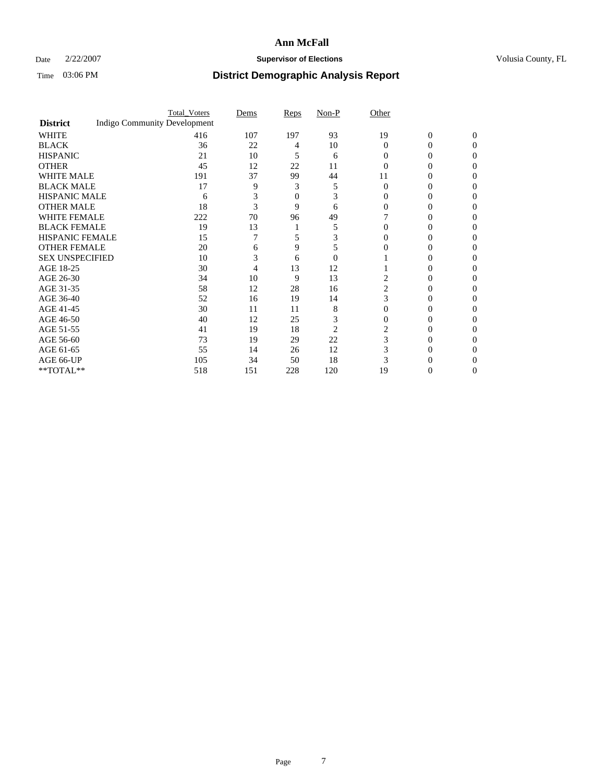### Date  $2/22/2007$  **Supervisor of Elections Supervisor of Elections** Volusia County, FL

|                        |                                     | <b>Total_Voters</b> | Dems | Reps | Non-P    | Other    |                |              |  |
|------------------------|-------------------------------------|---------------------|------|------|----------|----------|----------------|--------------|--|
| <b>District</b>        | <b>Indigo Community Development</b> |                     |      |      |          |          |                |              |  |
| <b>WHITE</b>           |                                     | 416                 | 107  | 197  | 93       | 19       | $\overline{0}$ | $\mathbf{0}$ |  |
| <b>BLACK</b>           |                                     | 36                  | 22   | 4    | 10       | $\Omega$ | 0              | 0            |  |
| <b>HISPANIC</b>        |                                     | 21                  | 10   | 5    | 6        | 0        | 0              | 0            |  |
| <b>OTHER</b>           |                                     | 45                  | 12   | 22   | 11       |          |                |              |  |
| <b>WHITE MALE</b>      |                                     | 191                 | 37   | 99   | 44       | 11       |                |              |  |
| <b>BLACK MALE</b>      |                                     | 17                  | 9    | 3    | 5        | $\Omega$ |                |              |  |
| HISPANIC MALE          |                                     | 6                   | 3    | 0    | 3        |          |                |              |  |
| <b>OTHER MALE</b>      |                                     | 18                  | 3    | 9    | 6        |          | 0              |              |  |
| WHITE FEMALE           |                                     | 222                 | 70   | 96   | 49       |          |                | 0            |  |
| <b>BLACK FEMALE</b>    |                                     | 19                  | 13   |      | 5        |          | 0              | 0            |  |
| <b>HISPANIC FEMALE</b> |                                     | 15                  |      |      |          |          |                | 0            |  |
| <b>OTHER FEMALE</b>    |                                     | 20                  | 6    | 9    | 5        |          |                |              |  |
| <b>SEX UNSPECIFIED</b> |                                     | 10                  | 3    | 6    | $\Omega$ |          |                |              |  |
| AGE 18-25              |                                     | 30                  |      | 13   | 12       |          | $_{0}$         |              |  |
| AGE 26-30              |                                     | 34                  | 10   | 9    | 13       | 2        | 0              |              |  |
| AGE 31-35              |                                     | 58                  | 12   | 28   | 16       | 2        | 0              |              |  |
| AGE 36-40              |                                     | 52                  | 16   | 19   | 14       | 3        | 0              | 0            |  |
| AGE 41-45              |                                     | 30                  | 11   | 11   | 8        |          |                | 0            |  |
| AGE 46-50              |                                     | 40                  | 12   | 25   | 3        | 0        | $_{0}$         | 0            |  |
| AGE 51-55              |                                     | 41                  | 19   | 18   | 2        |          |                |              |  |
| AGE 56-60              |                                     | 73                  | 19   | 29   | 22       | 3        | 0              |              |  |
| AGE 61-65              |                                     | 55                  | 14   | 26   | 12       |          |                |              |  |
| AGE 66-UP              |                                     | 105                 | 34   | 50   | 18       |          |                |              |  |
| **TOTAL**              |                                     | 518                 | 151  | 228  | 120      | 19       | 0              | 0            |  |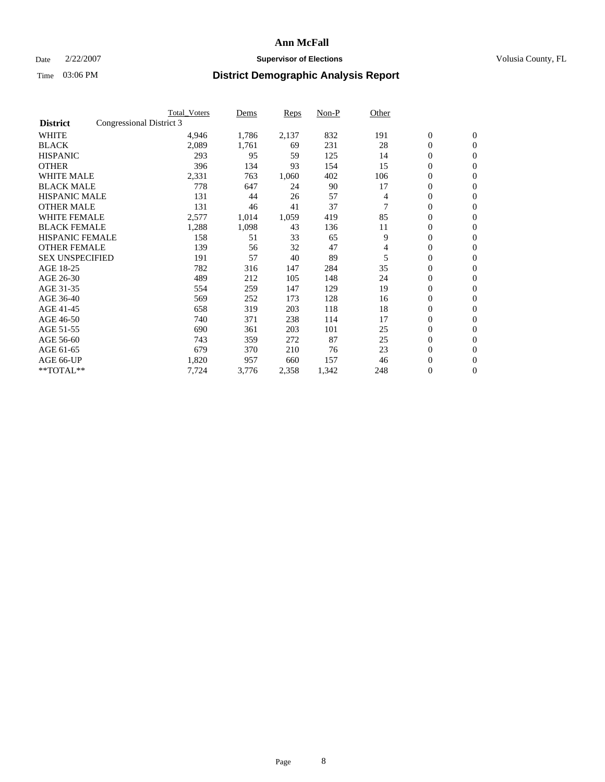### Date  $2/22/2007$  **Supervisor of Elections Supervisor of Elections** Volusia County, FL

|                        |                          | <b>Total_Voters</b> | Dems  | <b>Reps</b> | Non-P | Other |                  |                  |  |
|------------------------|--------------------------|---------------------|-------|-------------|-------|-------|------------------|------------------|--|
| <b>District</b>        | Congressional District 3 |                     |       |             |       |       |                  |                  |  |
| <b>WHITE</b>           |                          | 4,946               | 1,786 | 2,137       | 832   | 191   | $\boldsymbol{0}$ | $\mathbf{0}$     |  |
| <b>BLACK</b>           |                          | 2,089               | 1,761 | 69          | 231   | 28    | $\overline{0}$   | $\mathbf{0}$     |  |
| <b>HISPANIC</b>        |                          | 293                 | 95    | 59          | 125   | 14    | $\overline{0}$   | $\mathbf{0}$     |  |
| <b>OTHER</b>           |                          | 396                 | 134   | 93          | 154   | 15    | 0                | $\mathbf{0}$     |  |
| <b>WHITE MALE</b>      |                          | 2,331               | 763   | 1,060       | 402   | 106   | $\overline{0}$   | $\mathbf{0}$     |  |
| <b>BLACK MALE</b>      |                          | 778                 | 647   | 24          | 90    | 17    | 0                | $\mathbf{0}$     |  |
| <b>HISPANIC MALE</b>   |                          | 131                 | 44    | 26          | 57    | 4     | 0                | $\mathbf{0}$     |  |
| <b>OTHER MALE</b>      |                          | 131                 | 46    | 41          | 37    |       | 0                | $\mathbf{0}$     |  |
| <b>WHITE FEMALE</b>    |                          | 2,577               | 1,014 | 1,059       | 419   | 85    | $\overline{0}$   | $\mathbf{0}$     |  |
| <b>BLACK FEMALE</b>    |                          | 1,288               | 1,098 | 43          | 136   | 11    | $\overline{0}$   | $\mathbf{0}$     |  |
| <b>HISPANIC FEMALE</b> |                          | 158                 | 51    | 33          | 65    | 9     | 0                | $\mathbf{0}$     |  |
| <b>OTHER FEMALE</b>    |                          | 139                 | 56    | 32          | 47    | 4     | $\overline{0}$   | $\mathbf{0}$     |  |
| <b>SEX UNSPECIFIED</b> |                          | 191                 | 57    | 40          | 89    | 5     | $\boldsymbol{0}$ | $\mathbf{0}$     |  |
| AGE 18-25              |                          | 782                 | 316   | 147         | 284   | 35    | 0                | $\mathbf{0}$     |  |
| AGE 26-30              |                          | 489                 | 212   | 105         | 148   | 24    | 0                | $\mathbf{0}$     |  |
| AGE 31-35              |                          | 554                 | 259   | 147         | 129   | 19    | 0                | $\mathbf{0}$     |  |
| AGE 36-40              |                          | 569                 | 252   | 173         | 128   | 16    | $\boldsymbol{0}$ | $\mathbf{0}$     |  |
| AGE 41-45              |                          | 658                 | 319   | 203         | 118   | 18    | $\mathbf{0}$     | $\mathbf{0}$     |  |
| AGE 46-50              |                          | 740                 | 371   | 238         | 114   | 17    | $\overline{0}$   | $\mathbf{0}$     |  |
| AGE 51-55              |                          | 690                 | 361   | 203         | 101   | 25    | 0                | $\mathbf{0}$     |  |
| AGE 56-60              |                          | 743                 | 359   | 272         | 87    | 25    | $\boldsymbol{0}$ | $\mathbf{0}$     |  |
| AGE 61-65              |                          | 679                 | 370   | 210         | 76    | 23    | 0                | $\mathbf{0}$     |  |
| AGE 66-UP              |                          | 1,820               | 957   | 660         | 157   | 46    | 0                | $\bf{0}$         |  |
| $*$ TOTAL $**$         |                          | 7,724               | 3,776 | 2,358       | 1,342 | 248   | 0                | $\boldsymbol{0}$ |  |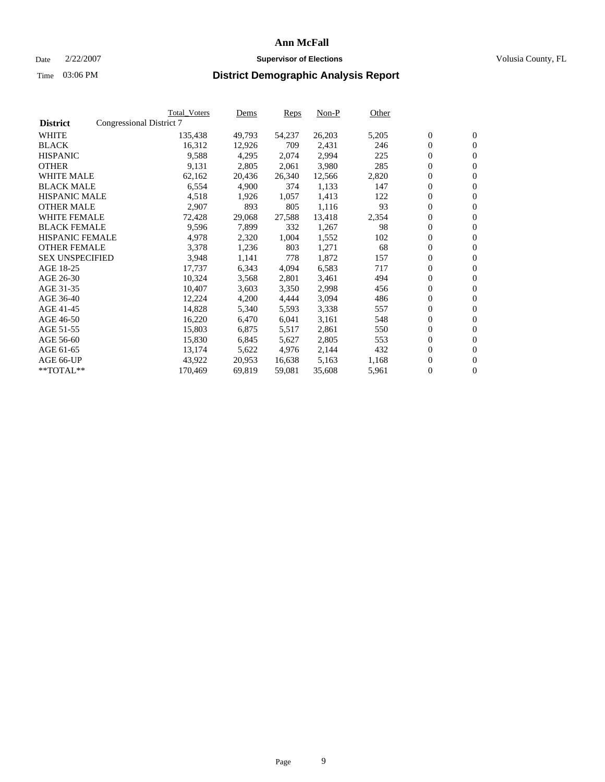#### Date  $2/22/2007$  **Supervisor of Elections** Volusia County, FL

|                        |                          | Total_Voters | Dems   | <b>Reps</b> | Non-P  | Other |                  |                  |  |
|------------------------|--------------------------|--------------|--------|-------------|--------|-------|------------------|------------------|--|
| <b>District</b>        | Congressional District 7 |              |        |             |        |       |                  |                  |  |
| <b>WHITE</b>           |                          | 135,438      | 49,793 | 54,237      | 26,203 | 5,205 | $\boldsymbol{0}$ | $\mathbf{0}$     |  |
| <b>BLACK</b>           |                          | 16,312       | 12,926 | 709         | 2,431  | 246   | $\boldsymbol{0}$ | $\mathbf{0}$     |  |
| <b>HISPANIC</b>        |                          | 9,588        | 4,295  | 2,074       | 2,994  | 225   | $\boldsymbol{0}$ | $\mathbf{0}$     |  |
| <b>OTHER</b>           |                          | 9,131        | 2,805  | 2,061       | 3,980  | 285   | $\boldsymbol{0}$ | $\mathbf{0}$     |  |
| <b>WHITE MALE</b>      |                          | 62,162       | 20,436 | 26,340      | 12,566 | 2,820 | 0                | $\mathbf{0}$     |  |
| <b>BLACK MALE</b>      |                          | 6,554        | 4,900  | 374         | 1,133  | 147   | $\boldsymbol{0}$ | $\mathbf{0}$     |  |
| <b>HISPANIC MALE</b>   |                          | 4,518        | 1,926  | 1,057       | 1,413  | 122   | $\overline{0}$   | $\mathbf{0}$     |  |
| <b>OTHER MALE</b>      |                          | 2,907        | 893    | 805         | 1,116  | 93    | $\overline{0}$   | $\mathbf{0}$     |  |
| <b>WHITE FEMALE</b>    |                          | 72,428       | 29,068 | 27,588      | 13,418 | 2,354 | $\mathbf{0}$     | $\mathbf{0}$     |  |
| <b>BLACK FEMALE</b>    |                          | 9,596        | 7,899  | 332         | 1,267  | 98    | $\boldsymbol{0}$ | $\mathbf{0}$     |  |
| <b>HISPANIC FEMALE</b> |                          | 4,978        | 2,320  | 1,004       | 1,552  | 102   | $\boldsymbol{0}$ | $\mathbf{0}$     |  |
| <b>OTHER FEMALE</b>    |                          | 3,378        | 1,236  | 803         | 1,271  | 68    | 0                | $\mathbf{0}$     |  |
| <b>SEX UNSPECIFIED</b> |                          | 3,948        | 1,141  | 778         | 1,872  | 157   | $\boldsymbol{0}$ | $\mathbf{0}$     |  |
| AGE 18-25              |                          | 17,737       | 6,343  | 4,094       | 6,583  | 717   | $\boldsymbol{0}$ | $\mathbf{0}$     |  |
| AGE 26-30              |                          | 10,324       | 3,568  | 2,801       | 3,461  | 494   | $\overline{0}$   | $\mathbf{0}$     |  |
| AGE 31-35              |                          | 10,407       | 3,603  | 3,350       | 2,998  | 456   | $\overline{0}$   | $\mathbf{0}$     |  |
| AGE 36-40              |                          | 12,224       | 4,200  | 4,444       | 3,094  | 486   | $\boldsymbol{0}$ | $\mathbf{0}$     |  |
| AGE 41-45              |                          | 14,828       | 5,340  | 5,593       | 3,338  | 557   | $\boldsymbol{0}$ | $\mathbf{0}$     |  |
| AGE 46-50              |                          | 16,220       | 6,470  | 6,041       | 3,161  | 548   | 0                | $\mathbf{0}$     |  |
| AGE 51-55              |                          | 15,803       | 6,875  | 5,517       | 2,861  | 550   | $\boldsymbol{0}$ | $\mathbf{0}$     |  |
| AGE 56-60              |                          | 15,830       | 6,845  | 5,627       | 2,805  | 553   | $\overline{0}$   | $\mathbf{0}$     |  |
| AGE 61-65              |                          | 13,174       | 5,622  | 4,976       | 2,144  | 432   | $\mathbf{0}$     | $\boldsymbol{0}$ |  |
| AGE 66-UP              |                          | 43,922       | 20,953 | 16,638      | 5,163  | 1,168 | $\boldsymbol{0}$ | $\mathbf{0}$     |  |
| **TOTAL**              |                          | 170,469      | 69,819 | 59,081      | 35,608 | 5,961 | $\boldsymbol{0}$ | $\overline{0}$   |  |
|                        |                          |              |        |             |        |       |                  |                  |  |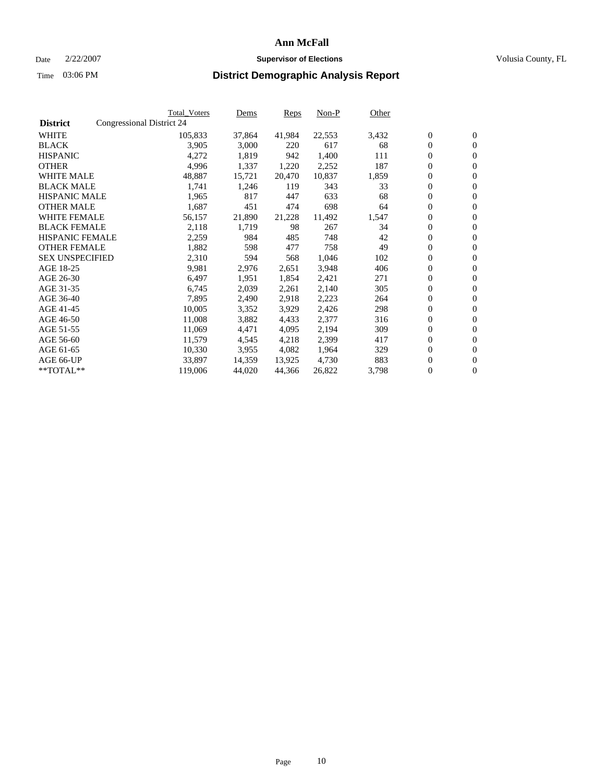#### Date  $2/22/2007$  **Supervisor of Elections** Volusia County, FL

|                        |                           | <b>Total_Voters</b> | Dems   | <b>Reps</b> | Non-P  | Other |                  |                  |  |
|------------------------|---------------------------|---------------------|--------|-------------|--------|-------|------------------|------------------|--|
| <b>District</b>        | Congressional District 24 |                     |        |             |        |       |                  |                  |  |
| <b>WHITE</b>           |                           | 105,833             | 37,864 | 41,984      | 22,553 | 3,432 | $\boldsymbol{0}$ | $\mathbf{0}$     |  |
| <b>BLACK</b>           |                           | 3,905               | 3,000  | 220         | 617    | 68    | $\overline{0}$   | $\mathbf{0}$     |  |
| <b>HISPANIC</b>        |                           | 4,272               | 1,819  | 942         | 1,400  | 111   | $\overline{0}$   | $\mathbf{0}$     |  |
| <b>OTHER</b>           |                           | 4,996               | 1,337  | 1,220       | 2,252  | 187   | $\overline{0}$   | $\overline{0}$   |  |
| <b>WHITE MALE</b>      |                           | 48,887              | 15,721 | 20,470      | 10,837 | 1,859 | $\overline{0}$   | $\mathbf{0}$     |  |
| <b>BLACK MALE</b>      |                           | 1,741               | 1,246  | 119         | 343    | 33    | $\boldsymbol{0}$ | $\mathbf{0}$     |  |
| <b>HISPANIC MALE</b>   |                           | 1,965               | 817    | 447         | 633    | 68    | 0                | $\mathbf{0}$     |  |
| <b>OTHER MALE</b>      |                           | 1,687               | 451    | 474         | 698    | 64    | 0                | $\mathbf{0}$     |  |
| <b>WHITE FEMALE</b>    |                           | 56,157              | 21,890 | 21,228      | 11,492 | 1,547 | 0                | $\mathbf{0}$     |  |
| <b>BLACK FEMALE</b>    |                           | 2,118               | 1,719  | 98          | 267    | 34    | $\boldsymbol{0}$ | $\mathbf{0}$     |  |
| <b>HISPANIC FEMALE</b> |                           | 2,259               | 984    | 485         | 748    | 42    | $\mathbf{0}$     | $\mathbf{0}$     |  |
| <b>OTHER FEMALE</b>    |                           | 1,882               | 598    | 477         | 758    | 49    | $\mathbf{0}$     | $\mathbf{0}$     |  |
| <b>SEX UNSPECIFIED</b> |                           | 2,310               | 594    | 568         | 1,046  | 102   | $\boldsymbol{0}$ | $\boldsymbol{0}$ |  |
| AGE 18-25              |                           | 9,981               | 2,976  | 2,651       | 3,948  | 406   | $\boldsymbol{0}$ | $\mathbf{0}$     |  |
| AGE 26-30              |                           | 6,497               | 1,951  | 1,854       | 2,421  | 271   | $\boldsymbol{0}$ | $\mathbf{0}$     |  |
| AGE 31-35              |                           | 6,745               | 2,039  | 2,261       | 2,140  | 305   | 0                | $\mathbf{0}$     |  |
| AGE 36-40              |                           | 7,895               | 2,490  | 2,918       | 2,223  | 264   | $\boldsymbol{0}$ | $\mathbf{0}$     |  |
| AGE 41-45              |                           | 10,005              | 3,352  | 3,929       | 2,426  | 298   | 0                | $\mathbf{0}$     |  |
| AGE 46-50              |                           | 11,008              | 3,882  | 4,433       | 2,377  | 316   | $\overline{0}$   | $\mathbf{0}$     |  |
| AGE 51-55              |                           | 11,069              | 4,471  | 4,095       | 2,194  | 309   | $\overline{0}$   | $\mathbf{0}$     |  |
| AGE 56-60              |                           | 11,579              | 4,545  | 4,218       | 2,399  | 417   | $\boldsymbol{0}$ | $\mathbf{0}$     |  |
| AGE 61-65              |                           | 10,330              | 3,955  | 4,082       | 1,964  | 329   | 0                | $\mathbf{0}$     |  |
| AGE 66-UP              |                           | 33,897              | 14,359 | 13,925      | 4,730  | 883   | 0                | $\mathbf{0}$     |  |
| $*$ TOTAL $**$         |                           | 119,006             | 44,020 | 44,366      | 26,822 | 3,798 | 0                | $\boldsymbol{0}$ |  |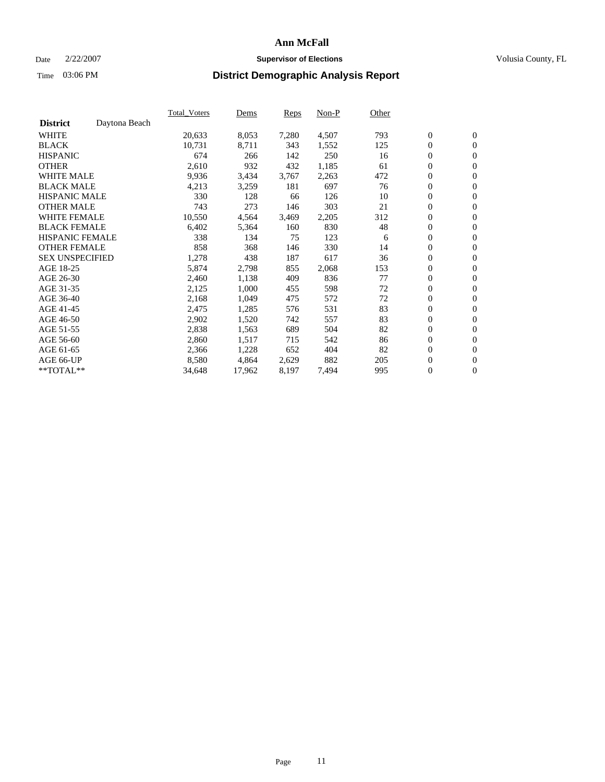#### Date  $2/22/2007$  **Supervisor of Elections** Volusia County, FL

|                        |               | Total Voters | Dems   | <b>Reps</b> | Non-P | Other |                  |                  |  |
|------------------------|---------------|--------------|--------|-------------|-------|-------|------------------|------------------|--|
| <b>District</b>        | Daytona Beach |              |        |             |       |       |                  |                  |  |
| <b>WHITE</b>           |               | 20,633       | 8,053  | 7,280       | 4,507 | 793   | $\boldsymbol{0}$ | $\mathbf{0}$     |  |
| <b>BLACK</b>           |               | 10,731       | 8,711  | 343         | 1,552 | 125   | $\boldsymbol{0}$ | $\mathbf{0}$     |  |
| <b>HISPANIC</b>        |               | 674          | 266    | 142         | 250   | 16    | $\boldsymbol{0}$ | $\mathbf{0}$     |  |
| <b>OTHER</b>           |               | 2,610        | 932    | 432         | 1,185 | 61    | $\boldsymbol{0}$ | $\mathbf{0}$     |  |
| <b>WHITE MALE</b>      |               | 9,936        | 3,434  | 3,767       | 2,263 | 472   | 0                | $\mathbf{0}$     |  |
| <b>BLACK MALE</b>      |               | 4,213        | 3,259  | 181         | 697   | 76    | $\boldsymbol{0}$ | $\mathbf{0}$     |  |
| <b>HISPANIC MALE</b>   |               | 330          | 128    | 66          | 126   | 10    | $\overline{0}$   | $\mathbf{0}$     |  |
| <b>OTHER MALE</b>      |               | 743          | 273    | 146         | 303   | 21    | $\overline{0}$   | $\mathbf{0}$     |  |
| <b>WHITE FEMALE</b>    |               | 10,550       | 4,564  | 3,469       | 2,205 | 312   | $\mathbf{0}$     | $\mathbf{0}$     |  |
| <b>BLACK FEMALE</b>    |               | 6,402        | 5,364  | 160         | 830   | 48    | $\boldsymbol{0}$ | $\mathbf{0}$     |  |
| <b>HISPANIC FEMALE</b> |               | 338          | 134    | 75          | 123   | 6     | $\boldsymbol{0}$ | $\mathbf{0}$     |  |
| <b>OTHER FEMALE</b>    |               | 858          | 368    | 146         | 330   | 14    | 0                | $\mathbf{0}$     |  |
| <b>SEX UNSPECIFIED</b> |               | 1,278        | 438    | 187         | 617   | 36    | $\boldsymbol{0}$ | $\mathbf{0}$     |  |
| AGE 18-25              |               | 5,874        | 2,798  | 855         | 2,068 | 153   | $\boldsymbol{0}$ | $\mathbf{0}$     |  |
| AGE 26-30              |               | 2,460        | 1,138  | 409         | 836   | 77    | $\mathbf{0}$     | $\mathbf{0}$     |  |
| AGE 31-35              |               | 2,125        | 1,000  | 455         | 598   | 72    | $\boldsymbol{0}$ | $\mathbf{0}$     |  |
| AGE 36-40              |               | 2,168        | 1,049  | 475         | 572   | 72    | $\boldsymbol{0}$ | $\mathbf{0}$     |  |
| AGE 41-45              |               | 2,475        | 1,285  | 576         | 531   | 83    | $\boldsymbol{0}$ | $\mathbf{0}$     |  |
| AGE 46-50              |               | 2,902        | 1,520  | 742         | 557   | 83    | $\boldsymbol{0}$ | $\mathbf{0}$     |  |
| AGE 51-55              |               | 2,838        | 1,563  | 689         | 504   | 82    | $\boldsymbol{0}$ | $\mathbf{0}$     |  |
| AGE 56-60              |               | 2,860        | 1,517  | 715         | 542   | 86    | $\overline{0}$   | $\mathbf{0}$     |  |
| AGE 61-65              |               | 2,366        | 1,228  | 652         | 404   | 82    | $\mathbf{0}$     | $\boldsymbol{0}$ |  |
| AGE 66-UP              |               | 8,580        | 4,864  | 2,629       | 882   | 205   | $\boldsymbol{0}$ | $\mathbf{0}$     |  |
| **TOTAL**              |               | 34,648       | 17,962 | 8,197       | 7,494 | 995   | $\boldsymbol{0}$ | $\overline{0}$   |  |
|                        |               |              |        |             |       |       |                  |                  |  |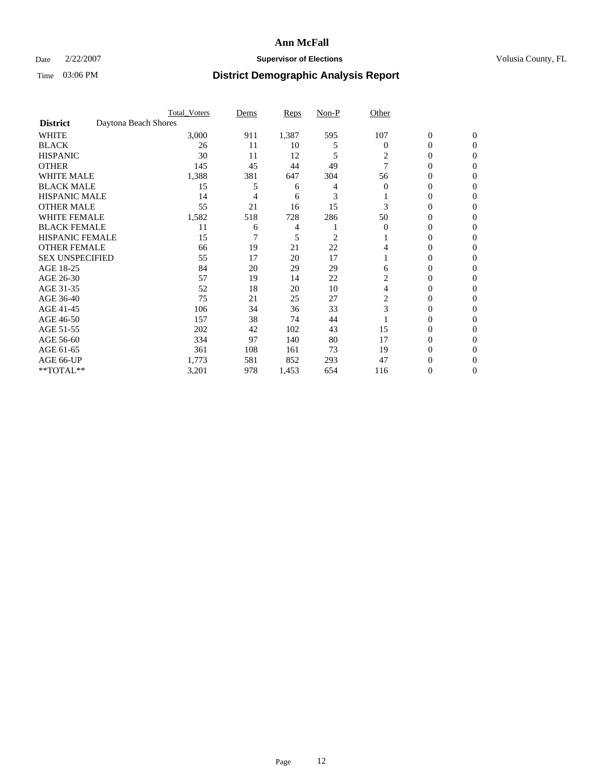### Date  $2/22/2007$  **Supervisor of Elections Supervisor of Elections** Volusia County, FL

|                        |                      | <b>Total_Voters</b> | Dems | <b>Reps</b> | Non-P | Other          |                  |              |  |
|------------------------|----------------------|---------------------|------|-------------|-------|----------------|------------------|--------------|--|
| <b>District</b>        | Daytona Beach Shores |                     |      |             |       |                |                  |              |  |
| <b>WHITE</b>           |                      | 3,000               | 911  | 1,387       | 595   | 107            | $\boldsymbol{0}$ | $\mathbf{0}$ |  |
| <b>BLACK</b>           |                      | 26                  | 11   | 10          | 5     | 0              | 0                | $\mathbf{0}$ |  |
| <b>HISPANIC</b>        |                      | 30                  | 11   | 12          | 5     | 2              | 0                | $\Omega$     |  |
| <b>OTHER</b>           |                      | 145                 | 45   | 44          | 49    | 7              | 0                | $\Omega$     |  |
| <b>WHITE MALE</b>      |                      | 1,388               | 381  | 647         | 304   | 56             | 0                | 0            |  |
| <b>BLACK MALE</b>      |                      | 15                  | 5    | 6           |       | $\Omega$       | 0                | 0            |  |
| <b>HISPANIC MALE</b>   |                      | 14                  | 4    | 6           | 3     |                | 0                | 0            |  |
| <b>OTHER MALE</b>      |                      | 55                  | 21   | 16          | 15    | 3              | $\overline{0}$   | 0            |  |
| WHITE FEMALE           |                      | 1,582               | 518  | 728         | 286   | 50             | 0                | 0            |  |
| <b>BLACK FEMALE</b>    |                      | 11                  | 6    | 4           |       | $\Omega$       | 0                | 0            |  |
| <b>HISPANIC FEMALE</b> |                      | 15                  |      | 5           | 2     |                | 0                | $\Omega$     |  |
| <b>OTHER FEMALE</b>    |                      | 66                  | 19   | 21          | 22    | 4              | 0                | $\Omega$     |  |
| <b>SEX UNSPECIFIED</b> |                      | 55                  | 17   | 20          | 17    |                | 0                | $\Omega$     |  |
| AGE 18-25              |                      | 84                  | 20   | 29          | 29    | 6              | 0                | $_{0}$       |  |
| AGE 26-30              |                      | 57                  | 19   | 14          | 22    | 2              | 0                | 0            |  |
| AGE 31-35              |                      | 52                  | 18   | 20          | 10    | 4              | 0                | 0            |  |
| AGE 36-40              |                      | 75                  | 21   | 25          | 27    | $\overline{2}$ | 0                | 0            |  |
| AGE 41-45              |                      | 106                 | 34   | 36          | 33    | 3              | 0                | 0            |  |
| AGE 46-50              |                      | 157                 | 38   | 74          | 44    |                | 0                | $\Omega$     |  |
| AGE 51-55              |                      | 202                 | 42   | 102         | 43    | 15             | 0                | $\Omega$     |  |
| AGE 56-60              |                      | 334                 | 97   | 140         | 80    | 17             | 0                | $\Omega$     |  |
| AGE 61-65              |                      | 361                 | 108  | 161         | 73    | 19             | 0                | 0            |  |
| AGE 66-UP              |                      | 1,773               | 581  | 852         | 293   | 47             | 0                |              |  |
| **TOTAL**              |                      | 3,201               | 978  | 1,453       | 654   | 116            | 0                | 0            |  |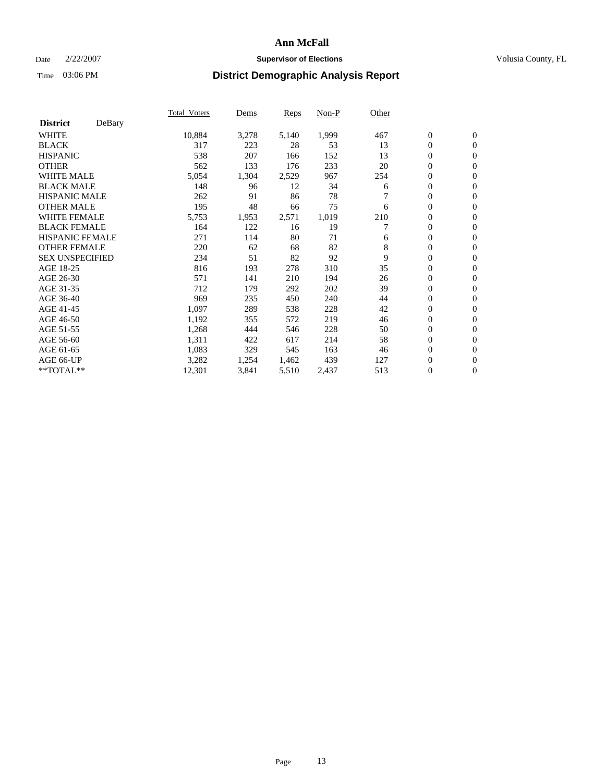### Date  $2/22/2007$  **Supervisor of Elections Supervisor of Elections** Volusia County, FL

|                        |        | Total_Voters | Dems  | <b>Reps</b> | Non-P | Other |                  |                  |  |
|------------------------|--------|--------------|-------|-------------|-------|-------|------------------|------------------|--|
| <b>District</b>        | DeBary |              |       |             |       |       |                  |                  |  |
| <b>WHITE</b>           |        | 10,884       | 3,278 | 5,140       | 1,999 | 467   | $\boldsymbol{0}$ | $\mathbf{0}$     |  |
| <b>BLACK</b>           |        | 317          | 223   | 28          | 53    | 13    | $\overline{0}$   | $\mathbf{0}$     |  |
| <b>HISPANIC</b>        |        | 538          | 207   | 166         | 152   | 13    | $\overline{0}$   | $\mathbf{0}$     |  |
| <b>OTHER</b>           |        | 562          | 133   | 176         | 233   | 20    | $\overline{0}$   | $\mathbf{0}$     |  |
| <b>WHITE MALE</b>      |        | 5,054        | 1,304 | 2,529       | 967   | 254   | $\overline{0}$   | $\mathbf{0}$     |  |
| <b>BLACK MALE</b>      |        | 148          | 96    | 12          | 34    | 6     | $\boldsymbol{0}$ | $\mathbf{0}$     |  |
| <b>HISPANIC MALE</b>   |        | 262          | 91    | 86          | 78    |       | 0                | $\mathbf{0}$     |  |
| <b>OTHER MALE</b>      |        | 195          | 48    | 66          | 75    | 6     | $\boldsymbol{0}$ | $\mathbf{0}$     |  |
| <b>WHITE FEMALE</b>    |        | 5,753        | 1,953 | 2,571       | 1,019 | 210   | $\overline{0}$   | $\mathbf{0}$     |  |
| <b>BLACK FEMALE</b>    |        | 164          | 122   | 16          | 19    |       | $\overline{0}$   | $\mathbf{0}$     |  |
| <b>HISPANIC FEMALE</b> |        | 271          | 114   | 80          | 71    | 6     | $\overline{0}$   | $\mathbf{0}$     |  |
| <b>OTHER FEMALE</b>    |        | 220          | 62    | 68          | 82    | 8     | $\overline{0}$   | $\mathbf{0}$     |  |
| <b>SEX UNSPECIFIED</b> |        | 234          | 51    | 82          | 92    | 9     | $\boldsymbol{0}$ | $\mathbf{0}$     |  |
| AGE 18-25              |        | 816          | 193   | 278         | 310   | 35    | 0                | $\mathbf{0}$     |  |
| AGE 26-30              |        | 571          | 141   | 210         | 194   | 26    | $\boldsymbol{0}$ | $\mathbf{0}$     |  |
| AGE 31-35              |        | 712          | 179   | 292         | 202   | 39    | 0                | $\mathbf{0}$     |  |
| AGE 36-40              |        | 969          | 235   | 450         | 240   | 44    | $\boldsymbol{0}$ | $\mathbf{0}$     |  |
| AGE 41-45              |        | 1,097        | 289   | 538         | 228   | 42    | $\mathbf{0}$     | $\mathbf{0}$     |  |
| AGE 46-50              |        | 1,192        | 355   | 572         | 219   | 46    | $\overline{0}$   | $\mathbf{0}$     |  |
| AGE 51-55              |        | 1,268        | 444   | 546         | 228   | 50    | $\mathbf{0}$     | $\mathbf{0}$     |  |
| AGE 56-60              |        | 1,311        | 422   | 617         | 214   | 58    | $\boldsymbol{0}$ | $\mathbf{0}$     |  |
| AGE 61-65              |        | 1,083        | 329   | 545         | 163   | 46    | $\boldsymbol{0}$ | $\mathbf{0}$     |  |
| AGE 66-UP              |        | 3,282        | 1,254 | 1,462       | 439   | 127   | 0                | $\mathbf{0}$     |  |
| $*$ TOTAL $**$         |        | 12,301       | 3,841 | 5,510       | 2,437 | 513   | 0                | $\boldsymbol{0}$ |  |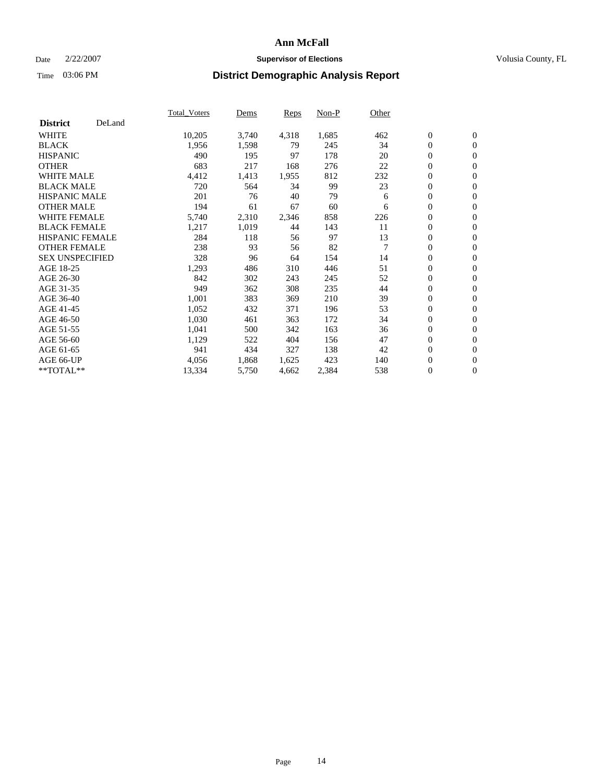### Date  $2/22/2007$  **Supervisor of Elections Supervisor of Elections** Volusia County, FL

|                        |        | Total_Voters | Dems  | <b>Reps</b> | Non-P | Other          |                  |                  |  |
|------------------------|--------|--------------|-------|-------------|-------|----------------|------------------|------------------|--|
| <b>District</b>        | DeLand |              |       |             |       |                |                  |                  |  |
| <b>WHITE</b>           |        | 10,205       | 3,740 | 4,318       | 1,685 | 462            | $\boldsymbol{0}$ | $\mathbf{0}$     |  |
| <b>BLACK</b>           |        | 1,956        | 1,598 | 79          | 245   | 34             | $\overline{0}$   | $\mathbf{0}$     |  |
| <b>HISPANIC</b>        |        | 490          | 195   | 97          | 178   | 20             | $\overline{0}$   | $\mathbf{0}$     |  |
| <b>OTHER</b>           |        | 683          | 217   | 168         | 276   | 22             | $\overline{0}$   | $\mathbf{0}$     |  |
| <b>WHITE MALE</b>      |        | 4,412        | 1,413 | 1,955       | 812   | 232            | $\overline{0}$   | $\mathbf{0}$     |  |
| <b>BLACK MALE</b>      |        | 720          | 564   | 34          | 99    | 23             | $\boldsymbol{0}$ | $\mathbf{0}$     |  |
| <b>HISPANIC MALE</b>   |        | 201          | 76    | 40          | 79    | 6              | 0                | $\mathbf{0}$     |  |
| <b>OTHER MALE</b>      |        | 194          | 61    | 67          | 60    | 6              | $\boldsymbol{0}$ | $\mathbf{0}$     |  |
| <b>WHITE FEMALE</b>    |        | 5,740        | 2,310 | 2,346       | 858   | 226            | $\overline{0}$   | $\mathbf{0}$     |  |
| <b>BLACK FEMALE</b>    |        | 1,217        | 1,019 | 44          | 143   | 11             | $\overline{0}$   | $\mathbf{0}$     |  |
| <b>HISPANIC FEMALE</b> |        | 284          | 118   | 56          | 97    | 13             | $\mathbf{0}$     | $\mathbf{0}$     |  |
| <b>OTHER FEMALE</b>    |        | 238          | 93    | 56          | 82    | $\overline{7}$ | $\mathbf{0}$     | $\mathbf{0}$     |  |
| <b>SEX UNSPECIFIED</b> |        | 328          | 96    | 64          | 154   | 14             | $\boldsymbol{0}$ | $\boldsymbol{0}$ |  |
| AGE 18-25              |        | 1,293        | 486   | 310         | 446   | 51             | $\overline{0}$   | $\mathbf{0}$     |  |
| AGE 26-30              |        | 842          | 302   | 243         | 245   | 52             | $\boldsymbol{0}$ | $\mathbf{0}$     |  |
| AGE 31-35              |        | 949          | 362   | 308         | 235   | 44             | 0                | $\mathbf{0}$     |  |
| AGE 36-40              |        | 1,001        | 383   | 369         | 210   | 39             | $\boldsymbol{0}$ | $\mathbf{0}$     |  |
| AGE 41-45              |        | 1,052        | 432   | 371         | 196   | 53             | $\mathbf{0}$     | $\mathbf{0}$     |  |
| AGE 46-50              |        | 1,030        | 461   | 363         | 172   | 34             | $\overline{0}$   | $\mathbf{0}$     |  |
| AGE 51-55              |        | 1,041        | 500   | 342         | 163   | 36             | $\mathbf{0}$     | $\mathbf{0}$     |  |
| AGE 56-60              |        | 1,129        | 522   | 404         | 156   | 47             | $\boldsymbol{0}$ | $\mathbf{0}$     |  |
| AGE 61-65              |        | 941          | 434   | 327         | 138   | 42             | $\boldsymbol{0}$ | $\mathbf{0}$     |  |
| AGE 66-UP              |        | 4,056        | 1,868 | 1,625       | 423   | 140            | 0                | $\mathbf{0}$     |  |
| $*$ TOTAL $**$         |        | 13,334       | 5,750 | 4,662       | 2,384 | 538            | $\boldsymbol{0}$ | $\boldsymbol{0}$ |  |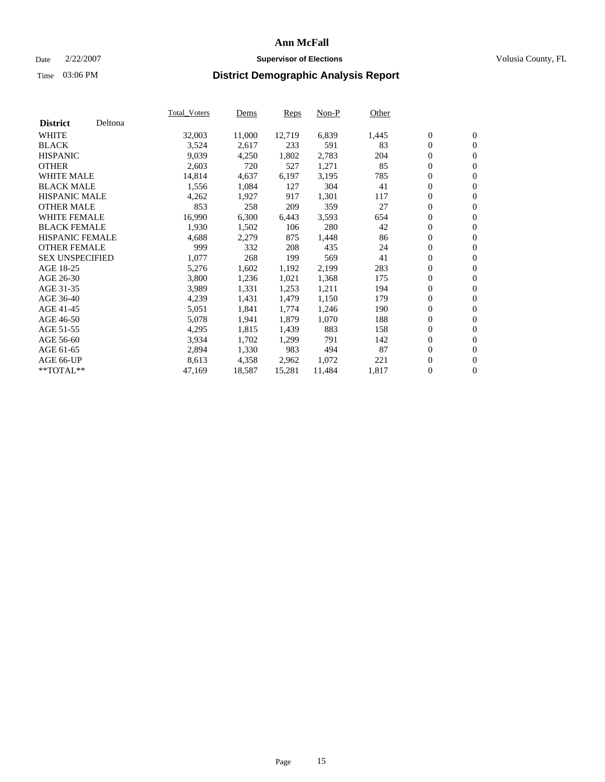#### Date  $2/22/2007$  **Supervisor of Elections** Volusia County, FL

|                            | <b>Total_Voters</b> | Dems   | <b>Reps</b> | Non-P  | Other |                  |                |  |
|----------------------------|---------------------|--------|-------------|--------|-------|------------------|----------------|--|
| Deltona<br><b>District</b> |                     |        |             |        |       |                  |                |  |
| <b>WHITE</b>               | 32,003              | 11,000 | 12,719      | 6,839  | 1,445 | $\boldsymbol{0}$ | $\mathbf{0}$   |  |
| <b>BLACK</b>               | 3,524               | 2,617  | 233         | 591    | 83    | $\overline{0}$   | $\mathbf{0}$   |  |
| <b>HISPANIC</b>            | 9,039               | 4,250  | 1,802       | 2,783  | 204   | 0                | $\overline{0}$ |  |
| <b>OTHER</b>               | 2,603               | 720    | 527         | 1,271  | 85    | 0                | $\mathbf{0}$   |  |
| <b>WHITE MALE</b>          | 14,814              | 4,637  | 6,197       | 3,195  | 785   | 0                | $\mathbf{0}$   |  |
| <b>BLACK MALE</b>          | 1,556               | 1,084  | 127         | 304    | 41    | $\boldsymbol{0}$ | $\mathbf{0}$   |  |
| <b>HISPANIC MALE</b>       | 4,262               | 1,927  | 917         | 1,301  | 117   | 0                | $\mathbf{0}$   |  |
| <b>OTHER MALE</b>          | 853                 | 258    | 209         | 359    | 27    | $\overline{0}$   | $\mathbf{0}$   |  |
| <b>WHITE FEMALE</b>        | 16,990              | 6,300  | 6,443       | 3,593  | 654   | $\overline{0}$   | $\overline{0}$ |  |
| <b>BLACK FEMALE</b>        | 1,930               | 1,502  | 106         | 280    | 42    | 0                | $\mathbf{0}$   |  |
| <b>HISPANIC FEMALE</b>     | 4,688               | 2,279  | 875         | 1,448  | 86    | 0                | $\mathbf{0}$   |  |
| <b>OTHER FEMALE</b>        | 999                 | 332    | 208         | 435    | 24    | 0                | $\overline{0}$ |  |
| <b>SEX UNSPECIFIED</b>     | 1,077               | 268    | 199         | 569    | 41    | 0                | $\mathbf{0}$   |  |
| AGE 18-25                  | 5,276               | 1,602  | 1,192       | 2,199  | 283   | $\boldsymbol{0}$ | $\mathbf{0}$   |  |
| AGE 26-30                  | 3,800               | 1,236  | 1,021       | 1,368  | 175   | $\overline{0}$   | $\mathbf{0}$   |  |
| AGE 31-35                  | 3,989               | 1,331  | 1,253       | 1,211  | 194   | 0                | $\overline{0}$ |  |
| AGE 36-40                  | 4,239               | 1,431  | 1,479       | 1,150  | 179   | 0                | $\mathbf{0}$   |  |
| AGE 41-45                  | 5,051               | 1,841  | 1,774       | 1,246  | 190   | 0                | $\mathbf{0}$   |  |
| AGE 46-50                  | 5,078               | 1,941  | 1,879       | 1,070  | 188   | 0                | $\mathbf{0}$   |  |
| AGE 51-55                  | 4,295               | 1,815  | 1,439       | 883    | 158   | $\boldsymbol{0}$ | $\mathbf{0}$   |  |
| AGE 56-60                  | 3,934               | 1,702  | 1,299       | 791    | 142   | $\overline{0}$   | $\mathbf{0}$   |  |
| AGE 61-65                  | 2,894               | 1,330  | 983         | 494    | 87    | $\overline{0}$   | $\mathbf{0}$   |  |
| AGE 66-UP                  | 8,613               | 4,358  | 2,962       | 1,072  | 221   | 0                | $\mathbf{0}$   |  |
| **TOTAL**                  | 47,169              | 18,587 | 15,281      | 11,484 | 1,817 | 0                | $\overline{0}$ |  |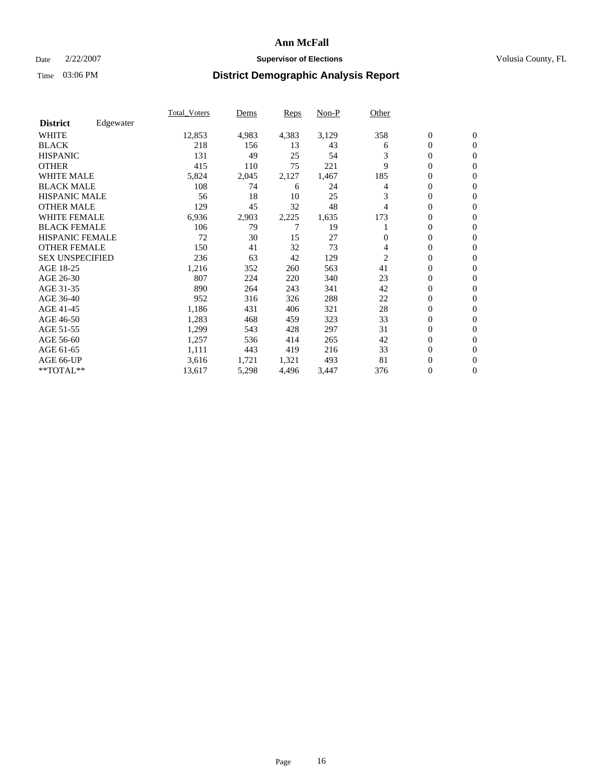### Date  $2/22/2007$  **Supervisor of Elections Supervisor of Elections** Volusia County, FL

|                        |           | Total Voters | Dems  | <b>Reps</b> | Non-P | Other          |                  |                  |  |
|------------------------|-----------|--------------|-------|-------------|-------|----------------|------------------|------------------|--|
| <b>District</b>        | Edgewater |              |       |             |       |                |                  |                  |  |
| <b>WHITE</b>           |           | 12,853       | 4,983 | 4,383       | 3,129 | 358            | $\boldsymbol{0}$ | $\mathbf{0}$     |  |
| <b>BLACK</b>           |           | 218          | 156   | 13          | 43    | 6              | $\overline{0}$   | $\mathbf{0}$     |  |
| <b>HISPANIC</b>        |           | 131          | 49    | 25          | 54    | 3              | $\overline{0}$   | $\mathbf{0}$     |  |
| <b>OTHER</b>           |           | 415          | 110   | 75          | 221   | 9              | 0                | $\mathbf{0}$     |  |
| <b>WHITE MALE</b>      |           | 5,824        | 2,045 | 2,127       | 1,467 | 185            | 0                | $\mathbf{0}$     |  |
| <b>BLACK MALE</b>      |           | 108          | 74    | 6           | 24    | 4              | $\boldsymbol{0}$ | $\mathbf{0}$     |  |
| <b>HISPANIC MALE</b>   |           | 56           | 18    | 10          | 25    | 3              | 0                | $\mathbf{0}$     |  |
| <b>OTHER MALE</b>      |           | 129          | 45    | 32          | 48    | 4              | 0                | $\mathbf{0}$     |  |
| <b>WHITE FEMALE</b>    |           | 6,936        | 2,903 | 2,225       | 1,635 | 173            | 0                | $\Omega$         |  |
| <b>BLACK FEMALE</b>    |           | 106          | 79    |             | 19    |                | $\overline{0}$   | $\mathbf{0}$     |  |
| <b>HISPANIC FEMALE</b> |           | 72           | 30    | 15          | 27    | 0              | 0                | $\mathbf{0}$     |  |
| <b>OTHER FEMALE</b>    |           | 150          | 41    | 32          | 73    | 4              | $\overline{0}$   | $\mathbf{0}$     |  |
| <b>SEX UNSPECIFIED</b> |           | 236          | 63    | 42          | 129   | $\overline{c}$ | $\boldsymbol{0}$ | $\mathbf{0}$     |  |
| AGE 18-25              |           | 1,216        | 352   | 260         | 563   | 41             | $\overline{0}$   | $\mathbf{0}$     |  |
| AGE 26-30              |           | 807          | 224   | 220         | 340   | 23             | $\boldsymbol{0}$ | $\mathbf{0}$     |  |
| AGE 31-35              |           | 890          | 264   | 243         | 341   | 42             | 0                | $\overline{0}$   |  |
| AGE 36-40              |           | 952          | 316   | 326         | 288   | 22             | $\boldsymbol{0}$ | $\mathbf{0}$     |  |
| AGE 41-45              |           | 1,186        | 431   | 406         | 321   | 28             | $\overline{0}$   | $\mathbf{0}$     |  |
| AGE 46-50              |           | 1,283        | 468   | 459         | 323   | 33             | $\overline{0}$   | $\mathbf{0}$     |  |
| AGE 51-55              |           | 1,299        | 543   | 428         | 297   | 31             | 0                | $\mathbf{0}$     |  |
| AGE 56-60              |           | 1,257        | 536   | 414         | 265   | 42             | $\overline{0}$   | $\mathbf{0}$     |  |
| AGE 61-65              |           | 1,111        | 443   | 419         | 216   | 33             | $\boldsymbol{0}$ | $\mathbf{0}$     |  |
| AGE 66-UP              |           | 3,616        | 1,721 | 1,321       | 493   | 81             | 0                | 0                |  |
| $*$ TOTAL $**$         |           | 13,617       | 5,298 | 4,496       | 3,447 | 376            | 0                | $\boldsymbol{0}$ |  |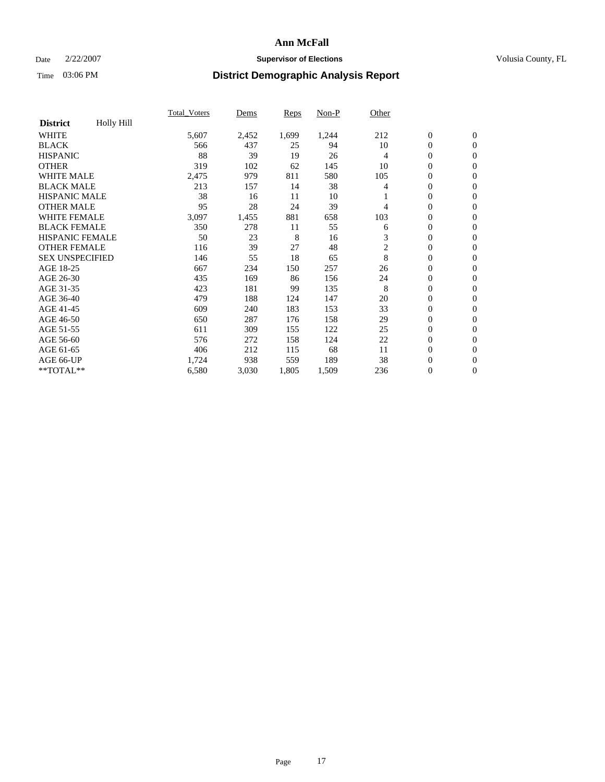### Date  $2/22/2007$  **Supervisor of Elections Supervisor of Elections** Volusia County, FL

|                        |            | Total Voters | Dems  | <b>Reps</b> | Non-P | Other          |                  |                  |  |
|------------------------|------------|--------------|-------|-------------|-------|----------------|------------------|------------------|--|
| <b>District</b>        | Holly Hill |              |       |             |       |                |                  |                  |  |
| <b>WHITE</b>           |            | 5,607        | 2,452 | 1,699       | 1,244 | 212            | $\boldsymbol{0}$ | $\mathbf{0}$     |  |
| <b>BLACK</b>           |            | 566          | 437   | 25          | 94    | 10             | $\overline{0}$   | $\mathbf{0}$     |  |
| <b>HISPANIC</b>        |            | 88           | 39    | 19          | 26    | $\overline{4}$ | $\overline{0}$   | $\mathbf{0}$     |  |
| <b>OTHER</b>           |            | 319          | 102   | 62          | 145   | 10             | $\overline{0}$   | $\mathbf{0}$     |  |
| <b>WHITE MALE</b>      |            | 2,475        | 979   | 811         | 580   | 105            | $\overline{0}$   | $\mathbf{0}$     |  |
| <b>BLACK MALE</b>      |            | 213          | 157   | 14          | 38    | 4              | $\boldsymbol{0}$ | $\mathbf{0}$     |  |
| <b>HISPANIC MALE</b>   |            | 38           | 16    | 11          | 10    |                | 0                | $\mathbf{0}$     |  |
| <b>OTHER MALE</b>      |            | 95           | 28    | 24          | 39    | 4              | 0                | $\mathbf{0}$     |  |
| <b>WHITE FEMALE</b>    |            | 3,097        | 1,455 | 881         | 658   | 103            | 0                | $\Omega$         |  |
| <b>BLACK FEMALE</b>    |            | 350          | 278   | 11          | 55    | 6              | $\boldsymbol{0}$ | $\mathbf{0}$     |  |
| <b>HISPANIC FEMALE</b> |            | 50           | 23    | 8           | 16    | 3              | 0                | $\mathbf{0}$     |  |
| <b>OTHER FEMALE</b>    |            | 116          | 39    | 27          | 48    | $\overline{c}$ | $\overline{0}$   | $\mathbf{0}$     |  |
| <b>SEX UNSPECIFIED</b> |            | 146          | 55    | 18          | 65    | 8              | $\boldsymbol{0}$ | $\mathbf{0}$     |  |
| AGE 18-25              |            | 667          | 234   | 150         | 257   | 26             | 0                | $\mathbf{0}$     |  |
| AGE 26-30              |            | 435          | 169   | 86          | 156   | 24             | $\boldsymbol{0}$ | $\mathbf{0}$     |  |
| AGE 31-35              |            | 423          | 181   | 99          | 135   | 8              | 0                | $\mathbf{0}$     |  |
| AGE 36-40              |            | 479          | 188   | 124         | 147   | 20             | $\boldsymbol{0}$ | $\mathbf{0}$     |  |
| AGE 41-45              |            | 609          | 240   | 183         | 153   | 33             | $\mathbf{0}$     | $\mathbf{0}$     |  |
| AGE 46-50              |            | 650          | 287   | 176         | 158   | 29             | $\overline{0}$   | $\mathbf{0}$     |  |
| AGE 51-55              |            | 611          | 309   | 155         | 122   | 25             | $\overline{0}$   | $\mathbf{0}$     |  |
| AGE 56-60              |            | 576          | 272   | 158         | 124   | 22             | $\boldsymbol{0}$ | $\mathbf{0}$     |  |
| AGE 61-65              |            | 406          | 212   | 115         | 68    | 11             | $\boldsymbol{0}$ | $\mathbf{0}$     |  |
| AGE 66-UP              |            | 1,724        | 938   | 559         | 189   | 38             | 0                | 0                |  |
| $*$ TOTAL $**$         |            | 6,580        | 3,030 | 1,805       | 1,509 | 236            | 0                | $\boldsymbol{0}$ |  |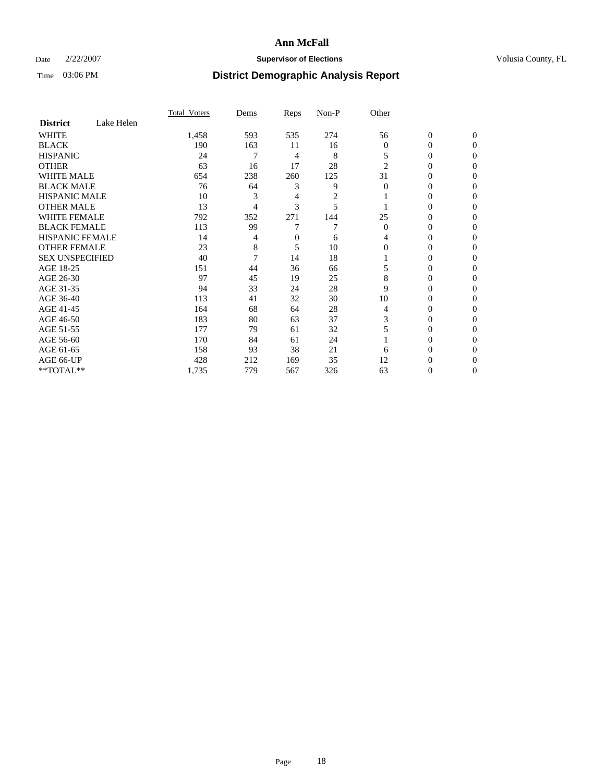### Date  $2/22/2007$  **Supervisor of Elections Supervisor of Elections** Volusia County, FL

|                        |            | <b>Total Voters</b> | Dems | Reps | Non-P | Other          |                  |              |  |
|------------------------|------------|---------------------|------|------|-------|----------------|------------------|--------------|--|
| <b>District</b>        | Lake Helen |                     |      |      |       |                |                  |              |  |
| <b>WHITE</b>           |            | 1,458               | 593  | 535  | 274   | 56             | $\boldsymbol{0}$ | $\mathbf{0}$ |  |
| <b>BLACK</b>           |            | 190                 | 163  | 11   | 16    | $\overline{0}$ | 0                | $\mathbf{0}$ |  |
| <b>HISPANIC</b>        |            | 24                  | 7    | 4    | 8     | 5              | 0                | $\Omega$     |  |
| <b>OTHER</b>           |            | 63                  | 16   | 17   | 28    | $\overline{2}$ | $\overline{0}$   | $\theta$     |  |
| <b>WHITE MALE</b>      |            | 654                 | 238  | 260  | 125   | 31             | 0                | $\theta$     |  |
| <b>BLACK MALE</b>      |            | 76                  | 64   | 3    | 9     | $\theta$       | 0                | 0            |  |
| <b>HISPANIC MALE</b>   |            | 10                  | 3    | 4    | 2     |                | 0                | 0            |  |
| <b>OTHER MALE</b>      |            | 13                  | 4    | 3    | 5     |                | 0                | 0            |  |
| <b>WHITE FEMALE</b>    |            | 792                 | 352  | 271  | 144   | 25             | 0                | 0            |  |
| <b>BLACK FEMALE</b>    |            | 113                 | 99   |      | 7     | $\Omega$       | 0                | 0            |  |
| <b>HISPANIC FEMALE</b> |            | 14                  | 4    | 0    | 6     | 4              | 0                | $\Omega$     |  |
| <b>OTHER FEMALE</b>    |            | 23                  | 8    | 5    | 10    | $\Omega$       | 0                | $\theta$     |  |
| <b>SEX UNSPECIFIED</b> |            | 40                  | 7    | 14   | 18    |                | 0                | $\theta$     |  |
| AGE 18-25              |            | 151                 | 44   | 36   | 66    |                | 0                | $_{0}$       |  |
| AGE 26-30              |            | 97                  | 45   | 19   | 25    | 8              | 0                | 0            |  |
| AGE 31-35              |            | 94                  | 33   | 24   | 28    | 9              | 0                | 0            |  |
| AGE 36-40              |            | 113                 | 41   | 32   | 30    | 10             | 0                | 0            |  |
| AGE 41-45              |            | 164                 | 68   | 64   | 28    | 4              | 0                | 0            |  |
| AGE 46-50              |            | 183                 | 80   | 63   | 37    | 3              | 0                | $\Omega$     |  |
| AGE 51-55              |            | 177                 | 79   | 61   | 32    |                | 0                | $\Omega$     |  |
| AGE 56-60              |            | 170                 | 84   | 61   | 24    |                | 0                | $\theta$     |  |
| AGE 61-65              |            | 158                 | 93   | 38   | 21    | 6              | 0                | 0            |  |
| AGE 66-UP              |            | 428                 | 212  | 169  | 35    | 12             | 0                |              |  |
| **TOTAL**              |            | 1,735               | 779  | 567  | 326   | 63             | 0                | 0            |  |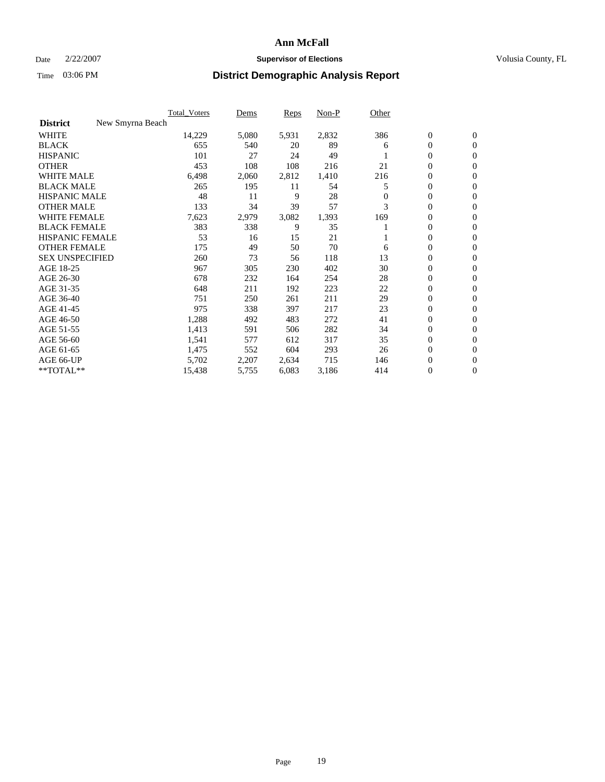#### Date  $2/22/2007$  **Supervisor of Elections** Volusia County, FL

|                                     | <b>Total Voters</b> | Dems  | Reps  | Non-P | Other    |                  |              |  |
|-------------------------------------|---------------------|-------|-------|-------|----------|------------------|--------------|--|
| New Smyrna Beach<br><b>District</b> |                     |       |       |       |          |                  |              |  |
| <b>WHITE</b>                        | 14,229              | 5,080 | 5,931 | 2,832 | 386      | $\mathbf{0}$     | $\mathbf{0}$ |  |
| <b>BLACK</b>                        | 655                 | 540   | 20    | 89    | 6        | 0                | $\mathbf{0}$ |  |
| <b>HISPANIC</b>                     | 101                 | 27    | 24    | 49    |          | 0                | $\mathbf{0}$ |  |
| <b>OTHER</b>                        | 453                 | 108   | 108   | 216   | 21       | 0                | $\mathbf{0}$ |  |
| <b>WHITE MALE</b>                   | 6,498               | 2,060 | 2,812 | 1,410 | 216      | 0                | $\mathbf{0}$ |  |
| <b>BLACK MALE</b>                   | 265                 | 195   | 11    | 54    | 5        | 0                | $\mathbf{0}$ |  |
| <b>HISPANIC MALE</b>                | 48                  | 11    | 9     | 28    | $\Omega$ | 0                | $\mathbf{0}$ |  |
| <b>OTHER MALE</b>                   | 133                 | 34    | 39    | 57    | 3        | $\mathbf{0}$     | $\mathbf{0}$ |  |
| <b>WHITE FEMALE</b>                 | 7,623               | 2,979 | 3,082 | 1,393 | 169      | 0                | $\mathbf{0}$ |  |
| <b>BLACK FEMALE</b>                 | 383                 | 338   | 9     | 35    |          | $\mathbf{0}$     | $\mathbf{0}$ |  |
| <b>HISPANIC FEMALE</b>              | 53                  | 16    | 15    | 21    |          | 0                | $\mathbf{0}$ |  |
| <b>OTHER FEMALE</b>                 | 175                 | 49    | 50    | 70    | 6        | 0                | $\mathbf{0}$ |  |
| <b>SEX UNSPECIFIED</b>              | 260                 | 73    | 56    | 118   | 13       | $\mathbf{0}$     | $\mathbf{0}$ |  |
| AGE 18-25                           | 967                 | 305   | 230   | 402   | 30       | 0                | $\mathbf{0}$ |  |
| AGE 26-30                           | 678                 | 232   | 164   | 254   | 28       | $\mathbf{0}$     | $\mathbf{0}$ |  |
| AGE 31-35                           | 648                 | 211   | 192   | 223   | 22       | 0                | $\mathbf{0}$ |  |
| AGE 36-40                           | 751                 | 250   | 261   | 211   | 29       | $\boldsymbol{0}$ | $\mathbf{0}$ |  |
| AGE 41-45                           | 975                 | 338   | 397   | 217   | 23       | 0                | $\mathbf{0}$ |  |
| AGE 46-50                           | 1,288               | 492   | 483   | 272   | 41       | 0                | $\mathbf{0}$ |  |
| AGE 51-55                           | 1,413               | 591   | 506   | 282   | 34       | $\boldsymbol{0}$ | $\mathbf{0}$ |  |
| AGE 56-60                           | 1,541               | 577   | 612   | 317   | 35       | $\mathbf{0}$     | $\mathbf{0}$ |  |
| AGE 61-65                           | 1,475               | 552   | 604   | 293   | 26       | $\mathbf{0}$     | $\mathbf{0}$ |  |
| AGE 66-UP                           | 5,702               | 2,207 | 2,634 | 715   | 146      | 0                | $\mathbf{0}$ |  |
| **TOTAL**                           | 15,438              | 5,755 | 6,083 | 3,186 | 414      | 0                | $\mathbf{0}$ |  |
|                                     |                     |       |       |       |          |                  |              |  |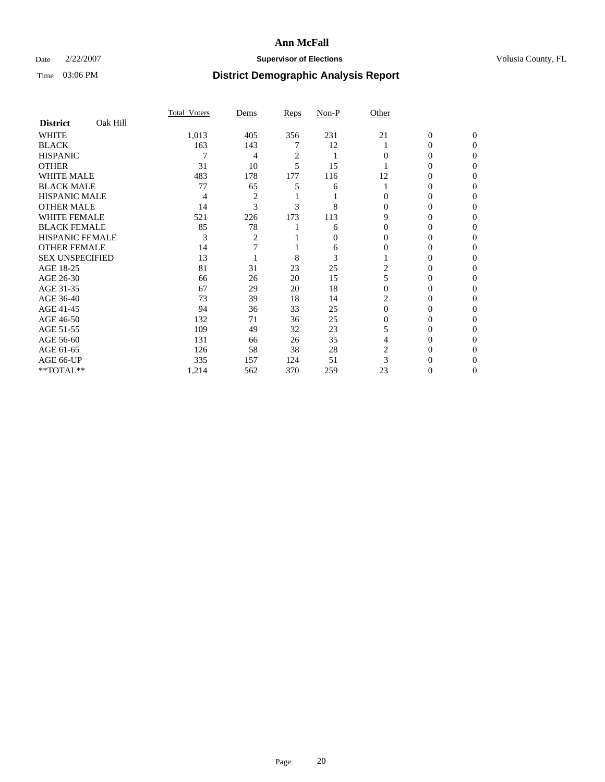### Date  $2/22/2007$  **Supervisor of Elections Supervisor of Elections** Volusia County, FL

|                        |          | Total Voters | Dems | Reps | Non-P    | Other    |                |              |  |
|------------------------|----------|--------------|------|------|----------|----------|----------------|--------------|--|
| <b>District</b>        | Oak Hill |              |      |      |          |          |                |              |  |
| <b>WHITE</b>           |          | 1,013        | 405  | 356  | 231      | 21       | $\overline{0}$ | $\mathbf{0}$ |  |
| <b>BLACK</b>           |          | 163          | 143  |      | 12       |          | 0              | $\Omega$     |  |
| <b>HISPANIC</b>        |          |              | 4    | 2    |          | 0        | 0              | $\Omega$     |  |
| <b>OTHER</b>           |          | 31           | 10   | 5    | 15       |          |                | 0            |  |
| <b>WHITE MALE</b>      |          | 483          | 178  | 177  | 116      | 12       | 0              | 0            |  |
| <b>BLACK MALE</b>      |          | 77           | 65   |      | 6        |          | 0              | $\theta$     |  |
| <b>HISPANIC MALE</b>   |          | 4            | 2    |      |          |          | 0              |              |  |
| <b>OTHER MALE</b>      |          | 14           | 3    | 3    | 8        | 0        | 0              | 0            |  |
| <b>WHITE FEMALE</b>    |          | 521          | 226  | 173  | 113      | 9        | 0              | 0            |  |
| <b>BLACK FEMALE</b>    |          | 85           | 78   |      | 6        | $\Omega$ | 0              | 0            |  |
| HISPANIC FEMALE        |          | 3            | 2    |      | $\Omega$ |          |                | 0            |  |
| <b>OTHER FEMALE</b>    |          | 14           |      |      | 6        |          | 0              | 0            |  |
| <b>SEX UNSPECIFIED</b> |          | 13           |      | 8    | 3        |          | 0              | 0            |  |
| AGE 18-25              |          | 81           | 31   | 23   | 25       | 2        | 0              |              |  |
| AGE 26-30              |          | 66           | 26   | 20   | 15       |          | 0              | $\theta$     |  |
| AGE 31-35              |          | 67           | 29   | 20   | 18       |          | 0              |              |  |
| AGE 36-40              |          | 73           | 39   | 18   | 14       |          | 0              | 0            |  |
| AGE 41-45              |          | 94           | 36   | 33   | 25       | $\Omega$ | $_{0}$         | 0            |  |
| AGE 46-50              |          | 132          | 71   | 36   | 25       | 0        | 0              | 0            |  |
| AGE 51-55              |          | 109          | 49   | 32   | 23       |          | 0              | 0            |  |
| AGE 56-60              |          | 131          | 66   | 26   | 35       |          | 0              | 0            |  |
| AGE 61-65              |          | 126          | 58   | 38   | 28       | 2        | 0              |              |  |
| AGE 66-UP              |          | 335          | 157  | 124  | 51       |          |                |              |  |
| **TOTAL**              |          | 1,214        | 562  | 370  | 259      | 23       | 0              | 0            |  |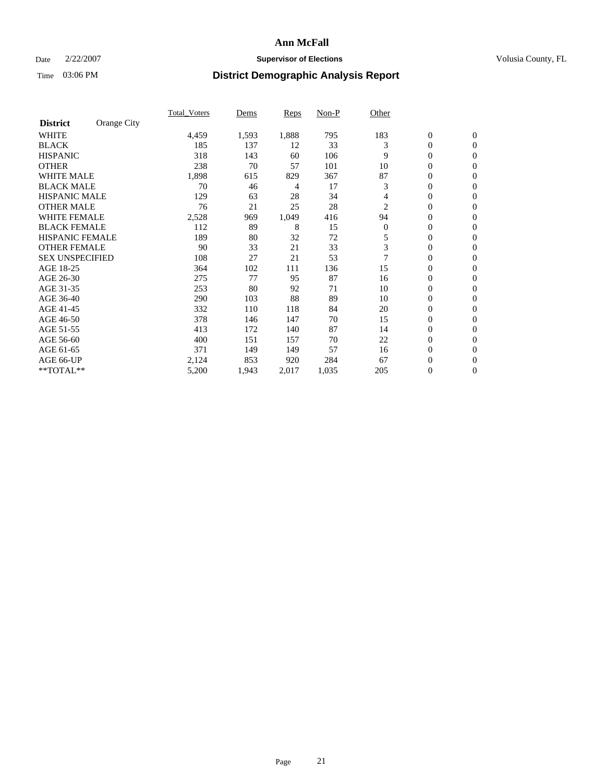### Date  $2/22/2007$  **Supervisor of Elections Supervisor of Elections** Volusia County, FL

|                        |             | <b>Total Voters</b> | Dems  | Reps  | Non-P | Other          |                  |                  |  |
|------------------------|-------------|---------------------|-------|-------|-------|----------------|------------------|------------------|--|
| <b>District</b>        | Orange City |                     |       |       |       |                |                  |                  |  |
| <b>WHITE</b>           |             | 4,459               | 1,593 | 1,888 | 795   | 183            | $\boldsymbol{0}$ | $\mathbf{0}$     |  |
| <b>BLACK</b>           |             | 185                 | 137   | 12    | 33    | 3              | $\mathbf{0}$     | $\mathbf{0}$     |  |
| <b>HISPANIC</b>        |             | 318                 | 143   | 60    | 106   | 9              | 0                | $\mathbf{0}$     |  |
| <b>OTHER</b>           |             | 238                 | 70    | 57    | 101   | 10             | 0                | $\mathbf{0}$     |  |
| <b>WHITE MALE</b>      |             | 1,898               | 615   | 829   | 367   | 87             | 0                | $\mathbf{0}$     |  |
| <b>BLACK MALE</b>      |             | 70                  | 46    | 4     | 17    | 3              | 0                | $\mathbf{0}$     |  |
| <b>HISPANIC MALE</b>   |             | 129                 | 63    | 28    | 34    | 4              | 0                | $\mathbf{0}$     |  |
| <b>OTHER MALE</b>      |             | 76                  | 21    | 25    | 28    | 2              | $\mathbf{0}$     | $\mathbf{0}$     |  |
| <b>WHITE FEMALE</b>    |             | 2,528               | 969   | 1,049 | 416   | 94             | 0                | $\mathbf{0}$     |  |
| <b>BLACK FEMALE</b>    |             | 112                 | 89    | 8     | 15    | $\overline{0}$ | $\boldsymbol{0}$ | $\mathbf{0}$     |  |
| <b>HISPANIC FEMALE</b> |             | 189                 | 80    | 32    | 72    | 5              | $\boldsymbol{0}$ | $\mathbf{0}$     |  |
| <b>OTHER FEMALE</b>    |             | 90                  | 33    | 21    | 33    | 3              | 0                | $\mathbf{0}$     |  |
| <b>SEX UNSPECIFIED</b> |             | 108                 | 27    | 21    | 53    |                | 0                | $\mathbf{0}$     |  |
| AGE 18-25              |             | 364                 | 102   | 111   | 136   | 15             | 0                | $\Omega$         |  |
| AGE 26-30              |             | 275                 | 77    | 95    | 87    | 16             | $\mathbf{0}$     | $\mathbf{0}$     |  |
| AGE 31-35              |             | 253                 | 80    | 92    | 71    | 10             | 0                | $\mathbf{0}$     |  |
| AGE 36-40              |             | 290                 | 103   | 88    | 89    | 10             | 0                | $\mathbf{0}$     |  |
| AGE 41-45              |             | 332                 | 110   | 118   | 84    | 20             | 0                | $\mathbf{0}$     |  |
| AGE 46-50              |             | 378                 | 146   | 147   | 70    | 15             | 0                | $\Omega$         |  |
| AGE 51-55              |             | 413                 | 172   | 140   | 87    | 14             | $\boldsymbol{0}$ | $\mathbf{0}$     |  |
| AGE 56-60              |             | 400                 | 151   | 157   | 70    | 22             | 0                | $\mathbf{0}$     |  |
| AGE 61-65              |             | 371                 | 149   | 149   | 57    | 16             | $\mathbf{0}$     | $\mathbf{0}$     |  |
| AGE 66-UP              |             | 2,124               | 853   | 920   | 284   | 67             | $\boldsymbol{0}$ | $\mathbf{0}$     |  |
| **TOTAL**              |             | 5,200               | 1,943 | 2,017 | 1,035 | 205            | 0                | $\boldsymbol{0}$ |  |
|                        |             |                     |       |       |       |                |                  |                  |  |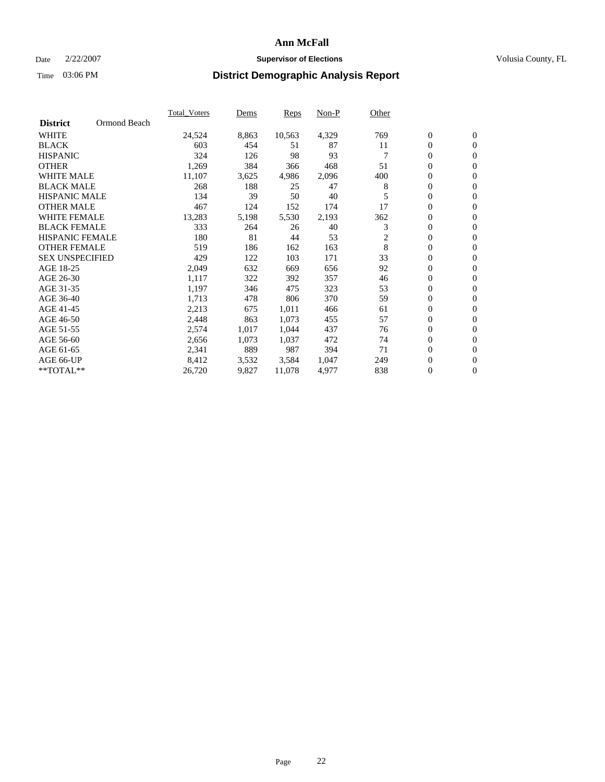#### Date  $2/22/2007$  **Supervisor of Elections** Volusia County, FL

| Ormond Beach<br><b>District</b>                                                           |  |
|-------------------------------------------------------------------------------------------|--|
|                                                                                           |  |
| <b>WHITE</b><br>769<br>$\mathbf{0}$<br>$\mathbf{0}$<br>24,524<br>8,863<br>10,563<br>4,329 |  |
| <b>BLACK</b><br>603<br>87<br>0<br>$\mathbf{0}$<br>454<br>11<br>51                         |  |
| <b>HISPANIC</b><br>324<br>98<br>93<br>0<br>$\overline{0}$<br>126                          |  |
| <b>OTHER</b><br>0<br>1,269<br>384<br>468<br>51<br>366<br>$\mathbf{0}$                     |  |
| <b>WHITE MALE</b><br>0<br>11,107<br>3,625<br>4,986<br>2,096<br>400<br>$\mathbf{0}$        |  |
| <b>BLACK MALE</b><br>188<br>47<br>0<br>268<br>8<br>25<br>$\mathbf{0}$                     |  |
| 0<br><b>HISPANIC MALE</b><br>134<br>39<br>40<br>$\mathbf{0}$<br>50<br>5                   |  |
| 17<br>$\mathbf{0}$<br><b>OTHER MALE</b><br>467<br>$\mathbf{0}$<br>124<br>152<br>174       |  |
| <b>WHITE FEMALE</b><br>362<br>0<br>13,283<br>5,198<br>5,530<br>2,193<br>$\mathbf{0}$      |  |
| <b>BLACK FEMALE</b><br>3<br>$\mathbf{0}$<br>333<br>264<br>40<br>26<br>$\mathbf{0}$        |  |
| <b>HISPANIC FEMALE</b><br>180<br>81<br>53<br>2<br>0<br>44<br>$\mathbf{0}$                 |  |
| 8<br><b>OTHER FEMALE</b><br>163<br>0<br>519<br>186<br>162<br>$\mathbf{0}$                 |  |
| 33<br>0<br><b>SEX UNSPECIFIED</b><br>429<br>103<br>171<br>122<br>$\mathbf{0}$             |  |
| 92<br>0<br>AGE 18-25<br>2,049<br>632<br>656<br>$\mathbf{0}$<br>669                        |  |
| $\mathbf{0}$<br>$\mathbf{0}$<br>AGE 26-30<br>1,117<br>322<br>357<br>46<br>392             |  |
| AGE 31-35<br>53<br>0<br>1,197<br>323<br>$\mathbf{0}$<br>346<br>475                        |  |
| AGE 36-40<br>1,713<br>370<br>59<br>0<br>478<br>806<br>$\mathbf{0}$                        |  |
| 0<br>AGE 41-45<br>2,213<br>1,011<br>466<br>675<br>61<br>$\mathbf{0}$                      |  |
| 57<br>0<br>AGE 46-50<br>2,448<br>863<br>1,073<br>455<br>$\mathbf{0}$                      |  |
| $\boldsymbol{0}$<br>AGE 51-55<br>2,574<br>1,017<br>1,044<br>437<br>76<br>$\mathbf{0}$     |  |
| AGE 56-60<br>1,037<br>0<br>2,656<br>1,073<br>472<br>74<br>$\mathbf{0}$                    |  |
| 889<br>$\mathbf{0}$<br>987<br>394<br>71<br>$\mathbf{0}$<br>AGE 61-65<br>2,341             |  |
| 0<br>AGE 66-UP<br>8,412<br>3,532<br>3,584<br>1,047<br>249<br>$\mathbf{0}$                 |  |
| **TOTAL**<br>0<br>26,720<br>9,827<br>11,078<br>4,977<br>838<br>$\mathbf{0}$               |  |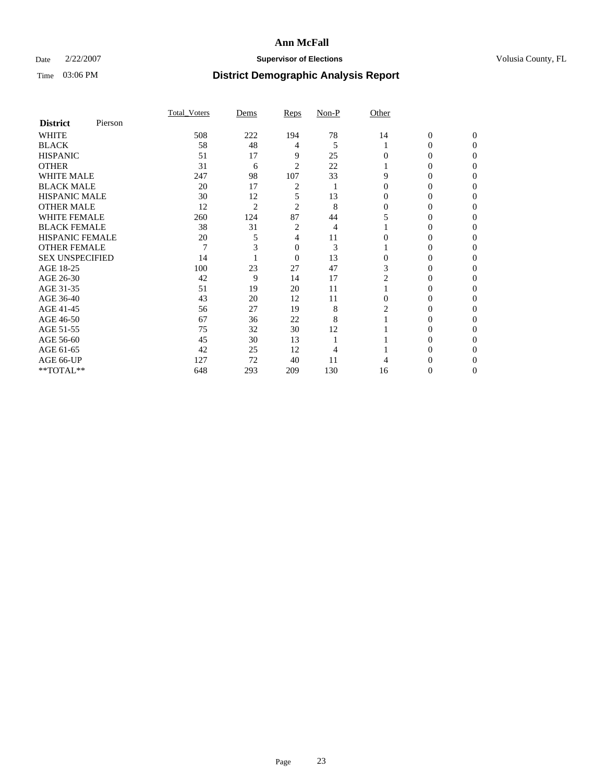### Date  $2/22/2007$  **Supervisor of Elections Supervisor of Elections** Volusia County, FL

|                        |         | <b>Total Voters</b> | Dems           | Reps           | Non-P | Other    |                  |              |  |
|------------------------|---------|---------------------|----------------|----------------|-------|----------|------------------|--------------|--|
| <b>District</b>        | Pierson |                     |                |                |       |          |                  |              |  |
| <b>WHITE</b>           |         | 508                 | 222            | 194            | 78    | 14       | $\boldsymbol{0}$ | $\mathbf{0}$ |  |
| <b>BLACK</b>           |         | 58                  | 48             | 4              | 5     |          | 0                | $\Omega$     |  |
| <b>HISPANIC</b>        |         | 51                  | 17             | 9              | 25    | 0        | 0                | $\theta$     |  |
| <b>OTHER</b>           |         | 31                  | 6              | 2              | 22    |          | 0                |              |  |
| <b>WHITE MALE</b>      |         | 247                 | 98             | 107            | 33    | 9        | 0                |              |  |
| <b>BLACK MALE</b>      |         | 20                  | 17             | 2              |       | 0        | 0                |              |  |
| <b>HISPANIC MALE</b>   |         | 30                  | 12             | 5              | 13    |          | 0                |              |  |
| <b>OTHER MALE</b>      |         | 12                  | $\overline{2}$ | 2              | 8     | $\Omega$ | 0                |              |  |
| <b>WHITE FEMALE</b>    |         | 260                 | 124            | 87             | 44    |          | 0                |              |  |
| <b>BLACK FEMALE</b>    |         | 38                  | 31             | 2              | 4     |          | 0                | 0            |  |
| <b>HISPANIC FEMALE</b> |         | 20                  |                | 4              | 11    |          |                  | 0            |  |
| <b>OTHER FEMALE</b>    |         | 7                   |                | 0              | 3     |          | 0                | 0            |  |
| <b>SEX UNSPECIFIED</b> |         | 14                  |                | $\overline{0}$ | 13    | $\theta$ | 0                |              |  |
| AGE 18-25              |         | 100                 | 23             | 27             | 47    | 3        | 0                |              |  |
| AGE 26-30              |         | 42                  | 9              | 14             | 17    | 2        | 0                |              |  |
| AGE 31-35              |         | 51                  | 19             | 20             | 11    |          | 0                |              |  |
| AGE 36-40              |         | 43                  | 20             | 12             | 11    | $\Omega$ | 0                | 0            |  |
| AGE 41-45              |         | 56                  | 27             | 19             | 8     |          |                  |              |  |
| AGE 46-50              |         | 67                  | 36             | 22             | 8     |          | 0                | 0            |  |
| AGE 51-55              |         | 75                  | 32             | 30             | 12    |          | 0                | 0            |  |
| AGE 56-60              |         | 45                  | 30             | 13             |       |          | 0                |              |  |
| AGE 61-65              |         | 42                  | 25             | 12             |       |          | 0                |              |  |
| AGE 66-UP              |         | 127                 | 72             | 40             | 11    |          |                  |              |  |
| **TOTAL**              |         | 648                 | 293            | 209            | 130   | 16       | 0                | 0            |  |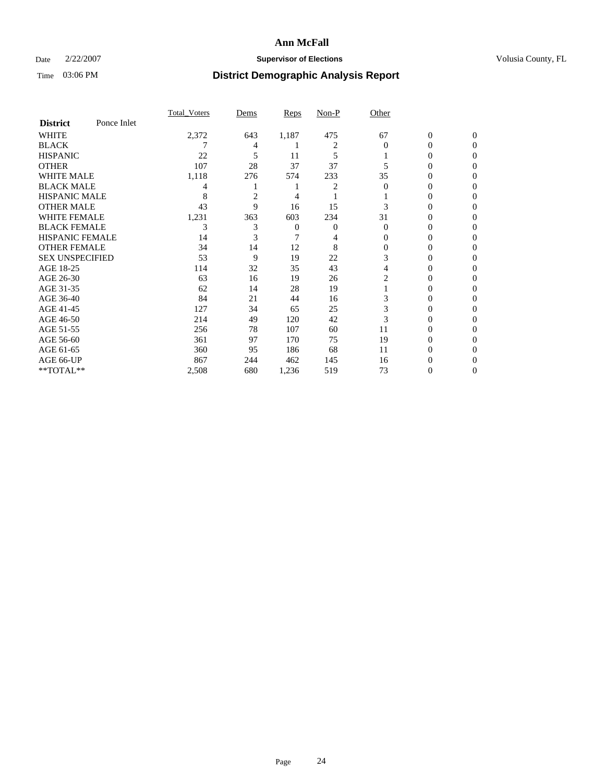### Date  $2/22/2007$  **Supervisor of Elections Supervisor of Elections** Volusia County, FL

|                        |             | <b>Total Voters</b> | Dems           | Reps  | Non-P  | Other    |                  |              |  |
|------------------------|-------------|---------------------|----------------|-------|--------|----------|------------------|--------------|--|
| <b>District</b>        | Ponce Inlet |                     |                |       |        |          |                  |              |  |
| <b>WHITE</b>           |             | 2,372               | 643            | 1,187 | 475    | 67       | $\boldsymbol{0}$ | $\mathbf{0}$ |  |
| <b>BLACK</b>           |             |                     | 4              |       | 2      | $\Omega$ | 0                | $\Omega$     |  |
| <b>HISPANIC</b>        |             | 22                  | 5              | 11    | 5      |          | 0                | $\Omega$     |  |
| <b>OTHER</b>           |             | 107                 | 28             | 37    | 37     |          | 0                | $\theta$     |  |
| <b>WHITE MALE</b>      |             | 1,118               | 276            | 574   | 233    | 35       | 0                |              |  |
| <b>BLACK MALE</b>      |             | 4                   |                |       | 2      | 0        | 0                | 0            |  |
| <b>HISPANIC MALE</b>   |             | 8                   | $\overline{c}$ | 4     |        |          | 0                |              |  |
| <b>OTHER MALE</b>      |             | 43                  | 9              | 16    | 15     |          | 0                | 0            |  |
| <b>WHITE FEMALE</b>    |             | 1,231               | 363            | 603   | 234    | 31       | 0                | 0            |  |
| <b>BLACK FEMALE</b>    |             | 3                   | 3              | 0     | 0      | $\Omega$ | 0                | 0            |  |
| <b>HISPANIC FEMALE</b> |             | 14                  |                |       |        | 0        | 0                | $\Omega$     |  |
| <b>OTHER FEMALE</b>    |             | 34                  | 14             | 12    | 8      | $\Omega$ | 0                | 0            |  |
| <b>SEX UNSPECIFIED</b> |             | 53                  | 9              | 19    | $22\,$ | 3        | 0                | 0            |  |
| AGE 18-25              |             | 114                 | 32             | 35    | 43     | 4        | 0                |              |  |
| AGE 26-30              |             | 63                  | 16             | 19    | 26     | 2        | 0                | 0            |  |
| AGE 31-35              |             | 62                  | 14             | 28    | 19     |          | 0                |              |  |
| AGE 36-40              |             | 84                  | 21             | 44    | 16     | 3        | 0                | 0            |  |
| AGE 41-45              |             | 127                 | 34             | 65    | 25     | 3        | 0                | 0            |  |
| AGE 46-50              |             | 214                 | 49             | 120   | 42     | 3        | 0                | 0            |  |
| AGE 51-55              |             | 256                 | 78             | 107   | 60     | 11       | 0                | $\theta$     |  |
| AGE 56-60              |             | 361                 | 97             | 170   | 75     | 19       | 0                | 0            |  |
| AGE 61-65              |             | 360                 | 95             | 186   | 68     | 11       | 0                |              |  |
| AGE 66-UP              |             | 867                 | 244            | 462   | 145    | 16       | 0                |              |  |
| **TOTAL**              |             | 2,508               | 680            | 1,236 | 519    | 73       | 0                | 0            |  |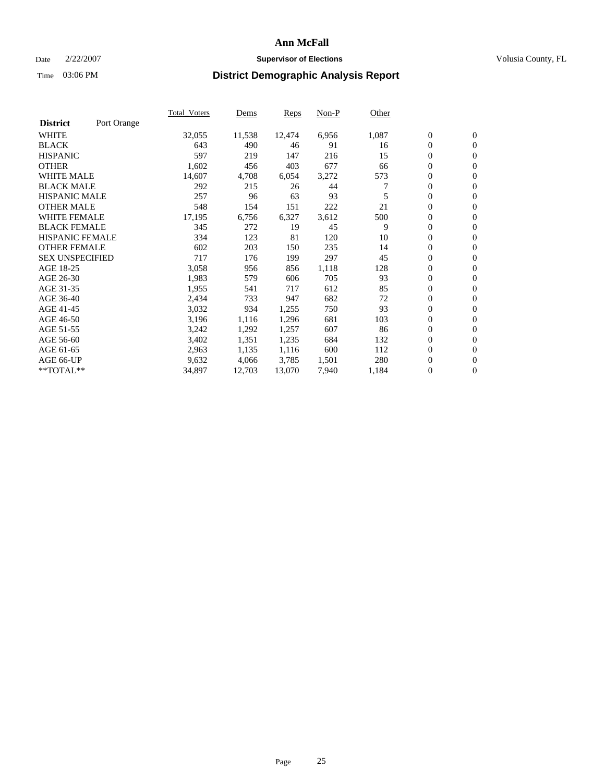#### Date  $2/22/2007$  **Supervisor of Elections** Volusia County, FL

|                        |             | Total Voters | Dems   | <b>Reps</b> | Non-P | Other |                  |                  |  |
|------------------------|-------------|--------------|--------|-------------|-------|-------|------------------|------------------|--|
| <b>District</b>        | Port Orange |              |        |             |       |       |                  |                  |  |
| <b>WHITE</b>           |             | 32,055       | 11,538 | 12,474      | 6,956 | 1,087 | $\overline{0}$   | $\mathbf{0}$     |  |
| <b>BLACK</b>           |             | 643          | 490    | 46          | 91    | 16    | $\overline{0}$   | $\mathbf{0}$     |  |
| <b>HISPANIC</b>        |             | 597          | 219    | 147         | 216   | 15    | $\boldsymbol{0}$ | $\mathbf{0}$     |  |
| <b>OTHER</b>           |             | 1,602        | 456    | 403         | 677   | 66    | $\boldsymbol{0}$ | $\mathbf{0}$     |  |
| <b>WHITE MALE</b>      |             | 14,607       | 4,708  | 6,054       | 3,272 | 573   | 0                | $\mathbf{0}$     |  |
| <b>BLACK MALE</b>      |             | 292          | 215    | 26          | 44    |       | $\boldsymbol{0}$ | $\mathbf{0}$     |  |
| <b>HISPANIC MALE</b>   |             | 257          | 96     | 63          | 93    | 5     | $\overline{0}$   | $\mathbf{0}$     |  |
| <b>OTHER MALE</b>      |             | 548          | 154    | 151         | 222   | 21    | $\overline{0}$   | $\mathbf{0}$     |  |
| <b>WHITE FEMALE</b>    |             | 17,195       | 6,756  | 6,327       | 3,612 | 500   | $\overline{0}$   | $\mathbf{0}$     |  |
| <b>BLACK FEMALE</b>    |             | 345          | 272    | 19          | 45    | 9     | $\overline{0}$   | $\mathbf{0}$     |  |
| <b>HISPANIC FEMALE</b> |             | 334          | 123    | 81          | 120   | 10    | $\boldsymbol{0}$ | $\boldsymbol{0}$ |  |
| <b>OTHER FEMALE</b>    |             | 602          | 203    | 150         | 235   | 14    | 0                | $\mathbf{0}$     |  |
| <b>SEX UNSPECIFIED</b> |             | 717          | 176    | 199         | 297   | 45    | $\boldsymbol{0}$ | $\mathbf{0}$     |  |
| AGE 18-25              |             | 3,058        | 956    | 856         | 1,118 | 128   | $\boldsymbol{0}$ | $\mathbf{0}$     |  |
| AGE 26-30              |             | 1,983        | 579    | 606         | 705   | 93    | $\overline{0}$   | $\mathbf{0}$     |  |
| AGE 31-35              |             | 1,955        | 541    | 717         | 612   | 85    | $\overline{0}$   | $\mathbf{0}$     |  |
| AGE 36-40              |             | 2,434        | 733    | 947         | 682   | 72    | $\boldsymbol{0}$ | $\mathbf{0}$     |  |
| AGE 41-45              |             | 3,032        | 934    | 1,255       | 750   | 93    | $\boldsymbol{0}$ | $\mathbf{0}$     |  |
| AGE 46-50              |             | 3,196        | 1,116  | 1,296       | 681   | 103   | 0                | $\mathbf{0}$     |  |
| AGE 51-55              |             | 3,242        | 1,292  | 1,257       | 607   | 86    | $\boldsymbol{0}$ | $\boldsymbol{0}$ |  |
| AGE 56-60              |             | 3,402        | 1,351  | 1,235       | 684   | 132   | $\overline{0}$   | $\mathbf{0}$     |  |
| AGE 61-65              |             | 2,963        | 1,135  | 1,116       | 600   | 112   | $\mathbf{0}$     | $\mathbf{0}$     |  |
| AGE 66-UP              |             | 9,632        | 4,066  | 3,785       | 1,501 | 280   | $\boldsymbol{0}$ | $\boldsymbol{0}$ |  |
| **TOTAL**              |             | 34,897       | 12,703 | 13,070      | 7,940 | 1,184 | 0                | $\overline{0}$   |  |
|                        |             |              |        |             |       |       |                  |                  |  |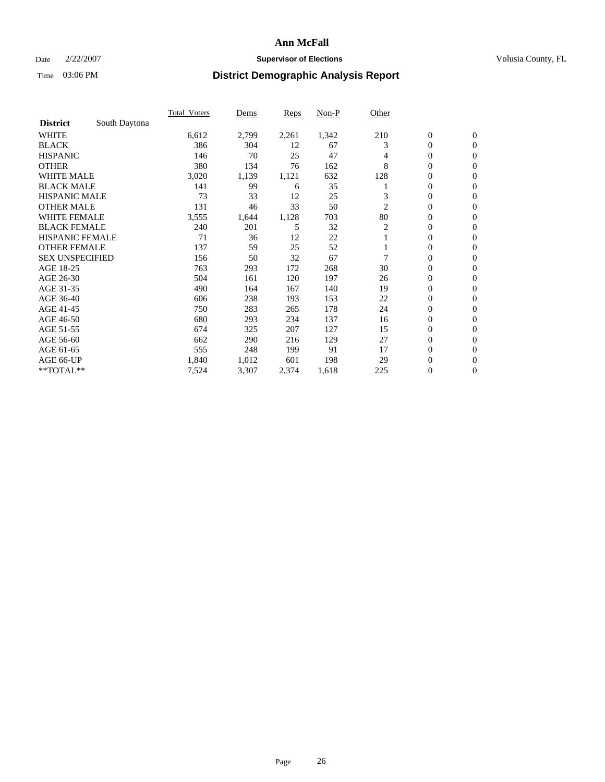### Date  $2/22/2007$  **Supervisor of Elections Supervisor of Elections** Volusia County, FL

|                        |               | <b>Total Voters</b> | Dems  | <b>Reps</b> | Non-P | Other |                  |                  |  |
|------------------------|---------------|---------------------|-------|-------------|-------|-------|------------------|------------------|--|
| <b>District</b>        | South Daytona |                     |       |             |       |       |                  |                  |  |
| <b>WHITE</b>           |               | 6,612               | 2,799 | 2,261       | 1,342 | 210   | $\boldsymbol{0}$ | $\mathbf{0}$     |  |
| <b>BLACK</b>           |               | 386                 | 304   | 12          | 67    | 3     | $\mathbf{0}$     | $\mathbf{0}$     |  |
| <b>HISPANIC</b>        |               | 146                 | 70    | 25          | 47    | 4     | 0                | $\mathbf{0}$     |  |
| <b>OTHER</b>           |               | 380                 | 134   | 76          | 162   | 8     | 0                | $\mathbf{0}$     |  |
| <b>WHITE MALE</b>      |               | 3,020               | 1,139 | 1,121       | 632   | 128   | 0                | $\mathbf{0}$     |  |
| <b>BLACK MALE</b>      |               | 141                 | 99    | 6           | 35    |       | 0                | $\mathbf{0}$     |  |
| <b>HISPANIC MALE</b>   |               | 73                  | 33    | 12          | 25    | 3     | 0                | $\mathbf{0}$     |  |
| <b>OTHER MALE</b>      |               | 131                 | 46    | 33          | 50    | 2     | $\mathbf{0}$     | $\mathbf{0}$     |  |
| <b>WHITE FEMALE</b>    |               | 3,555               | 1,644 | 1,128       | 703   | 80    | 0                | $\mathbf{0}$     |  |
| <b>BLACK FEMALE</b>    |               | 240                 | 201   | 5           | 32    | 2     | $\mathbf{0}$     | $\mathbf{0}$     |  |
| <b>HISPANIC FEMALE</b> |               | 71                  | 36    | 12          | 22    |       | 0                | $\mathbf{0}$     |  |
| <b>OTHER FEMALE</b>    |               | 137                 | 59    | 25          | 52    |       | 0                | $\mathbf{0}$     |  |
| <b>SEX UNSPECIFIED</b> |               | 156                 | 50    | 32          | 67    |       | $\mathbf{0}$     | $\mathbf{0}$     |  |
| AGE 18-25              |               | 763                 | 293   | 172         | 268   | 30    | 0                | $\mathbf{0}$     |  |
| AGE 26-30              |               | 504                 | 161   | 120         | 197   | 26    | $\mathbf{0}$     | $\mathbf{0}$     |  |
| AGE 31-35              |               | 490                 | 164   | 167         | 140   | 19    | 0                | $\mathbf{0}$     |  |
| AGE 36-40              |               | 606                 | 238   | 193         | 153   | 22    | 0                | $\mathbf{0}$     |  |
| AGE 41-45              |               | 750                 | 283   | 265         | 178   | 24    | 0                | $\mathbf{0}$     |  |
| AGE 46-50              |               | 680                 | 293   | 234         | 137   | 16    | 0                | $\mathbf{0}$     |  |
| AGE 51-55              |               | 674                 | 325   | 207         | 127   | 15    | $\boldsymbol{0}$ | $\boldsymbol{0}$ |  |
| AGE 56-60              |               | 662                 | 290   | 216         | 129   | 27    | $\mathbf{0}$     | $\mathbf{0}$     |  |
| AGE 61-65              |               | 555                 | 248   | 199         | 91    | 17    | $\mathbf{0}$     | $\mathbf{0}$     |  |
| AGE 66-UP              |               | 1,840               | 1,012 | 601         | 198   | 29    | $\boldsymbol{0}$ | $\boldsymbol{0}$ |  |
| **TOTAL**              |               | 7,524               | 3,307 | 2,374       | 1,618 | 225   | 0                | $\mathbf{0}$     |  |
|                        |               |                     |       |             |       |       |                  |                  |  |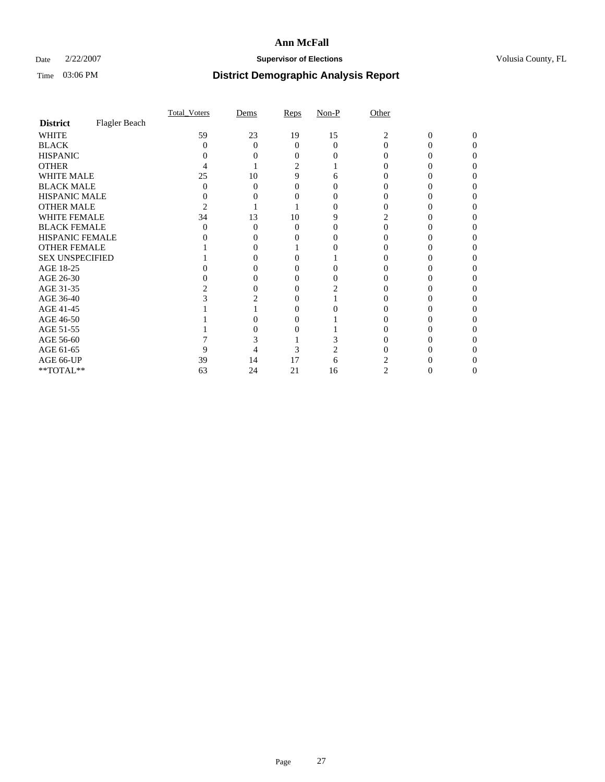### Date  $2/22/2007$  **Supervisor of Elections Supervisor of Elections** Volusia County, FL

|                        |               | <b>Total Voters</b> | Dems     | Reps     | $Non-P$ | Other |   |          |  |
|------------------------|---------------|---------------------|----------|----------|---------|-------|---|----------|--|
| <b>District</b>        | Flagler Beach |                     |          |          |         |       |   |          |  |
| <b>WHITE</b>           |               | 59                  | 23       | 19       | 15      | 2     | 0 | $\Omega$ |  |
| <b>BLACK</b>           |               | 0                   | $\Omega$ | 0        | 0       | 0     |   |          |  |
| <b>HISPANIC</b>        |               |                     |          |          |         |       |   |          |  |
| <b>OTHER</b>           |               |                     |          |          |         |       |   |          |  |
| <b>WHITE MALE</b>      |               | 25                  | 10       | 9        | h       |       |   |          |  |
| <b>BLACK MALE</b>      |               |                     | 0        |          |         |       |   |          |  |
| HISPANIC MALE          |               |                     |          |          |         |       |   |          |  |
| <b>OTHER MALE</b>      |               |                     |          |          |         |       |   |          |  |
| <b>WHITE FEMALE</b>    |               | 34                  | 13       | 10       |         |       |   |          |  |
| <b>BLACK FEMALE</b>    |               |                     | $\Omega$ | $\theta$ |         |       |   |          |  |
| HISPANIC FEMALE        |               |                     |          |          |         |       |   |          |  |
| <b>OTHER FEMALE</b>    |               |                     |          |          |         |       |   |          |  |
| <b>SEX UNSPECIFIED</b> |               |                     |          |          |         |       |   |          |  |
| AGE 18-25              |               |                     |          |          |         |       |   |          |  |
| AGE 26-30              |               |                     | 0        |          |         |       |   |          |  |
| AGE 31-35              |               |                     | 0        |          |         |       |   |          |  |
| AGE 36-40              |               |                     |          |          |         |       |   |          |  |
| AGE 41-45              |               |                     |          |          |         |       |   |          |  |
| AGE 46-50              |               |                     |          |          |         |       |   |          |  |
| AGE 51-55              |               |                     |          |          |         |       |   |          |  |
| AGE 56-60              |               |                     |          |          |         |       |   |          |  |
| AGE 61-65              |               |                     |          | 3        |         |       |   |          |  |
| AGE 66-UP              |               | 39                  | 14       | 17       | h       |       |   |          |  |
| $**TOTAL**$            |               | 63                  | 24       | 21       | 16      | 2     | 0 | 0        |  |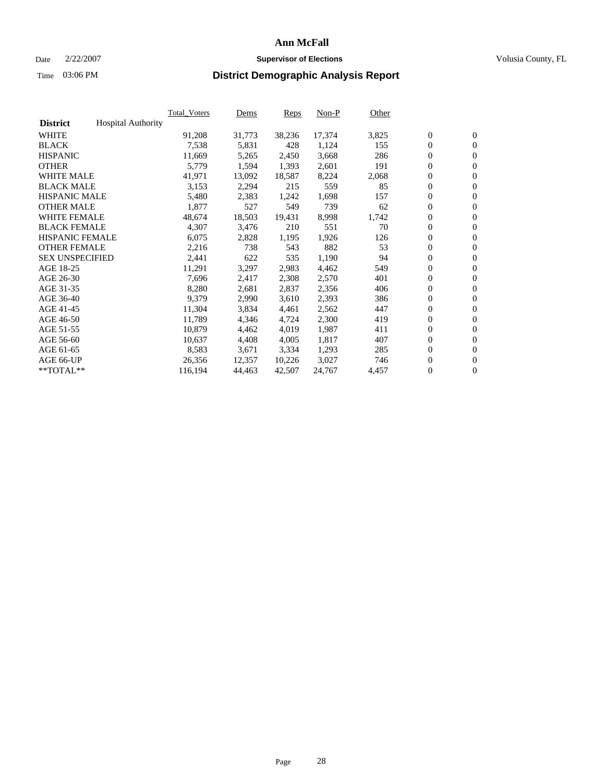#### Date  $2/22/2007$  **Supervisor of Elections** Volusia County, FL

|                        |                           | Total Voters | Dems   | <b>Reps</b> | Non-P  | Other |                  |                  |  |
|------------------------|---------------------------|--------------|--------|-------------|--------|-------|------------------|------------------|--|
| <b>District</b>        | <b>Hospital Authority</b> |              |        |             |        |       |                  |                  |  |
| <b>WHITE</b>           |                           | 91,208       | 31,773 | 38,236      | 17,374 | 3,825 | $\overline{0}$   | $\mathbf{0}$     |  |
| <b>BLACK</b>           |                           | 7,538        | 5,831  | 428         | 1,124  | 155   | $\overline{0}$   | $\mathbf{0}$     |  |
| <b>HISPANIC</b>        |                           | 11,669       | 5,265  | 2,450       | 3,668  | 286   | $\boldsymbol{0}$ | $\mathbf{0}$     |  |
| <b>OTHER</b>           |                           | 5,779        | 1,594  | 1,393       | 2,601  | 191   | $\boldsymbol{0}$ | $\mathbf{0}$     |  |
| <b>WHITE MALE</b>      |                           | 41,971       | 13,092 | 18,587      | 8,224  | 2,068 | 0                | $\mathbf{0}$     |  |
| <b>BLACK MALE</b>      |                           | 3,153        | 2,294  | 215         | 559    | 85    | $\boldsymbol{0}$ | $\boldsymbol{0}$ |  |
| <b>HISPANIC MALE</b>   |                           | 5,480        | 2,383  | 1,242       | 1,698  | 157   | $\overline{0}$   | $\mathbf{0}$     |  |
| <b>OTHER MALE</b>      |                           | 1,877        | 527    | 549         | 739    | 62    | $\overline{0}$   | $\mathbf{0}$     |  |
| <b>WHITE FEMALE</b>    |                           | 48,674       | 18,503 | 19,431      | 8,998  | 1,742 | $\mathbf{0}$     | $\mathbf{0}$     |  |
| <b>BLACK FEMALE</b>    |                           | 4,307        | 3,476  | 210         | 551    | 70    | $\boldsymbol{0}$ | $\mathbf{0}$     |  |
| <b>HISPANIC FEMALE</b> |                           | 6,075        | 2,828  | 1,195       | 1,926  | 126   | $\boldsymbol{0}$ | $\boldsymbol{0}$ |  |
| <b>OTHER FEMALE</b>    |                           | 2,216        | 738    | 543         | 882    | 53    | 0                | $\mathbf{0}$     |  |
| <b>SEX UNSPECIFIED</b> |                           | 2,441        | 622    | 535         | 1,190  | 94    | $\boldsymbol{0}$ | $\mathbf{0}$     |  |
| AGE 18-25              |                           | 11,291       | 3,297  | 2,983       | 4,462  | 549   | $\boldsymbol{0}$ | $\mathbf{0}$     |  |
| AGE 26-30              |                           | 7,696        | 2,417  | 2,308       | 2,570  | 401   | $\overline{0}$   | $\mathbf{0}$     |  |
| AGE 31-35              |                           | 8,280        | 2,681  | 2,837       | 2,356  | 406   | $\overline{0}$   | $\mathbf{0}$     |  |
| AGE 36-40              |                           | 9,379        | 2,990  | 3,610       | 2,393  | 386   | $\boldsymbol{0}$ | $\boldsymbol{0}$ |  |
| AGE 41-45              |                           | 11,304       | 3,834  | 4,461       | 2,562  | 447   | $\boldsymbol{0}$ | $\mathbf{0}$     |  |
| AGE 46-50              |                           | 11,789       | 4,346  | 4,724       | 2,300  | 419   | $\boldsymbol{0}$ | $\mathbf{0}$     |  |
| AGE 51-55              |                           | 10,879       | 4,462  | 4,019       | 1,987  | 411   | $\boldsymbol{0}$ | $\boldsymbol{0}$ |  |
| AGE 56-60              |                           | 10,637       | 4,408  | 4,005       | 1,817  | 407   | $\overline{0}$   | $\mathbf{0}$     |  |
| AGE 61-65              |                           | 8,583        | 3,671  | 3,334       | 1,293  | 285   | $\mathbf{0}$     | $\boldsymbol{0}$ |  |
| AGE 66-UP              |                           | 26,356       | 12,357 | 10,226      | 3,027  | 746   | $\boldsymbol{0}$ | $\boldsymbol{0}$ |  |
| **TOTAL**              |                           | 116,194      | 44,463 | 42,507      | 24,767 | 4,457 | $\boldsymbol{0}$ | $\overline{0}$   |  |
|                        |                           |              |        |             |        |       |                  |                  |  |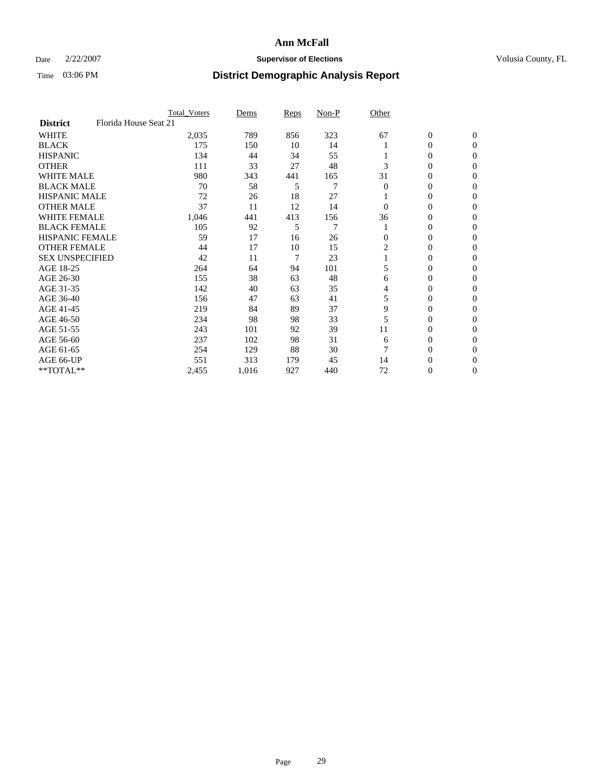### Date  $2/22/2007$  **Supervisor of Elections Supervisor of Elections** Volusia County, FL

|                        | <b>Total_Voters</b>   | Dems  | Reps | Non-P | Other    |                  |                |  |
|------------------------|-----------------------|-------|------|-------|----------|------------------|----------------|--|
| <b>District</b>        | Florida House Seat 21 |       |      |       |          |                  |                |  |
| <b>WHITE</b>           | 2,035                 | 789   | 856  | 323   | 67       | $\boldsymbol{0}$ | $\mathbf{0}$   |  |
| <b>BLACK</b>           | 175                   | 150   | 10   | 14    |          | 0                | $\mathbf{0}$   |  |
| <b>HISPANIC</b>        | 134                   | 44    | 34   | 55    |          | 0                | $\overline{0}$ |  |
| <b>OTHER</b>           | 111                   | 33    | 27   | 48    | 3        | $\overline{0}$   | $\Omega$       |  |
| <b>WHITE MALE</b>      | 980                   | 343   | 441  | 165   | 31       | 0                | $\Omega$       |  |
| <b>BLACK MALE</b>      | 70                    | 58    | 5    | 7     | $\Omega$ | 0                | $\Omega$       |  |
| <b>HISPANIC MALE</b>   | 72                    | 26    | 18   | 27    |          | 0                | $\Omega$       |  |
| <b>OTHER MALE</b>      | 37                    | 11    | 12   | 14    | 0        | 0                | 0              |  |
| <b>WHITE FEMALE</b>    | 1,046                 | 441   | 413  | 156   | 36       | 0                | 0              |  |
| <b>BLACK FEMALE</b>    | 105                   | 92    | 5    | 7     |          | 0                | $\mathbf{0}$   |  |
| <b>HISPANIC FEMALE</b> | 59                    | 17    | 16   | 26    | $\Omega$ | 0                | $\Omega$       |  |
| <b>OTHER FEMALE</b>    | 44                    | 17    | 10   | 15    | 2        | 0                | $\Omega$       |  |
| <b>SEX UNSPECIFIED</b> | 42                    | 11    | 7    | 23    |          | 0                | $\Omega$       |  |
| AGE 18-25              | 264                   | 64    | 94   | 101   | 5        | 0                | 0              |  |
| AGE 26-30              | 155                   | 38    | 63   | 48    | 6        | 0                | $\Omega$       |  |
| AGE 31-35              | 142                   | 40    | 63   | 35    | 4        | 0                | 0              |  |
| AGE 36-40              | 156                   | 47    | 63   | 41    | 5        | $\overline{0}$   | 0              |  |
| AGE 41-45              | 219                   | 84    | 89   | 37    | 9        | 0                | 0              |  |
| AGE 46-50              | 234                   | 98    | 98   | 33    |          | 0                | $\mathbf{0}$   |  |
| AGE 51-55              | 243                   | 101   | 92   | 39    | 11       | 0                | $\Omega$       |  |
| AGE 56-60              | 237                   | 102   | 98   | 31    | 6        | 0                | $\Omega$       |  |
| AGE 61-65              | 254                   | 129   | 88   | 30    |          | 0                | 0              |  |
| AGE 66-UP              | 551                   | 313   | 179  | 45    | 14       | 0                | $_{0}$         |  |
| **TOTAL**              | 2,455                 | 1,016 | 927  | 440   | 72       | 0                | $\overline{0}$ |  |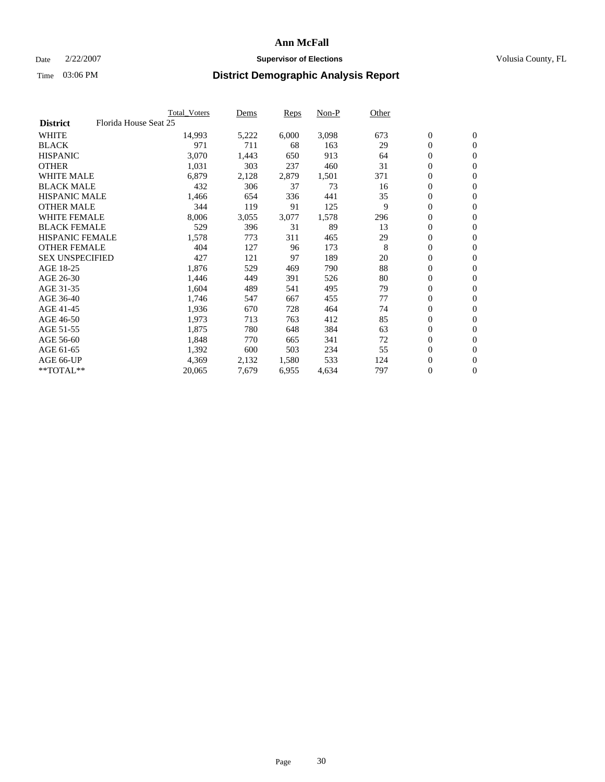#### Date  $2/22/2007$  **Supervisor of Elections** Volusia County, FL

|                                          | <b>Total Voters</b> | Dems  | Reps  | Non-P | Other |                  |                  |  |
|------------------------------------------|---------------------|-------|-------|-------|-------|------------------|------------------|--|
| Florida House Seat 25<br><b>District</b> |                     |       |       |       |       |                  |                  |  |
| <b>WHITE</b>                             | 14,993              | 5,222 | 6,000 | 3,098 | 673   | $\boldsymbol{0}$ | $\mathbf{0}$     |  |
| <b>BLACK</b>                             | 971                 | 711   | 68    | 163   | 29    | $\mathbf{0}$     | $\mathbf{0}$     |  |
| <b>HISPANIC</b>                          | 3,070               | 1,443 | 650   | 913   | 64    | $\mathbf{0}$     | $\mathbf{0}$     |  |
| <b>OTHER</b>                             | 1,031               | 303   | 237   | 460   | 31    | $\boldsymbol{0}$ | $\mathbf{0}$     |  |
| <b>WHITE MALE</b>                        | 6,879               | 2,128 | 2,879 | 1,501 | 371   | 0                | $\overline{0}$   |  |
| <b>BLACK MALE</b>                        | 432                 | 306   | 37    | 73    | 16    | 0                | $\boldsymbol{0}$ |  |
| <b>HISPANIC MALE</b>                     | 1,466               | 654   | 336   | 441   | 35    | 0                | $\overline{0}$   |  |
| <b>OTHER MALE</b>                        | 344                 | 119   | 91    | 125   | 9     | $\boldsymbol{0}$ | $\mathbf{0}$     |  |
| <b>WHITE FEMALE</b>                      | 8,006               | 3,055 | 3,077 | 1,578 | 296   | 0                | $\mathbf{0}$     |  |
| <b>BLACK FEMALE</b>                      | 529                 | 396   | 31    | 89    | 13    | $\boldsymbol{0}$ | $\mathbf{0}$     |  |
| <b>HISPANIC FEMALE</b>                   | 1,578               | 773   | 311   | 465   | 29    | 0                | $\mathbf{0}$     |  |
| <b>OTHER FEMALE</b>                      | 404                 | 127   | 96    | 173   | 8     | $\boldsymbol{0}$ | $\mathbf{0}$     |  |
| <b>SEX UNSPECIFIED</b>                   | 427                 | 121   | 97    | 189   | 20    | 0                | $\mathbf{0}$     |  |
| AGE 18-25                                | 1,876               | 529   | 469   | 790   | 88    | 0                | $\overline{0}$   |  |
| AGE 26-30                                | 1,446               | 449   | 391   | 526   | 80    | 0                | $\boldsymbol{0}$ |  |
| AGE 31-35                                | 1,604               | 489   | 541   | 495   | 79    | 0                | $\overline{0}$   |  |
| AGE 36-40                                | 1,746               | 547   | 667   | 455   | 77    | $\mathbf{0}$     | $\mathbf{0}$     |  |
| AGE 41-45                                | 1,936               | 670   | 728   | 464   | 74    | 0                | $\mathbf{0}$     |  |
| AGE 46-50                                | 1,973               | 713   | 763   | 412   | 85    | $\mathbf{0}$     | $\mathbf{0}$     |  |
| AGE 51-55                                | 1,875               | 780   | 648   | 384   | 63    | 0                | $\mathbf{0}$     |  |
| AGE 56-60                                | 1,848               | 770   | 665   | 341   | 72    | 0                | $\mathbf{0}$     |  |
| AGE 61-65                                | 1,392               | 600   | 503   | 234   | 55    | 0                | $\boldsymbol{0}$ |  |
| AGE 66-UP                                | 4,369               | 2,132 | 1,580 | 533   | 124   | 0                | $\overline{0}$   |  |
| $*$ TOTAL $**$                           | 20,065              | 7,679 | 6,955 | 4,634 | 797   | 0                | $\boldsymbol{0}$ |  |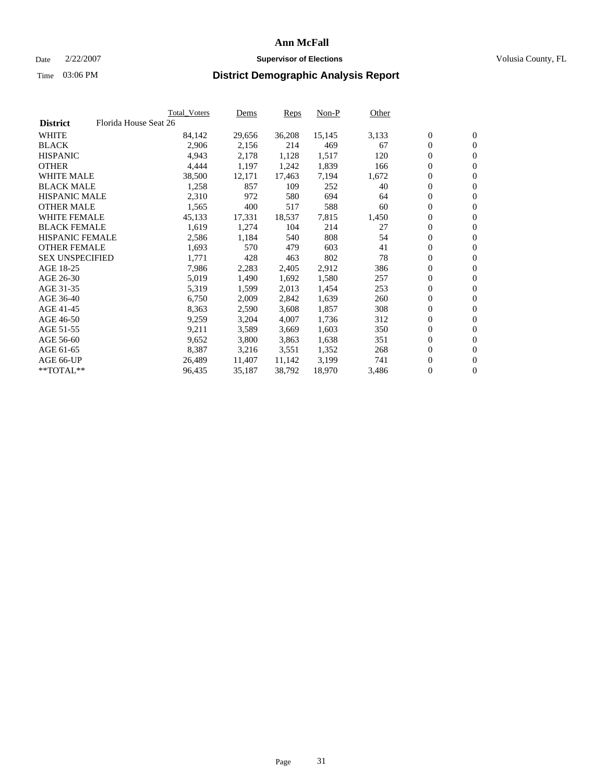### Date  $2/22/2007$  **Supervisor of Elections Supervisor of Elections** Volusia County, FL

|                        | Total_Voters          | Dems           | Reps   | Non-P  | Other |                  |                  |  |
|------------------------|-----------------------|----------------|--------|--------|-------|------------------|------------------|--|
| <b>District</b>        | Florida House Seat 26 |                |        |        |       |                  |                  |  |
| <b>WHITE</b>           | 84,142                | 29,656         | 36,208 | 15,145 | 3,133 | $\boldsymbol{0}$ | $\mathbf{0}$     |  |
| <b>BLACK</b>           |                       | 2,906<br>2,156 | 214    | 469    | 67    | $\overline{0}$   | $\mathbf{0}$     |  |
| <b>HISPANIC</b>        |                       | 4,943<br>2,178 | 1,128  | 1,517  | 120   | $\overline{0}$   | $\mathbf{0}$     |  |
| <b>OTHER</b>           |                       | 1,197<br>4,444 | 1,242  | 1,839  | 166   | $\overline{0}$   | $\overline{0}$   |  |
| <b>WHITE MALE</b>      | 38,500                | 12,171         | 17,463 | 7,194  | 1,672 | $\overline{0}$   | $\mathbf{0}$     |  |
| <b>BLACK MALE</b>      |                       | 1,258<br>857   | 109    | 252    | 40    | $\boldsymbol{0}$ | $\boldsymbol{0}$ |  |
| <b>HISPANIC MALE</b>   |                       | 2,310<br>972   | 580    | 694    | 64    | 0                | $\overline{0}$   |  |
| <b>OTHER MALE</b>      |                       | 1,565<br>400   | 517    | 588    | 60    | 0                | $\boldsymbol{0}$ |  |
| <b>WHITE FEMALE</b>    | 45,133                | 17,331         | 18,537 | 7,815  | 1,450 | 0                | $\mathbf{0}$     |  |
| <b>BLACK FEMALE</b>    |                       | 1,619<br>1,274 | 104    | 214    | 27    | $\overline{0}$   | $\mathbf{0}$     |  |
| <b>HISPANIC FEMALE</b> |                       | 1,184<br>2,586 | 540    | 808    | 54    | 0                | $\mathbf{0}$     |  |
| <b>OTHER FEMALE</b>    |                       | 1,693<br>570   | 479    | 603    | 41    | $\overline{0}$   | $\mathbf{0}$     |  |
| <b>SEX UNSPECIFIED</b> | 1,771                 | 428            | 463    | 802    | 78    | $\boldsymbol{0}$ | $\boldsymbol{0}$ |  |
| AGE 18-25              |                       | 7,986<br>2,283 | 2,405  | 2,912  | 386   | 0                | $\mathbf{0}$     |  |
| AGE 26-30              |                       | 5,019<br>1,490 | 1,692  | 1,580  | 257   | 0                | $\boldsymbol{0}$ |  |
| AGE 31-35              |                       | 5,319<br>1,599 | 2,013  | 1,454  | 253   | 0                | $\mathbf{0}$     |  |
| AGE 36-40              |                       | 6,750<br>2,009 | 2,842  | 1,639  | 260   | $\boldsymbol{0}$ | $\mathbf{0}$     |  |
| AGE 41-45              |                       | 8,363<br>2,590 | 3,608  | 1,857  | 308   | 0                | $\mathbf{0}$     |  |
| AGE 46-50              |                       | 9,259<br>3,204 | 4,007  | 1,736  | 312   | $\overline{0}$   | $\mathbf{0}$     |  |
| AGE 51-55              | 9,211                 | 3,589          | 3,669  | 1,603  | 350   | $\overline{0}$   | $\mathbf{0}$     |  |
| AGE 56-60              |                       | 9,652<br>3,800 | 3,863  | 1,638  | 351   | $\overline{0}$   | $\mathbf{0}$     |  |
| AGE 61-65              |                       | 8,387<br>3,216 | 3,551  | 1,352  | 268   | 0                | $\boldsymbol{0}$ |  |
| AGE 66-UP              | 26,489                | 11,407         | 11,142 | 3,199  | 741   | 0                | $\bf{0}$         |  |
| $*$ TOTAL $**$         | 96,435                | 35,187         | 38,792 | 18,970 | 3,486 | 0                | $\boldsymbol{0}$ |  |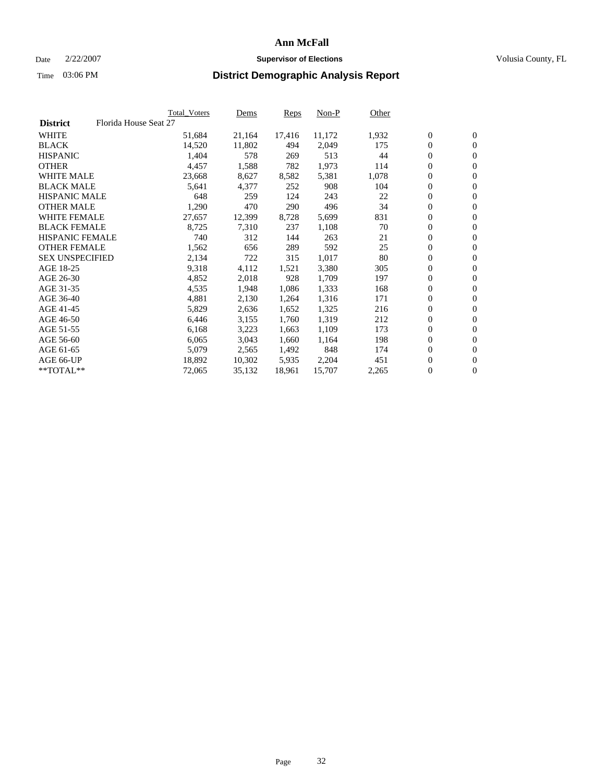#### Date  $2/22/2007$  **Supervisor of Elections** Volusia County, FL

|                                          | Total_Voters | Dems   | <b>Reps</b> | Non-P  | Other |                  |                  |  |
|------------------------------------------|--------------|--------|-------------|--------|-------|------------------|------------------|--|
| Florida House Seat 27<br><b>District</b> |              |        |             |        |       |                  |                  |  |
| <b>WHITE</b>                             | 51,684       | 21,164 | 17,416      | 11,172 | 1,932 | $\overline{0}$   | $\mathbf{0}$     |  |
| <b>BLACK</b>                             | 14,520       | 11,802 | 494         | 2,049  | 175   | $\overline{0}$   | $\mathbf{0}$     |  |
| <b>HISPANIC</b>                          | 1,404        | 578    | 269         | 513    | 44    | $\boldsymbol{0}$ | $\mathbf{0}$     |  |
| <b>OTHER</b>                             | 4,457        | 1,588  | 782         | 1,973  | 114   | 0                | $\mathbf{0}$     |  |
| <b>WHITE MALE</b>                        | 23,668       | 8,627  | 8,582       | 5,381  | 1,078 | 0                | $\mathbf{0}$     |  |
| <b>BLACK MALE</b>                        | 5,641        | 4,377  | 252         | 908    | 104   | $\boldsymbol{0}$ | $\boldsymbol{0}$ |  |
| <b>HISPANIC MALE</b>                     | 648          | 259    | 124         | 243    | 22    | $\overline{0}$   | $\mathbf{0}$     |  |
| <b>OTHER MALE</b>                        | 1,290        | 470    | 290         | 496    | 34    | $\overline{0}$   | $\mathbf{0}$     |  |
| <b>WHITE FEMALE</b>                      | 27,657       | 12,399 | 8,728       | 5,699  | 831   | $\mathbf{0}$     | $\mathbf{0}$     |  |
| <b>BLACK FEMALE</b>                      | 8,725        | 7,310  | 237         | 1,108  | 70    | $\boldsymbol{0}$ | $\mathbf{0}$     |  |
| HISPANIC FEMALE                          | 740          | 312    | 144         | 263    | 21    | $\boldsymbol{0}$ | $\boldsymbol{0}$ |  |
| <b>OTHER FEMALE</b>                      | 1,562        | 656    | 289         | 592    | 25    | 0                | $\mathbf{0}$     |  |
| <b>SEX UNSPECIFIED</b>                   | 2,134        | 722    | 315         | 1,017  | 80    | $\boldsymbol{0}$ | $\mathbf{0}$     |  |
| AGE 18-25                                | 9,318        | 4,112  | 1,521       | 3,380  | 305   | $\boldsymbol{0}$ | $\mathbf{0}$     |  |
| AGE 26-30                                | 4,852        | 2,018  | 928         | 1,709  | 197   | $\overline{0}$   | $\mathbf{0}$     |  |
| AGE 31-35                                | 4,535        | 1,948  | 1,086       | 1,333  | 168   | $\overline{0}$   | $\mathbf{0}$     |  |
| AGE 36-40                                | 4,881        | 2,130  | 1,264       | 1,316  | 171   | $\boldsymbol{0}$ | $\mathbf{0}$     |  |
| AGE 41-45                                | 5,829        | 2,636  | 1,652       | 1,325  | 216   | $\boldsymbol{0}$ | $\mathbf{0}$     |  |
| AGE 46-50                                | 6,446        | 3,155  | 1,760       | 1,319  | 212   | 0                | $\mathbf{0}$     |  |
| AGE 51-55                                | 6,168        | 3,223  | 1,663       | 1,109  | 173   | $\boldsymbol{0}$ | $\boldsymbol{0}$ |  |
| AGE 56-60                                | 6,065        | 3,043  | 1,660       | 1,164  | 198   | $\overline{0}$   | $\mathbf{0}$     |  |
| AGE 61-65                                | 5,079        | 2,565  | 1,492       | 848    | 174   | $\mathbf{0}$     | $\mathbf{0}$     |  |
| AGE 66-UP                                | 18,892       | 10,302 | 5,935       | 2,204  | 451   | $\boldsymbol{0}$ | $\boldsymbol{0}$ |  |
| **TOTAL**                                | 72,065       | 35,132 | 18,961      | 15,707 | 2,265 | 0                | $\overline{0}$   |  |
|                                          |              |        |             |        |       |                  |                  |  |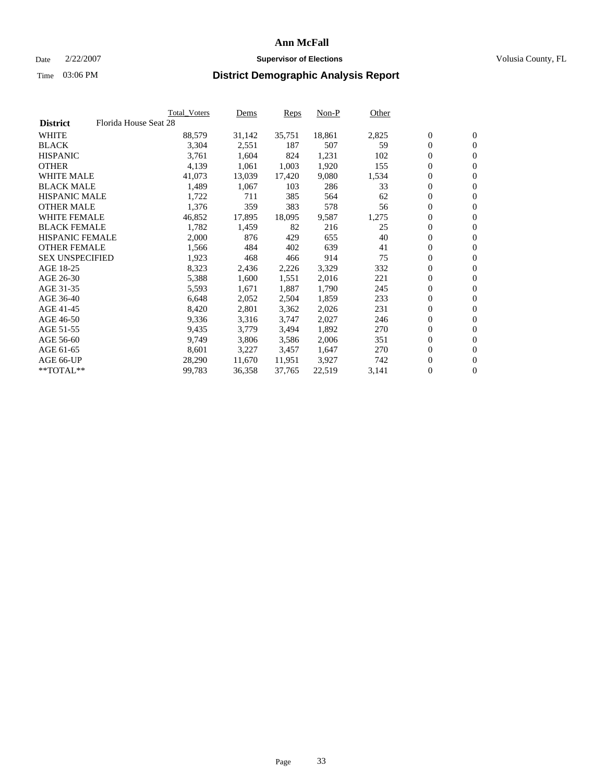### Date  $2/22/2007$  **Supervisor of Elections Supervisor of Elections** Volusia County, FL

|                        | Total_Voters          | Dems   | Reps   | Non-P  | Other |                  |                  |  |
|------------------------|-----------------------|--------|--------|--------|-------|------------------|------------------|--|
| <b>District</b>        | Florida House Seat 28 |        |        |        |       |                  |                  |  |
| <b>WHITE</b>           | 88,579                | 31,142 | 35,751 | 18,861 | 2,825 | $\boldsymbol{0}$ | $\mathbf{0}$     |  |
| <b>BLACK</b>           | 3,304                 | 2,551  | 187    | 507    | 59    | $\overline{0}$   | $\mathbf{0}$     |  |
| <b>HISPANIC</b>        | 3,761                 | 1,604  | 824    | 1,231  | 102   | $\overline{0}$   | $\mathbf{0}$     |  |
| <b>OTHER</b>           | 4,139                 | 1,061  | 1,003  | 1,920  | 155   | $\overline{0}$   | $\overline{0}$   |  |
| <b>WHITE MALE</b>      | 41,073                | 13,039 | 17,420 | 9,080  | 1,534 | $\overline{0}$   | $\mathbf{0}$     |  |
| <b>BLACK MALE</b>      | 1,489                 | 1,067  | 103    | 286    | 33    | $\boldsymbol{0}$ | $\boldsymbol{0}$ |  |
| <b>HISPANIC MALE</b>   | 1,722                 | 711    | 385    | 564    | 62    | 0                | $\mathbf{0}$     |  |
| <b>OTHER MALE</b>      | 1,376                 | 359    | 383    | 578    | 56    | 0                | $\boldsymbol{0}$ |  |
| <b>WHITE FEMALE</b>    | 46,852                | 17,895 | 18,095 | 9,587  | 1,275 | 0                | $\mathbf{0}$     |  |
| <b>BLACK FEMALE</b>    | 1,782                 | 1,459  | 82     | 216    | 25    | $\overline{0}$   | $\mathbf{0}$     |  |
| <b>HISPANIC FEMALE</b> | 2,000                 | 876    | 429    | 655    | 40    | 0                | $\mathbf{0}$     |  |
| <b>OTHER FEMALE</b>    | 1,566                 | 484    | 402    | 639    | 41    | $\overline{0}$   | $\mathbf{0}$     |  |
| <b>SEX UNSPECIFIED</b> | 1,923                 | 468    | 466    | 914    | 75    | $\boldsymbol{0}$ | $\boldsymbol{0}$ |  |
| AGE 18-25              | 8,323                 | 2,436  | 2,226  | 3,329  | 332   | 0                | $\mathbf{0}$     |  |
| AGE 26-30              | 5,388                 | 1,600  | 1,551  | 2,016  | 221   | $\boldsymbol{0}$ | $\boldsymbol{0}$ |  |
| AGE 31-35              | 5,593                 | 1,671  | 1,887  | 1,790  | 245   | 0                | $\mathbf{0}$     |  |
| AGE 36-40              | 6,648                 | 2,052  | 2,504  | 1,859  | 233   | $\boldsymbol{0}$ | $\mathbf{0}$     |  |
| AGE 41-45              | 8,420                 | 2,801  | 3,362  | 2,026  | 231   | 0                | $\mathbf{0}$     |  |
| AGE 46-50              | 9,336                 | 3,316  | 3,747  | 2,027  | 246   | $\overline{0}$   | $\mathbf{0}$     |  |
| AGE 51-55              | 9,435                 | 3,779  | 3,494  | 1,892  | 270   | $\overline{0}$   | $\mathbf{0}$     |  |
| AGE 56-60              | 9,749                 | 3,806  | 3,586  | 2,006  | 351   | $\overline{0}$   | $\mathbf{0}$     |  |
| AGE 61-65              | 8,601                 | 3,227  | 3,457  | 1,647  | 270   | 0                | $\boldsymbol{0}$ |  |
| AGE 66-UP              | 28,290                | 11,670 | 11,951 | 3,927  | 742   | 0                | $\bf{0}$         |  |
| $*$ TOTAL $**$         | 99,783                | 36,358 | 37,765 | 22,519 | 3,141 | 0                | $\boldsymbol{0}$ |  |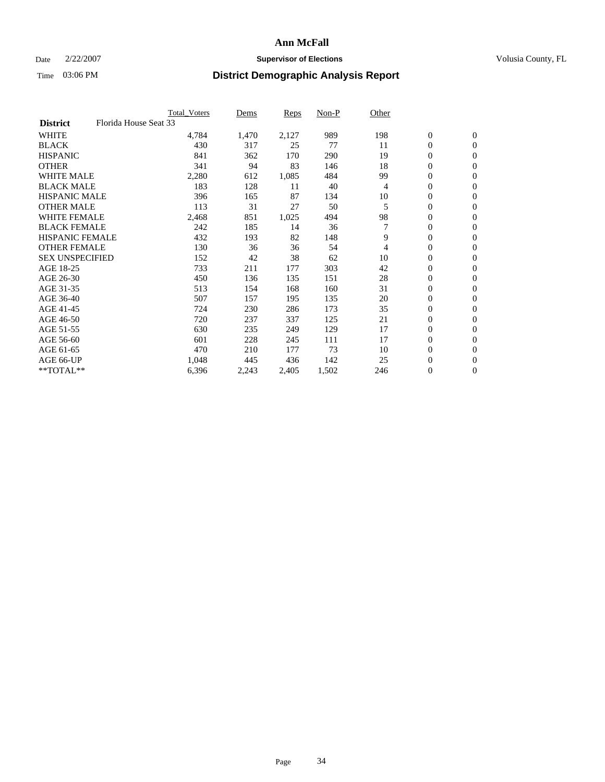#### Date  $2/22/2007$  **Supervisor of Elections** Volusia County, FL

|                                          | <b>Total Voters</b> | Dems  | Reps  | Non-P | Other |                  |                  |  |
|------------------------------------------|---------------------|-------|-------|-------|-------|------------------|------------------|--|
| Florida House Seat 33<br><b>District</b> |                     |       |       |       |       |                  |                  |  |
| <b>WHITE</b>                             | 4,784               | 1,470 | 2,127 | 989   | 198   | $\boldsymbol{0}$ | $\mathbf{0}$     |  |
| <b>BLACK</b>                             | 430                 | 317   | 25    | 77    | 11    | $\mathbf{0}$     | $\mathbf{0}$     |  |
| <b>HISPANIC</b>                          | 841                 | 362   | 170   | 290   | 19    | 0                | $\overline{0}$   |  |
| <b>OTHER</b>                             | 341                 | 94    | 83    | 146   | 18    | 0                | $\mathbf{0}$     |  |
| <b>WHITE MALE</b>                        | 2,280               | 612   | 1,085 | 484   | 99    | 0                | $\mathbf{0}$     |  |
| <b>BLACK MALE</b>                        | 183                 | 128   | 11    | 40    | 4     | 0                | $\boldsymbol{0}$ |  |
| <b>HISPANIC MALE</b>                     | 396                 | 165   | 87    | 134   | 10    | 0                | $\mathbf{0}$     |  |
| <b>OTHER MALE</b>                        | 113                 | 31    | 27    | 50    | 5     | $\mathbf{0}$     | $\mathbf{0}$     |  |
| <b>WHITE FEMALE</b>                      | 2,468               | 851   | 1,025 | 494   | 98    | 0                | $\mathbf{0}$     |  |
| <b>BLACK FEMALE</b>                      | 242                 | 185   | 14    | 36    | 7     | $\boldsymbol{0}$ | $\mathbf{0}$     |  |
| <b>HISPANIC FEMALE</b>                   | 432                 | 193   | 82    | 148   | 9     | 0                | $\boldsymbol{0}$ |  |
| <b>OTHER FEMALE</b>                      | 130                 | 36    | 36    | 54    | 4     | 0                | $\mathbf{0}$     |  |
| <b>SEX UNSPECIFIED</b>                   | 152                 | 42    | 38    | 62    | 10    | 0                | $\mathbf{0}$     |  |
| AGE 18-25                                | 733                 | 211   | 177   | 303   | 42    | 0                | $\mathbf{0}$     |  |
| AGE 26-30                                | 450                 | 136   | 135   | 151   | 28    | $\mathbf{0}$     | $\mathbf{0}$     |  |
| AGE 31-35                                | 513                 | 154   | 168   | 160   | 31    | 0                | $\mathbf{0}$     |  |
| AGE 36-40                                | 507                 | 157   | 195   | 135   | 20    | 0                | $\mathbf{0}$     |  |
| AGE 41-45                                | 724                 | 230   | 286   | 173   | 35    | 0                | $\mathbf{0}$     |  |
| AGE 46-50                                | 720                 | 237   | 337   | 125   | 21    | 0                | $\mathbf{0}$     |  |
| AGE 51-55                                | 630                 | 235   | 249   | 129   | 17    | $\boldsymbol{0}$ | $\boldsymbol{0}$ |  |
| AGE 56-60                                | 601                 | 228   | 245   | 111   | 17    | $\mathbf{0}$     | $\mathbf{0}$     |  |
| AGE 61-65                                | 470                 | 210   | 177   | 73    | 10    | $\mathbf{0}$     | $\mathbf{0}$     |  |
| AGE 66-UP                                | 1,048               | 445   | 436   | 142   | 25    | 0                | $\boldsymbol{0}$ |  |
| **TOTAL**                                | 6,396               | 2,243 | 2,405 | 1,502 | 246   | 0                | $\overline{0}$   |  |
|                                          |                     |       |       |       |       |                  |                  |  |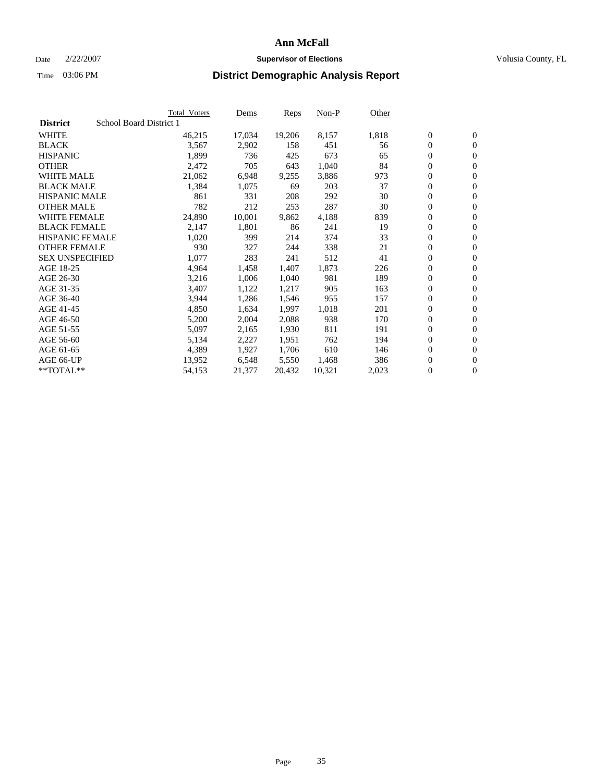#### Date  $2/22/2007$  **Supervisor of Elections** Volusia County, FL

|                        |                         | <b>Total_Voters</b> | Dems   | <b>Reps</b> | Non-P  | Other |                  |                  |  |
|------------------------|-------------------------|---------------------|--------|-------------|--------|-------|------------------|------------------|--|
| <b>District</b>        | School Board District 1 |                     |        |             |        |       |                  |                  |  |
| <b>WHITE</b>           |                         | 46,215              | 17,034 | 19,206      | 8,157  | 1,818 | $\overline{0}$   | $\mathbf{0}$     |  |
| <b>BLACK</b>           |                         | 3,567               | 2,902  | 158         | 451    | 56    | $\overline{0}$   | $\mathbf{0}$     |  |
| <b>HISPANIC</b>        |                         | 1,899               | 736    | 425         | 673    | 65    | $\boldsymbol{0}$ | $\mathbf{0}$     |  |
| <b>OTHER</b>           |                         | 2,472               | 705    | 643         | 1,040  | 84    | 0                | $\mathbf{0}$     |  |
| <b>WHITE MALE</b>      |                         | 21,062              | 6,948  | 9,255       | 3,886  | 973   | 0                | $\mathbf{0}$     |  |
| <b>BLACK MALE</b>      |                         | 1,384               | 1,075  | 69          | 203    | 37    | $\boldsymbol{0}$ | $\boldsymbol{0}$ |  |
| <b>HISPANIC MALE</b>   |                         | 861                 | 331    | 208         | 292    | 30    | $\overline{0}$   | $\mathbf{0}$     |  |
| <b>OTHER MALE</b>      |                         | 782                 | 212    | 253         | 287    | 30    | $\overline{0}$   | $\mathbf{0}$     |  |
| <b>WHITE FEMALE</b>    |                         | 24,890              | 10,001 | 9,862       | 4,188  | 839   | $\mathbf{0}$     | $\mathbf{0}$     |  |
| <b>BLACK FEMALE</b>    |                         | 2,147               | 1,801  | 86          | 241    | 19    | $\overline{0}$   | $\mathbf{0}$     |  |
| <b>HISPANIC FEMALE</b> |                         | 1,020               | 399    | 214         | 374    | 33    | $\boldsymbol{0}$ | $\boldsymbol{0}$ |  |
| <b>OTHER FEMALE</b>    |                         | 930                 | 327    | 244         | 338    | 21    | 0                | $\mathbf{0}$     |  |
| <b>SEX UNSPECIFIED</b> |                         | 1,077               | 283    | 241         | 512    | 41    | $\boldsymbol{0}$ | $\mathbf{0}$     |  |
| AGE 18-25              |                         | 4,964               | 1,458  | 1,407       | 1,873  | 226   | $\boldsymbol{0}$ | $\mathbf{0}$     |  |
| AGE 26-30              |                         | 3,216               | 1,006  | 1,040       | 981    | 189   | $\overline{0}$   | $\mathbf{0}$     |  |
| AGE 31-35              |                         | 3,407               | 1,122  | 1,217       | 905    | 163   | $\overline{0}$   | $\mathbf{0}$     |  |
| AGE 36-40              |                         | 3,944               | 1,286  | 1,546       | 955    | 157   | $\boldsymbol{0}$ | $\mathbf{0}$     |  |
| AGE 41-45              |                         | 4,850               | 1,634  | 1,997       | 1,018  | 201   | $\boldsymbol{0}$ | $\mathbf{0}$     |  |
| AGE 46-50              |                         | 5,200               | 2,004  | 2,088       | 938    | 170   | 0                | $\mathbf{0}$     |  |
| AGE 51-55              |                         | 5,097               | 2,165  | 1,930       | 811    | 191   | $\boldsymbol{0}$ | $\boldsymbol{0}$ |  |
| AGE 56-60              |                         | 5,134               | 2,227  | 1,951       | 762    | 194   | $\overline{0}$   | $\mathbf{0}$     |  |
| AGE 61-65              |                         | 4,389               | 1,927  | 1,706       | 610    | 146   | $\mathbf{0}$     | $\mathbf{0}$     |  |
| AGE 66-UP              |                         | 13,952              | 6,548  | 5,550       | 1,468  | 386   | $\boldsymbol{0}$ | $\boldsymbol{0}$ |  |
| **TOTAL**              |                         | 54,153              | 21,377 | 20,432      | 10,321 | 2,023 | 0                | $\overline{0}$   |  |
|                        |                         |                     |        |             |        |       |                  |                  |  |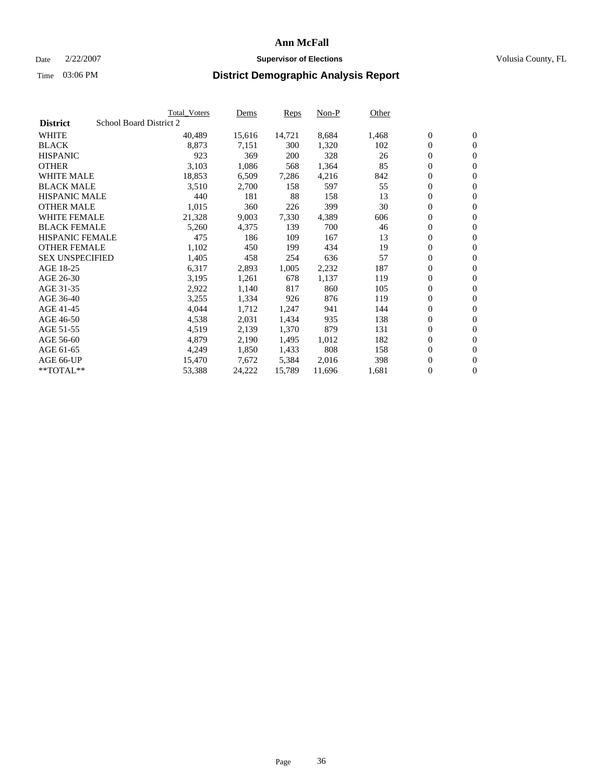#### Date  $2/22/2007$  **Supervisor of Elections** Volusia County, FL

|                        | <b>Total_Voters</b>     | Dems   | <b>Reps</b> | Non-P  | Other |                  |                  |  |
|------------------------|-------------------------|--------|-------------|--------|-------|------------------|------------------|--|
| <b>District</b>        | School Board District 2 |        |             |        |       |                  |                  |  |
| <b>WHITE</b>           | 40,489                  | 15,616 | 14,721      | 8,684  | 1,468 | $\overline{0}$   | $\mathbf{0}$     |  |
| <b>BLACK</b>           | 8,873                   | 7,151  | 300         | 1,320  | 102   | $\overline{0}$   | $\mathbf{0}$     |  |
| <b>HISPANIC</b>        | 923                     | 369    | 200         | 328    | 26    | $\boldsymbol{0}$ | $\mathbf{0}$     |  |
| <b>OTHER</b>           | 3,103                   | 1,086  | 568         | 1,364  | 85    | $\boldsymbol{0}$ | $\mathbf{0}$     |  |
| <b>WHITE MALE</b>      | 18,853                  | 6,509  | 7,286       | 4,216  | 842   | 0                | $\mathbf{0}$     |  |
| <b>BLACK MALE</b>      | 3,510                   | 2,700  | 158         | 597    | 55    | $\boldsymbol{0}$ | $\boldsymbol{0}$ |  |
| <b>HISPANIC MALE</b>   | 440                     | 181    | 88          | 158    | 13    | $\overline{0}$   | $\mathbf{0}$     |  |
| <b>OTHER MALE</b>      | 1,015                   | 360    | 226         | 399    | 30    | $\overline{0}$   | $\mathbf{0}$     |  |
| <b>WHITE FEMALE</b>    | 21,328                  | 9,003  | 7,330       | 4,389  | 606   | $\mathbf{0}$     | $\mathbf{0}$     |  |
| <b>BLACK FEMALE</b>    | 5,260                   | 4,375  | 139         | 700    | 46    | $\boldsymbol{0}$ | $\mathbf{0}$     |  |
| <b>HISPANIC FEMALE</b> | 475                     | 186    | 109         | 167    | 13    | $\boldsymbol{0}$ | $\boldsymbol{0}$ |  |
| <b>OTHER FEMALE</b>    | 1,102                   | 450    | 199         | 434    | 19    | 0                | $\mathbf{0}$     |  |
| <b>SEX UNSPECIFIED</b> | 1,405                   | 458    | 254         | 636    | 57    | $\boldsymbol{0}$ | $\mathbf{0}$     |  |
| AGE 18-25              | 6,317                   | 2,893  | 1,005       | 2,232  | 187   | $\boldsymbol{0}$ | $\mathbf{0}$     |  |
| AGE 26-30              | 3,195                   | 1,261  | 678         | 1,137  | 119   | $\overline{0}$   | $\mathbf{0}$     |  |
| AGE 31-35              | 2,922                   | 1,140  | 817         | 860    | 105   | $\overline{0}$   | $\mathbf{0}$     |  |
| AGE 36-40              | 3,255                   | 1,334  | 926         | 876    | 119   | $\boldsymbol{0}$ | $\mathbf{0}$     |  |
| AGE 41-45              | 4,044                   | 1,712  | 1,247       | 941    | 144   | $\boldsymbol{0}$ | $\mathbf{0}$     |  |
| AGE 46-50              | 4,538                   | 2,031  | 1,434       | 935    | 138   | 0                | $\mathbf{0}$     |  |
| AGE 51-55              | 4,519                   | 2,139  | 1,370       | 879    | 131   | $\boldsymbol{0}$ | $\mathbf{0}$     |  |
| AGE 56-60              | 4,879                   | 2,190  | 1,495       | 1,012  | 182   | $\overline{0}$   | $\mathbf{0}$     |  |
| AGE 61-65              | 4,249                   | 1,850  | 1,433       | 808    | 158   | $\mathbf{0}$     | $\mathbf{0}$     |  |
| AGE 66-UP              | 15,470                  | 7,672  | 5,384       | 2,016  | 398   | $\boldsymbol{0}$ | $\mathbf{0}$     |  |
| **TOTAL**              | 53,388                  | 24,222 | 15,789      | 11,696 | 1,681 | 0                | $\overline{0}$   |  |
|                        |                         |        |             |        |       |                  |                  |  |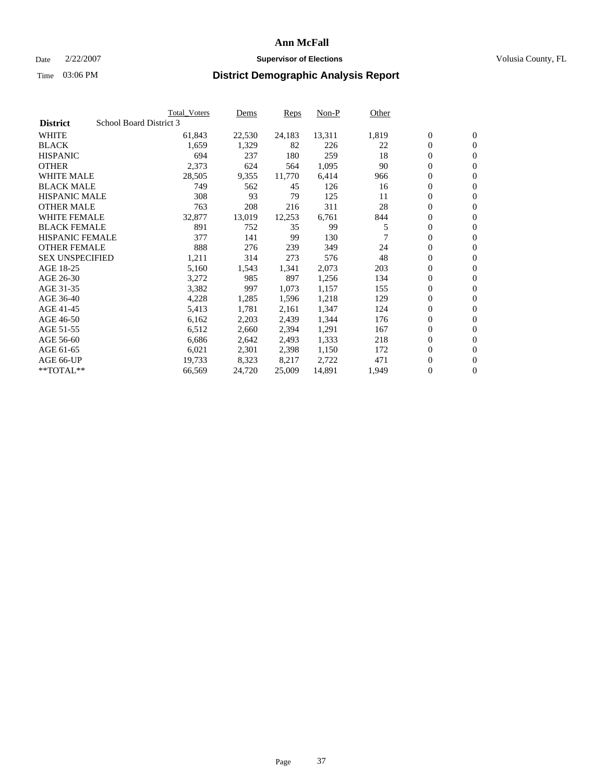### Date  $2/22/2007$  **Supervisor of Elections Supervisor of Elections** Volusia County, FL

|                        |                         | <b>Total_Voters</b> | Dems   | Reps   | Non-P  | Other |                  |                  |
|------------------------|-------------------------|---------------------|--------|--------|--------|-------|------------------|------------------|
| <b>District</b>        | School Board District 3 |                     |        |        |        |       |                  |                  |
| <b>WHITE</b>           |                         | 61,843              | 22,530 | 24,183 | 13,311 | 1,819 | $\boldsymbol{0}$ | $\mathbf{0}$     |
| <b>BLACK</b>           |                         | 1,659               | 1,329  | 82     | 226    | 22    | $\overline{0}$   | $\mathbf{0}$     |
| <b>HISPANIC</b>        |                         | 694                 | 237    | 180    | 259    | 18    | $\overline{0}$   | $\mathbf{0}$     |
| <b>OTHER</b>           |                         | 2,373               | 624    | 564    | 1,095  | 90    | 0                | $\overline{0}$   |
| <b>WHITE MALE</b>      |                         | 28,505              | 9,355  | 11,770 | 6,414  | 966   | $\overline{0}$   | $\mathbf{0}$     |
| <b>BLACK MALE</b>      |                         | 749                 | 562    | 45     | 126    | 16    | $\boldsymbol{0}$ | $\boldsymbol{0}$ |
| <b>HISPANIC MALE</b>   |                         | 308                 | 93     | 79     | 125    | 11    | 0                | $\mathbf{0}$     |
| <b>OTHER MALE</b>      |                         | 763                 | 208    | 216    | 311    | 28    | 0                | $\mathbf{0}$     |
| <b>WHITE FEMALE</b>    |                         | 32,877              | 13,019 | 12,253 | 6,761  | 844   | 0                | $\mathbf{0}$     |
| <b>BLACK FEMALE</b>    |                         | 891                 | 752    | 35     | 99     | 5     | $\overline{0}$   | $\mathbf{0}$     |
| <b>HISPANIC FEMALE</b> |                         | 377                 | 141    | 99     | 130    |       | 0                | $\mathbf{0}$     |
| <b>OTHER FEMALE</b>    |                         | 888                 | 276    | 239    | 349    | 24    | 0                | $\overline{0}$   |
| <b>SEX UNSPECIFIED</b> |                         | 1,211               | 314    | 273    | 576    | 48    | $\boldsymbol{0}$ | $\boldsymbol{0}$ |
| AGE 18-25              |                         | 5,160               | 1,543  | 1,341  | 2,073  | 203   | 0                | $\mathbf{0}$     |
| AGE 26-30              |                         | 3,272               | 985    | 897    | 1,256  | 134   | 0                | $\mathbf{0}$     |
| AGE 31-35              |                         | 3,382               | 997    | 1,073  | 1,157  | 155   | 0                | $\mathbf{0}$     |
| AGE 36-40              |                         | 4,228               | 1,285  | 1,596  | 1,218  | 129   | $\overline{0}$   | $\mathbf{0}$     |
| AGE 41-45              |                         | 5,413               | 1,781  | 2,161  | 1,347  | 124   | 0                | $\mathbf{0}$     |
| AGE 46-50              |                         | 6,162               | 2,203  | 2,439  | 1,344  | 176   | $\overline{0}$   | $\mathbf{0}$     |
| AGE 51-55              |                         | 6,512               | 2,660  | 2,394  | 1,291  | 167   | 0                | $\mathbf{0}$     |
| AGE 56-60              |                         | 6,686               | 2,642  | 2,493  | 1,333  | 218   | $\overline{0}$   | $\overline{0}$   |
| AGE 61-65              |                         | 6,021               | 2,301  | 2,398  | 1,150  | 172   | 0                | $\boldsymbol{0}$ |
| AGE 66-UP              |                         | 19,733              | 8,323  | 8,217  | 2,722  | 471   | 0                | $\mathbf{0}$     |
| $*$ TOTAL $**$         |                         | 66,569              | 24,720 | 25,009 | 14,891 | 1,949 | 0                | $\boldsymbol{0}$ |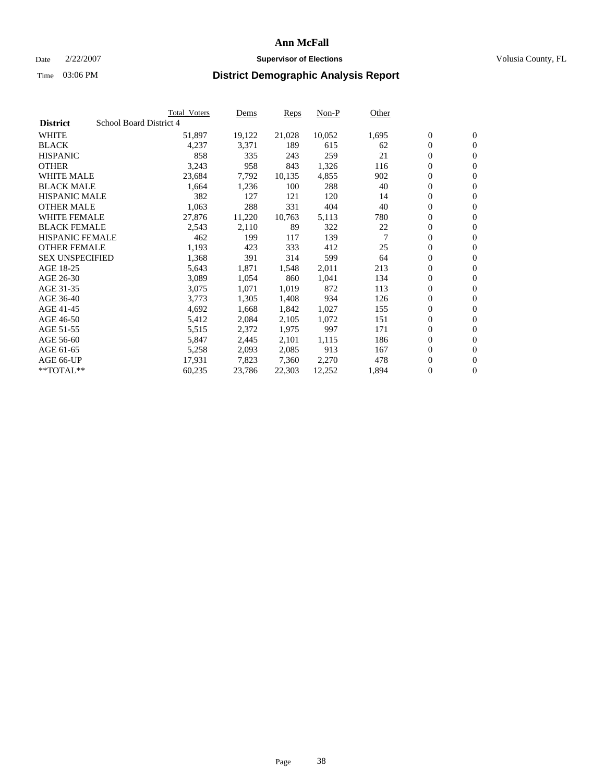### Date  $2/22/2007$  **Supervisor of Elections Supervisor of Elections** Volusia County, FL

|                        | <b>Total_Voters</b>     | Dems   | Reps   | Non-P  | Other |                  |                  |  |
|------------------------|-------------------------|--------|--------|--------|-------|------------------|------------------|--|
| <b>District</b>        | School Board District 4 |        |        |        |       |                  |                  |  |
| <b>WHITE</b>           | 51,897                  | 19,122 | 21,028 | 10,052 | 1,695 | $\boldsymbol{0}$ | $\mathbf{0}$     |  |
| <b>BLACK</b>           | 4,237                   | 3,371  | 189    | 615    | 62    | $\overline{0}$   | $\mathbf{0}$     |  |
| <b>HISPANIC</b>        | 858                     | 335    | 243    | 259    | 21    | $\overline{0}$   | $\mathbf{0}$     |  |
| <b>OTHER</b>           | 3,243                   | 958    | 843    | 1,326  | 116   | 0                | $\overline{0}$   |  |
| <b>WHITE MALE</b>      | 23,684                  | 7,792  | 10,135 | 4,855  | 902   | $\overline{0}$   | $\mathbf{0}$     |  |
| <b>BLACK MALE</b>      | 1,664                   | 1,236  | 100    | 288    | 40    | $\boldsymbol{0}$ | $\boldsymbol{0}$ |  |
| <b>HISPANIC MALE</b>   | 382                     | 127    | 121    | 120    | 14    | 0                | $\mathbf{0}$     |  |
| <b>OTHER MALE</b>      | 1,063                   | 288    | 331    | 404    | 40    | 0                | $\boldsymbol{0}$ |  |
| <b>WHITE FEMALE</b>    | 27,876                  | 11,220 | 10,763 | 5,113  | 780   | 0                | $\mathbf{0}$     |  |
| <b>BLACK FEMALE</b>    | 2,543                   | 2,110  | 89     | 322    | 22    | $\overline{0}$   | $\mathbf{0}$     |  |
| <b>HISPANIC FEMALE</b> | 462                     | 199    | 117    | 139    |       | $\overline{0}$   | $\mathbf{0}$     |  |
| <b>OTHER FEMALE</b>    | 1,193                   | 423    | 333    | 412    | 25    | $\overline{0}$   | $\mathbf{0}$     |  |
| <b>SEX UNSPECIFIED</b> | 1,368                   | 391    | 314    | 599    | 64    | $\boldsymbol{0}$ | $\boldsymbol{0}$ |  |
| AGE 18-25              | 5,643                   | 1,871  | 1,548  | 2,011  | 213   | 0                | $\mathbf{0}$     |  |
| AGE 26-30              | 3,089                   | 1,054  | 860    | 1,041  | 134   | 0                | $\mathbf{0}$     |  |
| AGE 31-35              | 3,075                   | 1,071  | 1,019  | 872    | 113   | 0                | $\mathbf{0}$     |  |
| AGE 36-40              | 3,773                   | 1,305  | 1,408  | 934    | 126   | $\boldsymbol{0}$ | $\mathbf{0}$     |  |
| AGE 41-45              | 4,692                   | 1,668  | 1,842  | 1,027  | 155   | 0                | $\mathbf{0}$     |  |
| AGE 46-50              | 5,412                   | 2,084  | 2,105  | 1,072  | 151   | $\overline{0}$   | $\mathbf{0}$     |  |
| AGE 51-55              | 5,515                   | 2,372  | 1,975  | 997    | 171   | 0                | $\mathbf{0}$     |  |
| AGE 56-60              | 5,847                   | 2,445  | 2,101  | 1,115  | 186   | $\overline{0}$   | $\mathbf{0}$     |  |
| AGE 61-65              | 5,258                   | 2,093  | 2,085  | 913    | 167   | 0                | $\boldsymbol{0}$ |  |
| AGE 66-UP              | 17,931                  | 7,823  | 7,360  | 2,270  | 478   | 0                | $\mathbf{0}$     |  |
| $*$ TOTAL $**$         | 60,235                  | 23,786 | 22,303 | 12,252 | 1,894 | 0                | $\boldsymbol{0}$ |  |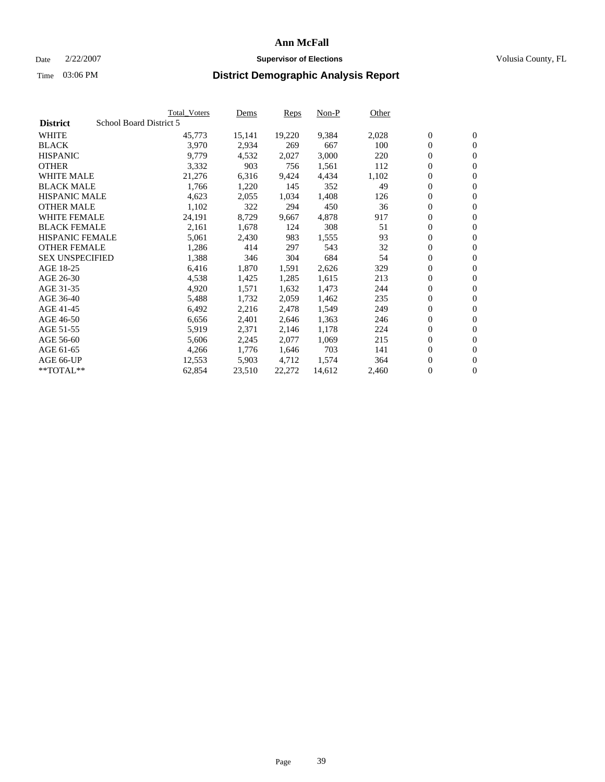#### Date  $2/22/2007$  **Supervisor of Elections** Volusia County, FL

|                        |                         | <b>Total_Voters</b> | Dems   | <b>Reps</b> | Non-P  | Other |                  |                |
|------------------------|-------------------------|---------------------|--------|-------------|--------|-------|------------------|----------------|
| <b>District</b>        | School Board District 5 |                     |        |             |        |       |                  |                |
| <b>WHITE</b>           |                         | 45,773              | 15,141 | 19,220      | 9,384  | 2,028 | $\overline{0}$   | $\mathbf{0}$   |
| <b>BLACK</b>           |                         | 3,970               | 2,934  | 269         | 667    | 100   | $\overline{0}$   | $\mathbf{0}$   |
| <b>HISPANIC</b>        |                         | 9,779               | 4,532  | 2,027       | 3,000  | 220   | $\boldsymbol{0}$ | $\mathbf{0}$   |
| <b>OTHER</b>           |                         | 3,332               | 903    | 756         | 1,561  | 112   | $\boldsymbol{0}$ | $\mathbf{0}$   |
| <b>WHITE MALE</b>      |                         | 21,276              | 6,316  | 9,424       | 4,434  | 1,102 | 0                | $\mathbf{0}$   |
| <b>BLACK MALE</b>      |                         | 1,766               | 1,220  | 145         | 352    | 49    | $\boldsymbol{0}$ | $\mathbf{0}$   |
| <b>HISPANIC MALE</b>   |                         | 4,623               | 2,055  | 1,034       | 1,408  | 126   | $\overline{0}$   | $\mathbf{0}$   |
| <b>OTHER MALE</b>      |                         | 1,102               | 322    | 294         | 450    | 36    | $\overline{0}$   | $\mathbf{0}$   |
| <b>WHITE FEMALE</b>    |                         | 24,191              | 8,729  | 9,667       | 4,878  | 917   | $\overline{0}$   | $\mathbf{0}$   |
| <b>BLACK FEMALE</b>    |                         | 2,161               | 1,678  | 124         | 308    | 51    | $\overline{0}$   | $\mathbf{0}$   |
| <b>HISPANIC FEMALE</b> |                         | 5,061               | 2,430  | 983         | 1,555  | 93    | $\boldsymbol{0}$ | $\mathbf{0}$   |
| <b>OTHER FEMALE</b>    |                         | 1,286               | 414    | 297         | 543    | 32    | 0                | $\mathbf{0}$   |
| <b>SEX UNSPECIFIED</b> |                         | 1,388               | 346    | 304         | 684    | 54    | $\boldsymbol{0}$ | $\mathbf{0}$   |
| AGE 18-25              |                         | 6,416               | 1,870  | 1,591       | 2,626  | 329   | $\boldsymbol{0}$ | $\mathbf{0}$   |
| AGE 26-30              |                         | 4,538               | 1,425  | 1,285       | 1,615  | 213   | $\overline{0}$   | $\mathbf{0}$   |
| AGE 31-35              |                         | 4,920               | 1,571  | 1,632       | 1,473  | 244   | $\overline{0}$   | $\mathbf{0}$   |
| AGE 36-40              |                         | 5,488               | 1,732  | 2,059       | 1,462  | 235   | $\boldsymbol{0}$ | $\mathbf{0}$   |
| AGE 41-45              |                         | 6,492               | 2,216  | 2,478       | 1,549  | 249   | $\boldsymbol{0}$ | $\mathbf{0}$   |
| AGE 46-50              |                         | 6,656               | 2,401  | 2,646       | 1,363  | 246   | 0                | $\mathbf{0}$   |
| AGE 51-55              |                         | 5,919               | 2,371  | 2,146       | 1,178  | 224   | $\boldsymbol{0}$ | $\mathbf{0}$   |
| AGE 56-60              |                         | 5,606               | 2,245  | 2,077       | 1,069  | 215   | $\overline{0}$   | $\mathbf{0}$   |
| AGE 61-65              |                         | 4,266               | 1,776  | 1,646       | 703    | 141   | $\mathbf{0}$     | $\mathbf{0}$   |
| AGE 66-UP              |                         | 12,553              | 5,903  | 4,712       | 1,574  | 364   | $\boldsymbol{0}$ | $\mathbf{0}$   |
| **TOTAL**              |                         | 62,854              | 23,510 | 22,272      | 14,612 | 2,460 | 0                | $\overline{0}$ |
|                        |                         |                     |        |             |        |       |                  |                |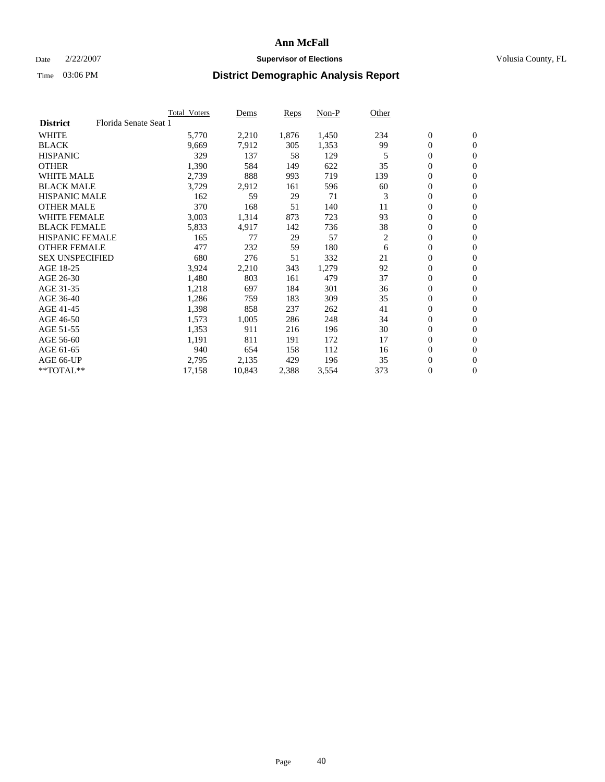### Date  $2/22/2007$  **Supervisor of Elections Supervisor of Elections** Volusia County, FL

|                        |                       | <b>Total Voters</b> | Dems   | Reps  | Non-P | Other |                  |                |
|------------------------|-----------------------|---------------------|--------|-------|-------|-------|------------------|----------------|
| <b>District</b>        | Florida Senate Seat 1 |                     |        |       |       |       |                  |                |
| <b>WHITE</b>           |                       | 5,770               | 2,210  | 1,876 | 1,450 | 234   | $\boldsymbol{0}$ | $\mathbf{0}$   |
| <b>BLACK</b>           |                       | 9,669               | 7,912  | 305   | 1,353 | 99    | $\mathbf{0}$     | $\mathbf{0}$   |
| <b>HISPANIC</b>        |                       | 329                 | 137    | 58    | 129   | 5     | $\boldsymbol{0}$ | $\overline{0}$ |
| <b>OTHER</b>           |                       | 1,390               | 584    | 149   | 622   | 35    | 0                | $\mathbf{0}$   |
| <b>WHITE MALE</b>      |                       | 2,739               | 888    | 993   | 719   | 139   | 0                | $\mathbf{0}$   |
| <b>BLACK MALE</b>      |                       | 3,729               | 2,912  | 161   | 596   | 60    | 0                | $\mathbf{0}$   |
| <b>HISPANIC MALE</b>   |                       | 162                 | 59     | 29    | 71    | 3     | 0                | $\mathbf{0}$   |
| <b>OTHER MALE</b>      |                       | 370                 | 168    | 51    | 140   | 11    | $\mathbf{0}$     | $\mathbf{0}$   |
| <b>WHITE FEMALE</b>    |                       | 3,003               | 1,314  | 873   | 723   | 93    | 0                | $\mathbf{0}$   |
| <b>BLACK FEMALE</b>    |                       | 5,833               | 4,917  | 142   | 736   | 38    | $\boldsymbol{0}$ | $\mathbf{0}$   |
| <b>HISPANIC FEMALE</b> |                       | 165                 | 77     | 29    | 57    | 2     | 0                | $\mathbf{0}$   |
| <b>OTHER FEMALE</b>    |                       | 477                 | 232    | 59    | 180   | 6     | 0                | $\mathbf{0}$   |
| <b>SEX UNSPECIFIED</b> |                       | 680                 | 276    | 51    | 332   | 21    | 0                | $\mathbf{0}$   |
| AGE 18-25              |                       | 3,924               | 2,210  | 343   | 1,279 | 92    | 0                | $\mathbf{0}$   |
| AGE 26-30              |                       | 1,480               | 803    | 161   | 479   | 37    | $\mathbf{0}$     | $\mathbf{0}$   |
| AGE 31-35              |                       | 1,218               | 697    | 184   | 301   | 36    | 0                | $\mathbf{0}$   |
| AGE 36-40              |                       | 1,286               | 759    | 183   | 309   | 35    | 0                | $\mathbf{0}$   |
| AGE 41-45              |                       | 1,398               | 858    | 237   | 262   | 41    | 0                | $\mathbf{0}$   |
| AGE 46-50              |                       | 1,573               | 1,005  | 286   | 248   | 34    | 0                | $\mathbf{0}$   |
| AGE 51-55              |                       | 1,353               | 911    | 216   | 196   | 30    | $\boldsymbol{0}$ | $\mathbf{0}$   |
| AGE 56-60              |                       | 1,191               | 811    | 191   | 172   | 17    | $\mathbf{0}$     | $\mathbf{0}$   |
| AGE 61-65              |                       | 940                 | 654    | 158   | 112   | 16    | $\mathbf{0}$     | $\mathbf{0}$   |
| AGE 66-UP              |                       | 2,795               | 2,135  | 429   | 196   | 35    | $\boldsymbol{0}$ | $\mathbf{0}$   |
| $*$ TOTAL $**$         |                       | 17,158              | 10,843 | 2,388 | 3,554 | 373   | 0                | $\mathbf{0}$   |
|                        |                       |                     |        |       |       |       |                  |                |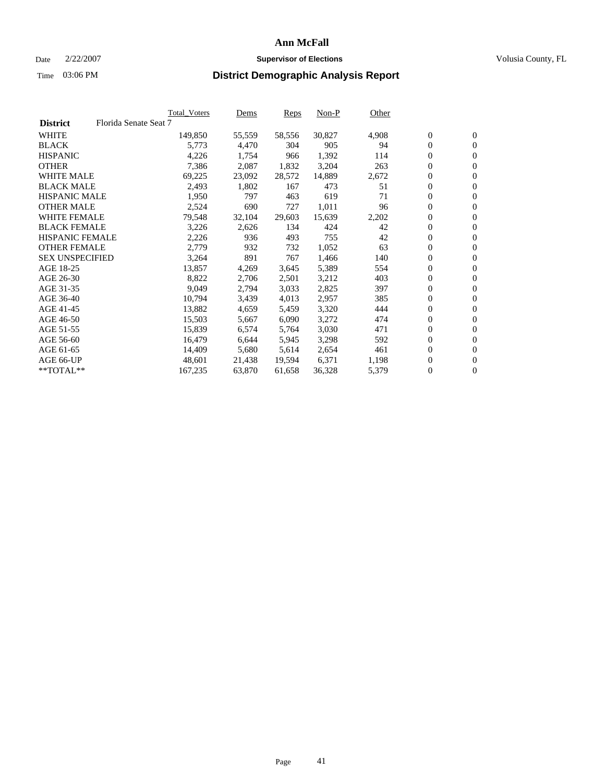#### Date  $2/22/2007$  **Supervisor of Elections** Volusia County, FL

|                        |                       | Total_Voters | Dems   | <b>Reps</b> | Non-P  | Other |                  |                  |  |
|------------------------|-----------------------|--------------|--------|-------------|--------|-------|------------------|------------------|--|
| <b>District</b>        | Florida Senate Seat 7 |              |        |             |        |       |                  |                  |  |
| <b>WHITE</b>           |                       | 149,850      | 55,559 | 58,556      | 30,827 | 4,908 | $\overline{0}$   | $\mathbf{0}$     |  |
| <b>BLACK</b>           |                       | 5,773        | 4,470  | 304         | 905    | 94    | $\overline{0}$   | $\mathbf{0}$     |  |
| <b>HISPANIC</b>        |                       | 4,226        | 1,754  | 966         | 1,392  | 114   | $\boldsymbol{0}$ | $\mathbf{0}$     |  |
| <b>OTHER</b>           |                       | 7,386        | 2,087  | 1,832       | 3,204  | 263   | 0                | $\mathbf{0}$     |  |
| <b>WHITE MALE</b>      |                       | 69,225       | 23,092 | 28,572      | 14,889 | 2,672 | 0                | $\mathbf{0}$     |  |
| <b>BLACK MALE</b>      |                       | 2,493        | 1,802  | 167         | 473    | 51    | $\boldsymbol{0}$ | $\mathbf{0}$     |  |
| <b>HISPANIC MALE</b>   |                       | 1,950        | 797    | 463         | 619    | 71    | $\overline{0}$   | $\mathbf{0}$     |  |
| <b>OTHER MALE</b>      |                       | 2,524        | 690    | 727         | 1,011  | 96    | $\overline{0}$   | $\mathbf{0}$     |  |
| <b>WHITE FEMALE</b>    |                       | 79,548       | 32,104 | 29,603      | 15,639 | 2,202 | $\overline{0}$   | $\mathbf{0}$     |  |
| <b>BLACK FEMALE</b>    |                       | 3,226        | 2,626  | 134         | 424    | 42    | $\boldsymbol{0}$ | $\mathbf{0}$     |  |
| <b>HISPANIC FEMALE</b> |                       | 2,226        | 936    | 493         | 755    | 42    | $\boldsymbol{0}$ | $\mathbf{0}$     |  |
| <b>OTHER FEMALE</b>    |                       | 2,779        | 932    | 732         | 1,052  | 63    | 0                | $\mathbf{0}$     |  |
| <b>SEX UNSPECIFIED</b> |                       | 3,264        | 891    | 767         | 1,466  | 140   | $\boldsymbol{0}$ | $\mathbf{0}$     |  |
| AGE 18-25              |                       | 13,857       | 4,269  | 3,645       | 5,389  | 554   | 0                | $\mathbf{0}$     |  |
| AGE 26-30              |                       | 8,822        | 2,706  | 2,501       | 3,212  | 403   | $\overline{0}$   | $\mathbf{0}$     |  |
| AGE 31-35              |                       | 9,049        | 2,794  | 3,033       | 2,825  | 397   | $\overline{0}$   | $\mathbf{0}$     |  |
| AGE 36-40              |                       | 10,794       | 3,439  | 4,013       | 2,957  | 385   | $\boldsymbol{0}$ | $\mathbf{0}$     |  |
| AGE 41-45              |                       | 13,882       | 4,659  | 5,459       | 3,320  | 444   | 0                | $\mathbf{0}$     |  |
| AGE 46-50              |                       | 15,503       | 5,667  | 6,090       | 3,272  | 474   | 0                | $\mathbf{0}$     |  |
| AGE 51-55              |                       | 15,839       | 6,574  | 5,764       | 3,030  | 471   | $\boldsymbol{0}$ | $\mathbf{0}$     |  |
| AGE 56-60              |                       | 16,479       | 6,644  | 5,945       | 3,298  | 592   | $\overline{0}$   | $\mathbf{0}$     |  |
| AGE 61-65              |                       | 14,409       | 5,680  | 5,614       | 2,654  | 461   | $\mathbf{0}$     | $\boldsymbol{0}$ |  |
| AGE 66-UP              |                       | 48,601       | 21,438 | 19,594      | 6,371  | 1,198 | $\boldsymbol{0}$ | $\mathbf{0}$     |  |
| **TOTAL**              |                       | 167,235      | 63,870 | 61,658      | 36,328 | 5,379 | $\boldsymbol{0}$ | $\overline{0}$   |  |
|                        |                       |              |        |             |        |       |                  |                  |  |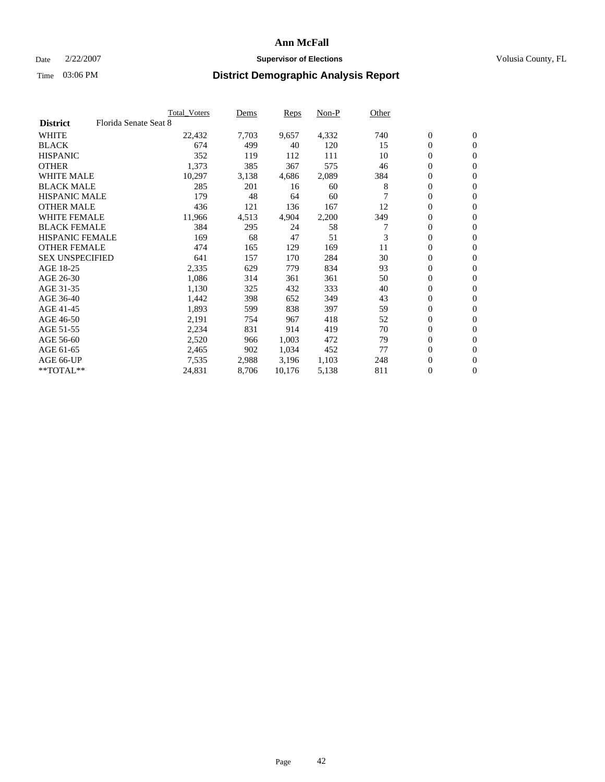### Date  $2/22/2007$  **Supervisor of Elections Supervisor of Elections** Volusia County, FL

|                        |                       | <b>Total Voters</b> | Dems  | Reps   | Non-P | Other |                  |                  |
|------------------------|-----------------------|---------------------|-------|--------|-------|-------|------------------|------------------|
| <b>District</b>        | Florida Senate Seat 8 |                     |       |        |       |       |                  |                  |
| <b>WHITE</b>           |                       | 22,432              | 7,703 | 9,657  | 4,332 | 740   | $\boldsymbol{0}$ | $\mathbf{0}$     |
| <b>BLACK</b>           |                       | 674                 | 499   | 40     | 120   | 15    | $\mathbf{0}$     | $\mathbf{0}$     |
| <b>HISPANIC</b>        |                       | 352                 | 119   | 112    | 111   | 10    | 0                | $\overline{0}$   |
| <b>OTHER</b>           |                       | 1,373               | 385   | 367    | 575   | 46    | 0                | $\mathbf{0}$     |
| <b>WHITE MALE</b>      |                       | 10,297              | 3,138 | 4,686  | 2,089 | 384   | 0                | $\mathbf{0}$     |
| <b>BLACK MALE</b>      |                       | 285                 | 201   | 16     | 60    | 8     | 0                | $\mathbf{0}$     |
| <b>HISPANIC MALE</b>   |                       | 179                 | 48    | 64     | 60    |       | 0                | $\mathbf{0}$     |
| <b>OTHER MALE</b>      |                       | 436                 | 121   | 136    | 167   | 12    | $\mathbf{0}$     | $\mathbf{0}$     |
| <b>WHITE FEMALE</b>    |                       | 11,966              | 4,513 | 4,904  | 2,200 | 349   | 0                | $\mathbf{0}$     |
| <b>BLACK FEMALE</b>    |                       | 384                 | 295   | 24     | 58    | 7     | $\boldsymbol{0}$ | $\mathbf{0}$     |
| <b>HISPANIC FEMALE</b> |                       | 169                 | 68    | 47     | 51    | 3     | $\boldsymbol{0}$ | $\mathbf{0}$     |
| <b>OTHER FEMALE</b>    |                       | 474                 | 165   | 129    | 169   | 11    | 0                | $\mathbf{0}$     |
| <b>SEX UNSPECIFIED</b> |                       | 641                 | 157   | 170    | 284   | 30    | 0                | $\mathbf{0}$     |
| AGE 18-25              |                       | 2,335               | 629   | 779    | 834   | 93    | 0                | $\mathbf{0}$     |
| AGE 26-30              |                       | 1,086               | 314   | 361    | 361   | 50    | $\mathbf{0}$     | $\mathbf{0}$     |
| AGE 31-35              |                       | 1,130               | 325   | 432    | 333   | 40    | 0                | $\mathbf{0}$     |
| AGE 36-40              |                       | 1,442               | 398   | 652    | 349   | 43    | 0                | $\mathbf{0}$     |
| AGE 41-45              |                       | 1,893               | 599   | 838    | 397   | 59    | 0                | $\mathbf{0}$     |
| AGE 46-50              |                       | 2,191               | 754   | 967    | 418   | 52    | 0                | $\mathbf{0}$     |
| AGE 51-55              |                       | 2,234               | 831   | 914    | 419   | 70    | $\boldsymbol{0}$ | $\mathbf{0}$     |
| AGE 56-60              |                       | 2,520               | 966   | 1,003  | 472   | 79    | 0                | $\mathbf{0}$     |
| AGE 61-65              |                       | 2,465               | 902   | 1,034  | 452   | 77    | $\mathbf{0}$     | $\mathbf{0}$     |
| AGE 66-UP              |                       | 7,535               | 2,988 | 3,196  | 1,103 | 248   | 0                | $\mathbf{0}$     |
| $*$ TOTAL $**$         |                       | 24,831              | 8,706 | 10,176 | 5,138 | 811   | 0                | $\boldsymbol{0}$ |
|                        |                       |                     |       |        |       |       |                  |                  |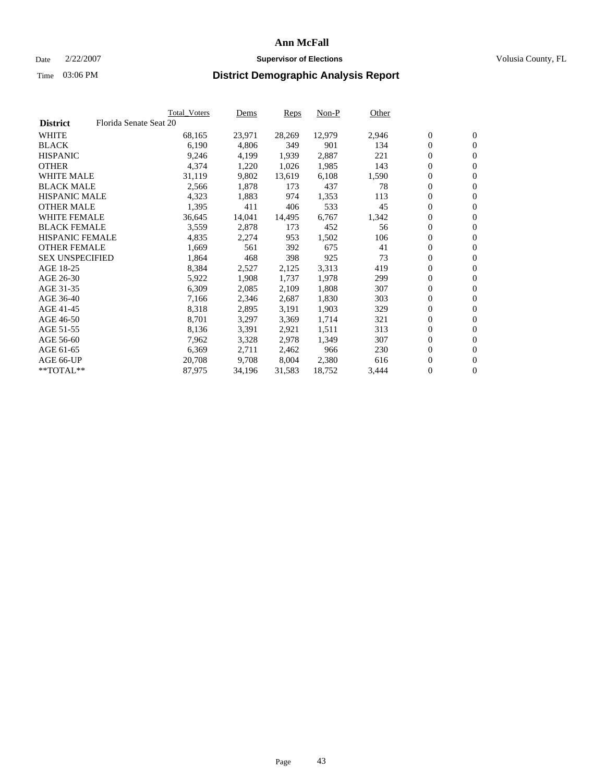#### Date  $2/22/2007$  **Supervisor of Elections** Volusia County, FL

|                        |                        | <b>Total_Voters</b> | Dems   | <b>Reps</b> | Non-P  | Other |                  |                  |  |
|------------------------|------------------------|---------------------|--------|-------------|--------|-------|------------------|------------------|--|
| <b>District</b>        | Florida Senate Seat 20 |                     |        |             |        |       |                  |                  |  |
| <b>WHITE</b>           |                        | 68,165              | 23,971 | 28,269      | 12,979 | 2,946 | $\overline{0}$   | $\mathbf{0}$     |  |
| <b>BLACK</b>           |                        | 6,190               | 4,806  | 349         | 901    | 134   | $\overline{0}$   | $\mathbf{0}$     |  |
| <b>HISPANIC</b>        |                        | 9,246               | 4,199  | 1,939       | 2,887  | 221   | $\boldsymbol{0}$ | $\mathbf{0}$     |  |
| <b>OTHER</b>           |                        | 4,374               | 1,220  | 1,026       | 1,985  | 143   | $\boldsymbol{0}$ | $\mathbf{0}$     |  |
| <b>WHITE MALE</b>      |                        | 31,119              | 9,802  | 13,619      | 6,108  | 1,590 | 0                | $\mathbf{0}$     |  |
| <b>BLACK MALE</b>      |                        | 2,566               | 1,878  | 173         | 437    | 78    | $\boldsymbol{0}$ | $\mathbf{0}$     |  |
| <b>HISPANIC MALE</b>   |                        | 4,323               | 1,883  | 974         | 1,353  | 113   | $\overline{0}$   | $\mathbf{0}$     |  |
| <b>OTHER MALE</b>      |                        | 1,395               | 411    | 406         | 533    | 45    | $\overline{0}$   | $\mathbf{0}$     |  |
| <b>WHITE FEMALE</b>    |                        | 36,645              | 14,041 | 14,495      | 6,767  | 1,342 | $\mathbf{0}$     | $\mathbf{0}$     |  |
| <b>BLACK FEMALE</b>    |                        | 3,559               | 2,878  | 173         | 452    | 56    | $\boldsymbol{0}$ | $\mathbf{0}$     |  |
| <b>HISPANIC FEMALE</b> |                        | 4,835               | 2,274  | 953         | 1,502  | 106   | $\boldsymbol{0}$ | $\mathbf{0}$     |  |
| <b>OTHER FEMALE</b>    |                        | 1,669               | 561    | 392         | 675    | 41    | 0                | $\mathbf{0}$     |  |
| <b>SEX UNSPECIFIED</b> |                        | 1,864               | 468    | 398         | 925    | 73    | $\boldsymbol{0}$ | $\mathbf{0}$     |  |
| AGE 18-25              |                        | 8,384               | 2,527  | 2,125       | 3,313  | 419   | $\boldsymbol{0}$ | $\mathbf{0}$     |  |
| AGE 26-30              |                        | 5,922               | 1,908  | 1,737       | 1,978  | 299   | $\overline{0}$   | $\mathbf{0}$     |  |
| AGE 31-35              |                        | 6,309               | 2,085  | 2,109       | 1,808  | 307   | $\overline{0}$   | $\mathbf{0}$     |  |
| AGE 36-40              |                        | 7,166               | 2,346  | 2,687       | 1,830  | 303   | $\boldsymbol{0}$ | $\mathbf{0}$     |  |
| AGE 41-45              |                        | 8,318               | 2,895  | 3,191       | 1,903  | 329   | $\boldsymbol{0}$ | $\mathbf{0}$     |  |
| AGE 46-50              |                        | 8,701               | 3,297  | 3,369       | 1,714  | 321   | 0                | $\mathbf{0}$     |  |
| AGE 51-55              |                        | 8,136               | 3,391  | 2,921       | 1,511  | 313   | $\boldsymbol{0}$ | $\mathbf{0}$     |  |
| AGE 56-60              |                        | 7,962               | 3,328  | 2,978       | 1,349  | 307   | $\overline{0}$   | $\mathbf{0}$     |  |
| AGE 61-65              |                        | 6,369               | 2,711  | 2,462       | 966    | 230   | $\mathbf{0}$     | $\boldsymbol{0}$ |  |
| AGE 66-UP              |                        | 20,708              | 9,708  | 8,004       | 2,380  | 616   | $\boldsymbol{0}$ | $\mathbf{0}$     |  |
| **TOTAL**              |                        | 87,975              | 34,196 | 31,583      | 18,752 | 3,444 | 0                | $\overline{0}$   |  |
|                        |                        |                     |        |             |        |       |                  |                  |  |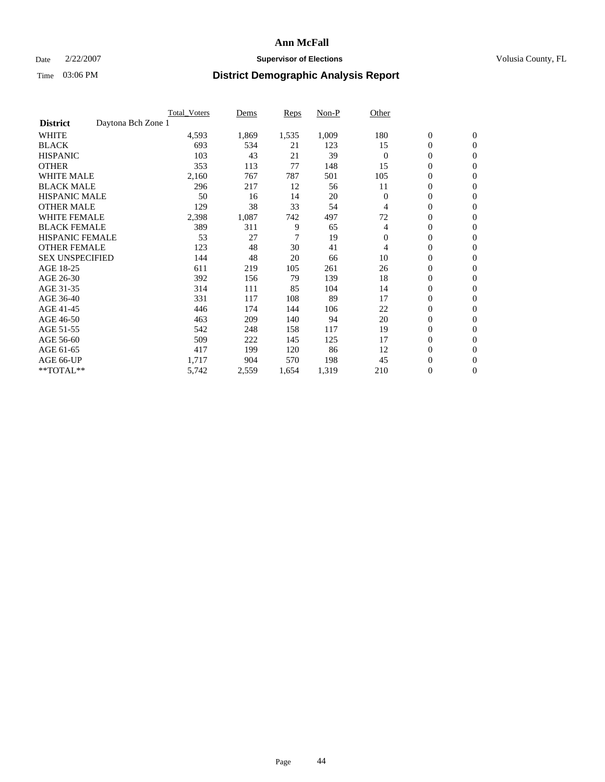### Date  $2/22/2007$  **Supervisor of Elections Supervisor of Elections** Volusia County, FL

|                        | Total_Voters       | Dems  | <b>Reps</b> | Non-P | Other        |                  |                |
|------------------------|--------------------|-------|-------------|-------|--------------|------------------|----------------|
| <b>District</b>        | Daytona Bch Zone 1 |       |             |       |              |                  |                |
| <b>WHITE</b>           | 4,593              | 1,869 | 1,535       | 1,009 | 180          | $\boldsymbol{0}$ | $\mathbf{0}$   |
| <b>BLACK</b>           | 693                | 534   | 21          | 123   | 15           | $\overline{0}$   | $\mathbf{0}$   |
| <b>HISPANIC</b>        | 103                | 43    | 21          | 39    | $\Omega$     | $\boldsymbol{0}$ | $\mathbf{0}$   |
| <b>OTHER</b>           | 353                | 113   | 77          | 148   | 15           | 0                | $\mathbf{0}$   |
| <b>WHITE MALE</b>      | 2,160              | 767   | 787         | 501   | 105          | 0                | $\mathbf{0}$   |
| <b>BLACK MALE</b>      | 296                | 217   | 12          | 56    | 11           | $\boldsymbol{0}$ | $\mathbf{0}$   |
| <b>HISPANIC MALE</b>   | 50                 | 16    | 14          | 20    | $\Omega$     | $\overline{0}$   | $\mathbf{0}$   |
| <b>OTHER MALE</b>      | 129                | 38    | 33          | 54    | 4            | $\overline{0}$   | $\mathbf{0}$   |
| <b>WHITE FEMALE</b>    | 2,398              | 1,087 | 742         | 497   | 72           | 0                | $\mathbf{0}$   |
| <b>BLACK FEMALE</b>    | 389                | 311   | 9           | 65    | 4            | $\boldsymbol{0}$ | $\mathbf{0}$   |
| <b>HISPANIC FEMALE</b> | 53                 | 27    | 7           | 19    | $\mathbf{0}$ | $\boldsymbol{0}$ | $\mathbf{0}$   |
| <b>OTHER FEMALE</b>    | 123                | 48    | 30          | 41    | 4            | 0                | $\overline{0}$ |
| <b>SEX UNSPECIFIED</b> | 144                | 48    | 20          | 66    | 10           | $\overline{0}$   | $\mathbf{0}$   |
| AGE 18-25              | 611                | 219   | 105         | 261   | 26           | $\boldsymbol{0}$ | $\mathbf{0}$   |
| AGE 26-30              | 392                | 156   | 79          | 139   | 18           | $\overline{0}$   | $\mathbf{0}$   |
| AGE 31-35              | 314                | 111   | 85          | 104   | 14           | $\overline{0}$   | $\mathbf{0}$   |
| AGE 36-40              | 331                | 117   | 108         | 89    | 17           | $\boldsymbol{0}$ | $\mathbf{0}$   |
| AGE 41-45              | 446                | 174   | 144         | 106   | 22           | $\boldsymbol{0}$ | $\mathbf{0}$   |
| AGE 46-50              | 463                | 209   | 140         | 94    | 20           | 0                | $\Omega$       |
| AGE 51-55              | 542                | 248   | 158         | 117   | 19           | $\boldsymbol{0}$ | $\mathbf{0}$   |
| AGE 56-60              | 509                | 222   | 145         | 125   | 17           | $\overline{0}$   | $\mathbf{0}$   |
| AGE 61-65              | 417                | 199   | 120         | 86    | 12           | $\mathbf{0}$     | $\mathbf{0}$   |
| AGE 66-UP              | 1,717              | 904   | 570         | 198   | 45           | $\boldsymbol{0}$ | $\mathbf{0}$   |
| **TOTAL**              | 5,742              | 2,559 | 1,654       | 1,319 | 210          | 0                | $\overline{0}$ |
|                        |                    |       |             |       |              |                  |                |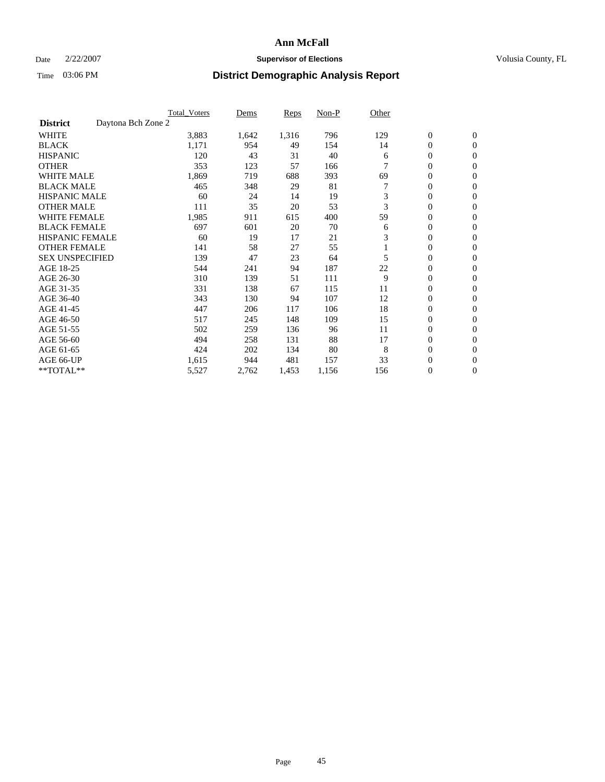### Date  $2/22/2007$  **Supervisor of Elections Supervisor of Elections** Volusia County, FL

|                                       | <b>Total Voters</b> | Dems  | Reps  | Non-P | Other |                  |                  |  |
|---------------------------------------|---------------------|-------|-------|-------|-------|------------------|------------------|--|
| Daytona Bch Zone 2<br><b>District</b> |                     |       |       |       |       |                  |                  |  |
| <b>WHITE</b>                          | 3,883               | 1,642 | 1,316 | 796   | 129   | $\boldsymbol{0}$ | $\boldsymbol{0}$ |  |
| <b>BLACK</b>                          | 1,171               | 954   | 49    | 154   | 14    | 0                | $\mathbf{0}$     |  |
| <b>HISPANIC</b>                       | 120                 | 43    | 31    | 40    | 6     | 0                | $\mathbf{0}$     |  |
| <b>OTHER</b>                          | 353                 | 123   | 57    | 166   |       | 0                | $\overline{0}$   |  |
| <b>WHITE MALE</b>                     | 1,869               | 719   | 688   | 393   | 69    | 0                | $\mathbf{0}$     |  |
| <b>BLACK MALE</b>                     | 465                 | 348   | 29    | 81    |       | 0                | $\mathbf{0}$     |  |
| <b>HISPANIC MALE</b>                  | 60                  | 24    | 14    | 19    | 3     | 0                | $\mathbf{0}$     |  |
| <b>OTHER MALE</b>                     | 111                 | 35    | 20    | 53    | 3     | 0                | $\mathbf{0}$     |  |
| <b>WHITE FEMALE</b>                   | 1,985               | 911   | 615   | 400   | 59    | 0                | $\Omega$         |  |
| <b>BLACK FEMALE</b>                   | 697                 | 601   | 20    | 70    | 6     | $\mathbf{0}$     | $\mathbf{0}$     |  |
| <b>HISPANIC FEMALE</b>                | 60                  | 19    | 17    | 21    | 3     | 0                | $\mathbf{0}$     |  |
| <b>OTHER FEMALE</b>                   | 141                 | 58    | 27    | 55    |       | 0                | $\mathbf{0}$     |  |
| <b>SEX UNSPECIFIED</b>                | 139                 | 47    | 23    | 64    | 5     | 0                | $\mathbf{0}$     |  |
| AGE 18-25                             | 544                 | 241   | 94    | 187   | 22    | 0                | $\mathbf{0}$     |  |
| AGE 26-30                             | 310                 | 139   | 51    | 111   | 9     | 0                | $\mathbf{0}$     |  |
| AGE 31-35                             | 331                 | 138   | 67    | 115   | 11    | 0                | $\mathbf{0}$     |  |
| AGE 36-40                             | 343                 | 130   | 94    | 107   | 12    | 0                | $\mathbf{0}$     |  |
| AGE 41-45                             | 447                 | 206   | 117   | 106   | 18    | 0                | $\mathbf{0}$     |  |
| AGE 46-50                             | 517                 | 245   | 148   | 109   | 15    | 0                | $\mathbf{0}$     |  |
| AGE 51-55                             | 502                 | 259   | 136   | 96    | 11    | 0                | $\mathbf{0}$     |  |
| AGE 56-60                             | 494                 | 258   | 131   | 88    | 17    | 0                | $\mathbf{0}$     |  |
| AGE 61-65                             | 424                 | 202   | 134   | 80    | 8     | 0                | $\mathbf{0}$     |  |
| AGE 66-UP                             | 1,615               | 944   | 481   | 157   | 33    | 0                | 0                |  |
| **TOTAL**                             | 5,527               | 2,762 | 1,453 | 1,156 | 156   | 0                | $\boldsymbol{0}$ |  |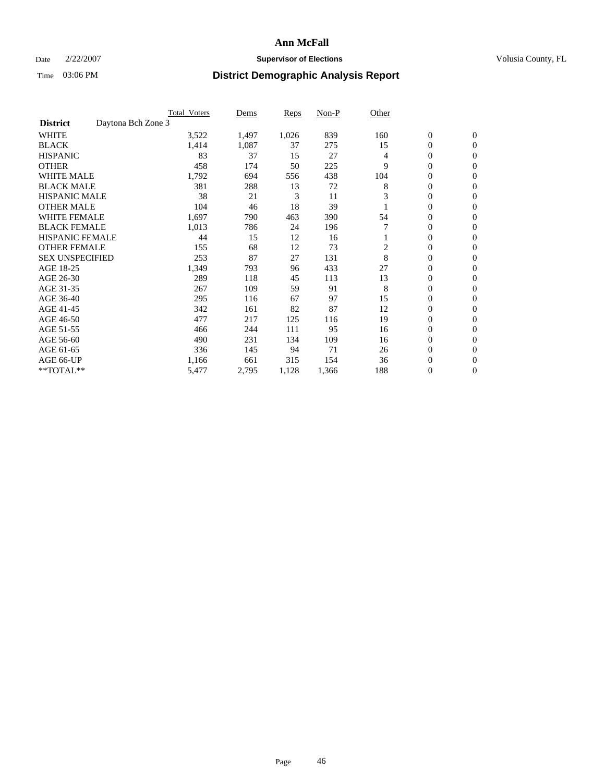### Date  $2/22/2007$  **Supervisor of Elections Supervisor of Elections** Volusia County, FL

|                                       | <b>Total Voters</b> | Dems  | Reps  | Non-P | Other          |                  |                  |  |
|---------------------------------------|---------------------|-------|-------|-------|----------------|------------------|------------------|--|
| Daytona Bch Zone 3<br><b>District</b> |                     |       |       |       |                |                  |                  |  |
| <b>WHITE</b>                          | 3,522               | 1,497 | 1,026 | 839   | 160            | $\boldsymbol{0}$ | $\mathbf{0}$     |  |
| <b>BLACK</b>                          | 1,414               | 1,087 | 37    | 275   | 15             | $\mathbf{0}$     | $\mathbf{0}$     |  |
| <b>HISPANIC</b>                       | 83                  | 37    | 15    | 27    | 4              | 0                | $\mathbf{0}$     |  |
| <b>OTHER</b>                          | 458                 | 174   | 50    | 225   | 9              | 0                | $\overline{0}$   |  |
| <b>WHITE MALE</b>                     | 1,792               | 694   | 556   | 438   | 104            | 0                | $\mathbf{0}$     |  |
| <b>BLACK MALE</b>                     | 381                 | 288   | 13    | 72    | 8              | 0                | $\mathbf{0}$     |  |
| <b>HISPANIC MALE</b>                  | 38                  | 21    | 3     | 11    | 3              | 0                | $\Omega$         |  |
| <b>OTHER MALE</b>                     | 104                 | 46    | 18    | 39    |                | 0                | $\mathbf{0}$     |  |
| <b>WHITE FEMALE</b>                   | 1,697               | 790   | 463   | 390   | 54             | 0                | $\Omega$         |  |
| <b>BLACK FEMALE</b>                   | 1,013               | 786   | 24    | 196   |                | $\mathbf{0}$     | $\mathbf{0}$     |  |
| <b>HISPANIC FEMALE</b>                | 44                  | 15    | 12    | 16    |                | 0                | $\mathbf{0}$     |  |
| <b>OTHER FEMALE</b>                   | 155                 | 68    | 12    | 73    | $\overline{2}$ | 0                | $\mathbf{0}$     |  |
| <b>SEX UNSPECIFIED</b>                | 253                 | 87    | 27    | 131   | 8              | $\boldsymbol{0}$ | $\mathbf{0}$     |  |
| AGE 18-25                             | 1,349               | 793   | 96    | 433   | 27             | 0                | $\mathbf{0}$     |  |
| AGE 26-30                             | 289                 | 118   | 45    | 113   | 13             | 0                | $\mathbf{0}$     |  |
| AGE 31-35                             | 267                 | 109   | 59    | 91    | 8              | 0                | $\mathbf{0}$     |  |
| AGE 36-40                             | 295                 | 116   | 67    | 97    | 15             | $\mathbf{0}$     | $\mathbf{0}$     |  |
| AGE 41-45                             | 342                 | 161   | 82    | 87    | 12             | 0                | $\mathbf{0}$     |  |
| AGE 46-50                             | 477                 | 217   | 125   | 116   | 19             | $\mathbf{0}$     | $\mathbf{0}$     |  |
| AGE 51-55                             | 466                 | 244   | 111   | 95    | 16             | 0                | $\mathbf{0}$     |  |
| AGE 56-60                             | 490                 | 231   | 134   | 109   | 16             | 0                | $\mathbf{0}$     |  |
| AGE 61-65                             | 336                 | 145   | 94    | 71    | 26             | 0                | $\mathbf{0}$     |  |
| AGE 66-UP                             | 1,166               | 661   | 315   | 154   | 36             | 0                | 0                |  |
| **TOTAL**                             | 5,477               | 2,795 | 1,128 | 1,366 | 188            | 0                | $\boldsymbol{0}$ |  |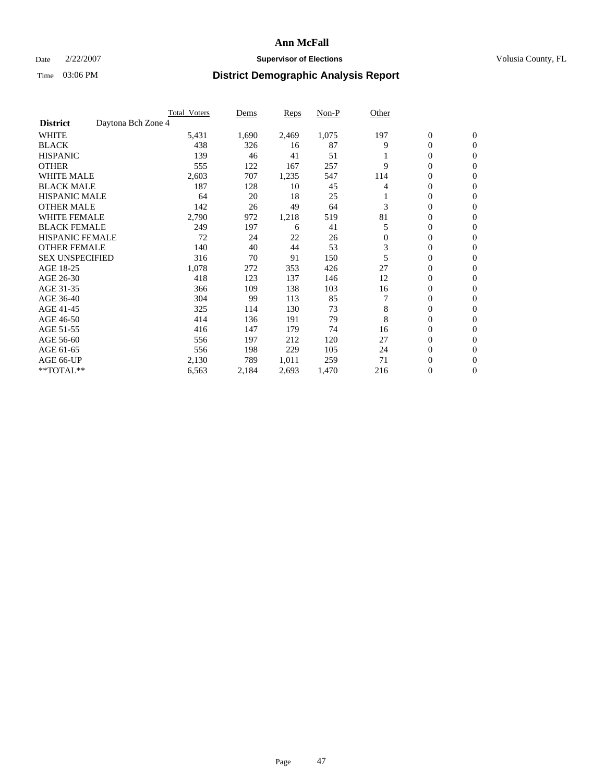### Date  $2/22/2007$  **Supervisor of Elections Supervisor of Elections** Volusia County, FL

|                                       | <b>Total Voters</b> | Dems  | <b>Reps</b> | Non-P | Other        |                  |                  |  |
|---------------------------------------|---------------------|-------|-------------|-------|--------------|------------------|------------------|--|
| Daytona Bch Zone 4<br><b>District</b> |                     |       |             |       |              |                  |                  |  |
| <b>WHITE</b>                          | 5,431               | 1,690 | 2,469       | 1,075 | 197          | $\boldsymbol{0}$ | $\mathbf{0}$     |  |
| <b>BLACK</b>                          | 438                 | 326   | 16          | 87    | 9            | 0                | $\mathbf{0}$     |  |
| <b>HISPANIC</b>                       | 139                 | 46    | 41          | 51    |              | 0                | $\mathbf{0}$     |  |
| <b>OTHER</b>                          | 555                 | 122   | 167         | 257   | 9            | 0                | $\mathbf{0}$     |  |
| <b>WHITE MALE</b>                     | 2,603               | 707   | 1,235       | 547   | 114          | 0                | $\mathbf{0}$     |  |
| <b>BLACK MALE</b>                     | 187                 | 128   | 10          | 45    | 4            | 0                | $\mathbf{0}$     |  |
| <b>HISPANIC MALE</b>                  | 64                  | 20    | 18          | 25    |              | 0                | $\mathbf{0}$     |  |
| <b>OTHER MALE</b>                     | 142                 | 26    | 49          | 64    | 3            | $\mathbf{0}$     | $\mathbf{0}$     |  |
| <b>WHITE FEMALE</b>                   | 2,790               | 972   | 1,218       | 519   | 81           | 0                | $\mathbf{0}$     |  |
| <b>BLACK FEMALE</b>                   | 249                 | 197   | 6           | 41    | 5            | $\mathbf{0}$     | $\mathbf{0}$     |  |
| <b>HISPANIC FEMALE</b>                | 72                  | 24    | 22          | 26    | $\mathbf{0}$ | 0                | $\mathbf{0}$     |  |
| <b>OTHER FEMALE</b>                   | 140                 | 40    | 44          | 53    | 3            | 0                | $\mathbf{0}$     |  |
| <b>SEX UNSPECIFIED</b>                | 316                 | 70    | 91          | 150   | 5            | 0                | 0                |  |
| AGE 18-25                             | 1,078               | 272   | 353         | 426   | 27           | 0                | $\Omega$         |  |
| AGE 26-30                             | 418                 | 123   | 137         | 146   | 12           | $\mathbf{0}$     | $\mathbf{0}$     |  |
| AGE 31-35                             | 366                 | 109   | 138         | 103   | 16           | 0                | $\mathbf{0}$     |  |
| AGE 36-40                             | 304                 | 99    | 113         | 85    | 7            | 0                | $\mathbf{0}$     |  |
| AGE 41-45                             | 325                 | 114   | 130         | 73    | 8            | 0                | $\mathbf{0}$     |  |
| AGE 46-50                             | 414                 | 136   | 191         | 79    | 8            | 0                | $\Omega$         |  |
| AGE 51-55                             | 416                 | 147   | 179         | 74    | 16           | 0                | $\mathbf{0}$     |  |
| AGE 56-60                             | 556                 | 197   | 212         | 120   | 27           | 0                | $\mathbf{0}$     |  |
| AGE 61-65                             | 556                 | 198   | 229         | 105   | 24           | $\overline{0}$   | $\mathbf{0}$     |  |
| AGE 66-UP                             | 2,130               | 789   | 1,011       | 259   | 71           | 0                | $\boldsymbol{0}$ |  |
| **TOTAL**                             | 6,563               | 2,184 | 2,693       | 1,470 | 216          | 0                | $\boldsymbol{0}$ |  |
|                                       |                     |       |             |       |              |                  |                  |  |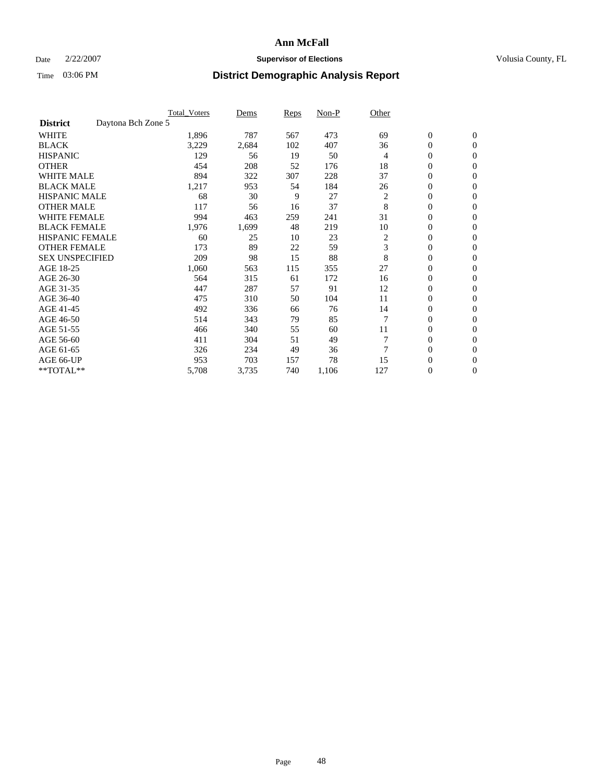### Date  $2/22/2007$  **Supervisor of Elections Supervisor of Elections** Volusia County, FL

|                        |                    | <b>Total Voters</b> | Dems  | Reps | Non-P | Other          |                  |                  |
|------------------------|--------------------|---------------------|-------|------|-------|----------------|------------------|------------------|
| <b>District</b>        | Daytona Bch Zone 5 |                     |       |      |       |                |                  |                  |
| <b>WHITE</b>           |                    | 1,896               | 787   | 567  | 473   | 69             | $\boldsymbol{0}$ | $\mathbf{0}$     |
| <b>BLACK</b>           |                    | 3,229               | 2,684 | 102  | 407   | 36             | 0                | $\mathbf{0}$     |
| <b>HISPANIC</b>        |                    | 129                 | 56    | 19   | 50    | 4              | 0                | $\mathbf{0}$     |
| <b>OTHER</b>           |                    | 454                 | 208   | 52   | 176   | 18             | 0                | $\mathbf{0}$     |
| <b>WHITE MALE</b>      |                    | 894                 | 322   | 307  | 228   | 37             | 0                | $\mathbf{0}$     |
| <b>BLACK MALE</b>      |                    | 1,217               | 953   | 54   | 184   | 26             | 0                | $\mathbf{0}$     |
| <b>HISPANIC MALE</b>   |                    | 68                  | 30    | 9    | 27    | $\overline{c}$ | 0                | $\mathbf{0}$     |
| <b>OTHER MALE</b>      |                    | 117                 | 56    | 16   | 37    | 8              | $\mathbf{0}$     | $\mathbf{0}$     |
| <b>WHITE FEMALE</b>    |                    | 994                 | 463   | 259  | 241   | 31             | 0                | $\mathbf{0}$     |
| <b>BLACK FEMALE</b>    |                    | 1,976               | 1,699 | 48   | 219   | 10             | $\boldsymbol{0}$ | $\mathbf{0}$     |
| <b>HISPANIC FEMALE</b> |                    | 60                  | 25    | 10   | 23    | 2              | 0                | $\mathbf{0}$     |
| <b>OTHER FEMALE</b>    |                    | 173                 | 89    | 22   | 59    | 3              | 0                | $\mathbf{0}$     |
| <b>SEX UNSPECIFIED</b> |                    | 209                 | 98    | 15   | 88    | 8              | 0                | $\mathbf{0}$     |
| AGE 18-25              |                    | 1,060               | 563   | 115  | 355   | 27             | 0                | $\mathbf{0}$     |
| AGE 26-30              |                    | 564                 | 315   | 61   | 172   | 16             | $\mathbf{0}$     | $\mathbf{0}$     |
| AGE 31-35              |                    | 447                 | 287   | 57   | 91    | 12             | 0                | $\mathbf{0}$     |
| AGE 36-40              |                    | 475                 | 310   | 50   | 104   | 11             | 0                | $\mathbf{0}$     |
| AGE 41-45              |                    | 492                 | 336   | 66   | 76    | 14             | 0                | $\mathbf{0}$     |
| AGE 46-50              |                    | 514                 | 343   | 79   | 85    |                | 0                | $\mathbf{0}$     |
| AGE 51-55              |                    | 466                 | 340   | 55   | 60    | 11             | $\boldsymbol{0}$ | $\mathbf{0}$     |
| AGE 56-60              |                    | 411                 | 304   | 51   | 49    |                | $\mathbf{0}$     | $\mathbf{0}$     |
| AGE 61-65              |                    | 326                 | 234   | 49   | 36    | 7              | $\mathbf{0}$     | $\mathbf{0}$     |
| AGE 66-UP              |                    | 953                 | 703   | 157  | 78    | 15             | 0                | $\mathbf{0}$     |
| **TOTAL**              |                    | 5,708               | 3,735 | 740  | 1,106 | 127            | 0                | $\boldsymbol{0}$ |
|                        |                    |                     |       |      |       |                |                  |                  |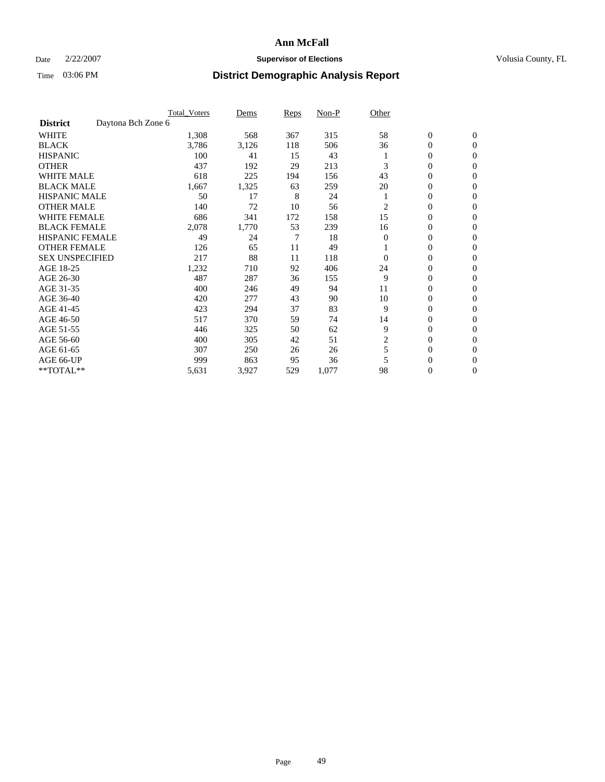### Date  $2/22/2007$  **Supervisor of Elections Supervisor of Elections** Volusia County, FL

|                                       | <b>Total Voters</b> | Dems  | Reps | Non-P | Other    |                  |                |  |
|---------------------------------------|---------------------|-------|------|-------|----------|------------------|----------------|--|
| Daytona Bch Zone 6<br><b>District</b> |                     |       |      |       |          |                  |                |  |
| <b>WHITE</b>                          | 1,308               | 568   | 367  | 315   | 58       | $\boldsymbol{0}$ | $\mathbf{0}$   |  |
| <b>BLACK</b>                          | 3,786               | 3,126 | 118  | 506   | 36       | 0                | $\mathbf{0}$   |  |
| <b>HISPANIC</b>                       | 100                 | 41    | 15   | 43    |          | 0                | $\mathbf{0}$   |  |
| <b>OTHER</b>                          | 437                 | 192   | 29   | 213   | 3        | 0                | $\overline{0}$ |  |
| <b>WHITE MALE</b>                     | 618                 | 225   | 194  | 156   | 43       | 0                | $\mathbf{0}$   |  |
| <b>BLACK MALE</b>                     | 1,667               | 1,325 | 63   | 259   | 20       | 0                | $\mathbf{0}$   |  |
| <b>HISPANIC MALE</b>                  | 50                  | 17    | 8    | 24    |          | 0                | $\Omega$       |  |
| <b>OTHER MALE</b>                     | 140                 | 72    | 10   | 56    | 2        | 0                | 0              |  |
| <b>WHITE FEMALE</b>                   | 686                 | 341   | 172  | 158   | 15       | 0                | $\Omega$       |  |
| <b>BLACK FEMALE</b>                   | 2,078               | 1,770 | 53   | 239   | 16       | 0                | $\mathbf{0}$   |  |
| <b>HISPANIC FEMALE</b>                | 49                  | 24    | 7    | 18    | $\Omega$ | 0                | $\mathbf{0}$   |  |
| <b>OTHER FEMALE</b>                   | 126                 | 65    | 11   | 49    |          | 0                | $\mathbf{0}$   |  |
| <b>SEX UNSPECIFIED</b>                | 217                 | 88    | 11   | 118   | $\Omega$ | 0                | $\mathbf{0}$   |  |
| AGE 18-25                             | 1,232               | 710   | 92   | 406   | 24       | 0                | 0              |  |
| AGE 26-30                             | 487                 | 287   | 36   | 155   | 9        | 0                | $\mathbf{0}$   |  |
| AGE 31-35                             | 400                 | 246   | 49   | 94    | 11       | 0                | 0              |  |
| AGE 36-40                             | 420                 | 277   | 43   | 90    | 10       | 0                | $\mathbf{0}$   |  |
| AGE 41-45                             | 423                 | 294   | 37   | 83    | 9        | 0                | $\mathbf{0}$   |  |
| AGE 46-50                             | 517                 | 370   | 59   | 74    | 14       | 0                | $\mathbf{0}$   |  |
| AGE 51-55                             | 446                 | 325   | 50   | 62    | 9        | 0                | $\mathbf{0}$   |  |
| AGE 56-60                             | 400                 | 305   | 42   | 51    | 2        | 0                | $\mathbf{0}$   |  |
| AGE 61-65                             | 307                 | 250   | 26   | 26    | 5        | 0                | $\mathbf{0}$   |  |
| AGE 66-UP                             | 999                 | 863   | 95   | 36    |          | 0                | 0              |  |
| **TOTAL**                             | 5,631               | 3,927 | 529  | 1,077 | 98       | 0                | 0              |  |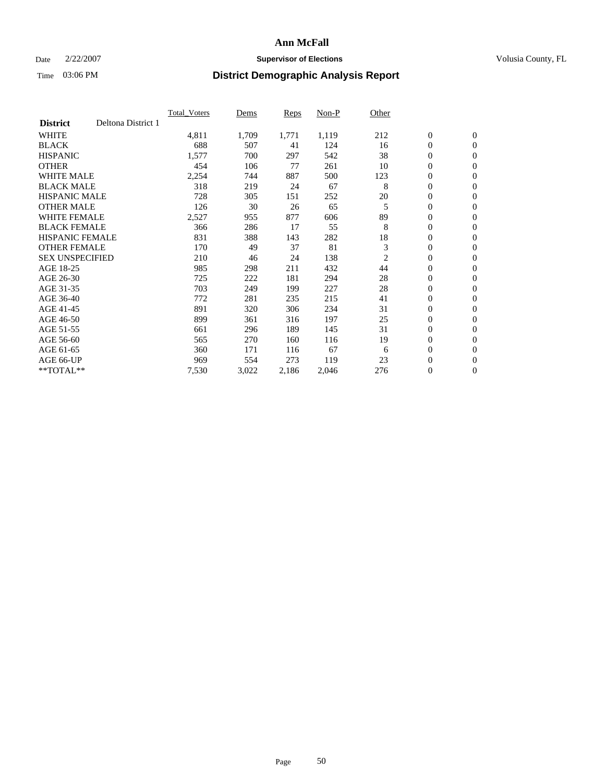### Date  $2/22/2007$  **Supervisor of Elections Supervisor of Elections** Volusia County, FL

|                        |                    | <b>Total_Voters</b> | Dems  | <b>Reps</b> | Non-P | Other |                  |                |  |
|------------------------|--------------------|---------------------|-------|-------------|-------|-------|------------------|----------------|--|
| <b>District</b>        | Deltona District 1 |                     |       |             |       |       |                  |                |  |
| <b>WHITE</b>           |                    | 4,811               | 1,709 | 1,771       | 1,119 | 212   | $\boldsymbol{0}$ | $\mathbf{0}$   |  |
| <b>BLACK</b>           |                    | 688                 | 507   | 41          | 124   | 16    | $\overline{0}$   | $\mathbf{0}$   |  |
| <b>HISPANIC</b>        |                    | 1,577               | 700   | 297         | 542   | 38    | $\boldsymbol{0}$ | $\mathbf{0}$   |  |
| <b>OTHER</b>           |                    | 454                 | 106   | 77          | 261   | 10    | $\boldsymbol{0}$ | $\mathbf{0}$   |  |
| <b>WHITE MALE</b>      |                    | 2,254               | 744   | 887         | 500   | 123   | 0                | $\mathbf{0}$   |  |
| <b>BLACK MALE</b>      |                    | 318                 | 219   | 24          | 67    | 8     | $\boldsymbol{0}$ | $\mathbf{0}$   |  |
| <b>HISPANIC MALE</b>   |                    | 728                 | 305   | 151         | 252   | 20    | $\overline{0}$   | $\mathbf{0}$   |  |
| <b>OTHER MALE</b>      |                    | 126                 | 30    | 26          | 65    | 5     | $\overline{0}$   | $\mathbf{0}$   |  |
| <b>WHITE FEMALE</b>    |                    | 2,527               | 955   | 877         | 606   | 89    | $\overline{0}$   | $\mathbf{0}$   |  |
| <b>BLACK FEMALE</b>    |                    | 366                 | 286   | 17          | 55    | 8     | $\overline{0}$   | $\mathbf{0}$   |  |
| <b>HISPANIC FEMALE</b> |                    | 831                 | 388   | 143         | 282   | 18    | $\boldsymbol{0}$ | $\mathbf{0}$   |  |
| <b>OTHER FEMALE</b>    |                    | 170                 | 49    | 37          | 81    | 3     | 0                | $\mathbf{0}$   |  |
| <b>SEX UNSPECIFIED</b> |                    | 210                 | 46    | 24          | 138   | 2     | $\boldsymbol{0}$ | $\mathbf{0}$   |  |
| AGE 18-25              |                    | 985                 | 298   | 211         | 432   | 44    | $\boldsymbol{0}$ | $\mathbf{0}$   |  |
| AGE 26-30              |                    | 725                 | 222   | 181         | 294   | 28    | $\overline{0}$   | $\mathbf{0}$   |  |
| AGE 31-35              |                    | 703                 | 249   | 199         | 227   | 28    | $\overline{0}$   | $\mathbf{0}$   |  |
| AGE 36-40              |                    | 772                 | 281   | 235         | 215   | 41    | $\boldsymbol{0}$ | $\mathbf{0}$   |  |
| AGE 41-45              |                    | 891                 | 320   | 306         | 234   | 31    | $\boldsymbol{0}$ | $\mathbf{0}$   |  |
| AGE 46-50              |                    | 899                 | 361   | 316         | 197   | 25    | 0                | $\mathbf{0}$   |  |
| AGE 51-55              |                    | 661                 | 296   | 189         | 145   | 31    | $\boldsymbol{0}$ | $\mathbf{0}$   |  |
| AGE 56-60              |                    | 565                 | 270   | 160         | 116   | 19    | $\overline{0}$   | $\mathbf{0}$   |  |
| AGE 61-65              |                    | 360                 | 171   | 116         | 67    | 6     | $\mathbf{0}$     | $\mathbf{0}$   |  |
| AGE 66-UP              |                    | 969                 | 554   | 273         | 119   | 23    | $\boldsymbol{0}$ | $\mathbf{0}$   |  |
| **TOTAL**              |                    | 7,530               | 3,022 | 2,186       | 2,046 | 276   | 0                | $\overline{0}$ |  |
|                        |                    |                     |       |             |       |       |                  |                |  |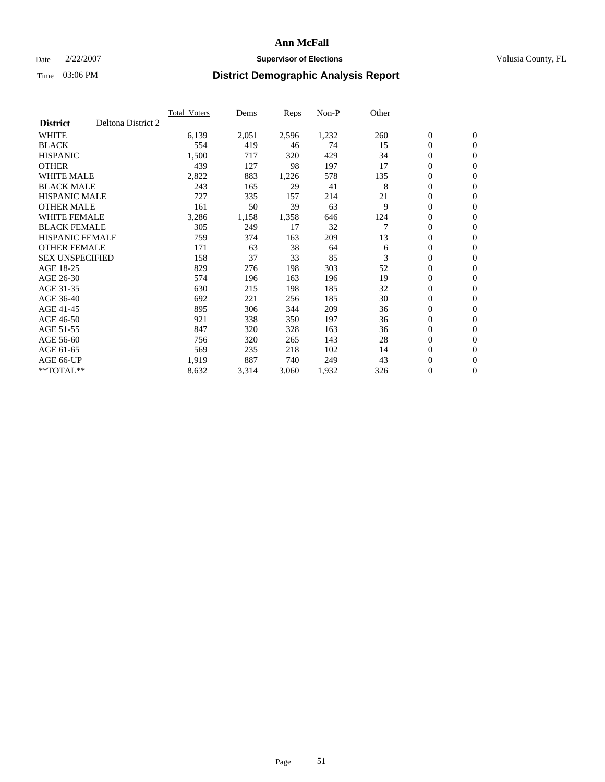### Date  $2/22/2007$  **Supervisor of Elections Supervisor of Elections** Volusia County, FL

|                        |                    | <b>Total Voters</b> | Dems  | Reps  | Non-P | Other |                  |                |  |
|------------------------|--------------------|---------------------|-------|-------|-------|-------|------------------|----------------|--|
| <b>District</b>        | Deltona District 2 |                     |       |       |       |       |                  |                |  |
| <b>WHITE</b>           |                    | 6,139               | 2,051 | 2,596 | 1,232 | 260   | $\boldsymbol{0}$ | $\mathbf{0}$   |  |
| <b>BLACK</b>           |                    | 554                 | 419   | 46    | 74    | 15    | $\mathbf{0}$     | $\mathbf{0}$   |  |
| <b>HISPANIC</b>        |                    | 1,500               | 717   | 320   | 429   | 34    | 0                | $\mathbf{0}$   |  |
| <b>OTHER</b>           |                    | 439                 | 127   | 98    | 197   | 17    | 0                | $\mathbf{0}$   |  |
| <b>WHITE MALE</b>      |                    | 2,822               | 883   | 1,226 | 578   | 135   | 0                | $\mathbf{0}$   |  |
| <b>BLACK MALE</b>      |                    | 243                 | 165   | 29    | 41    | 8     | $\boldsymbol{0}$ | $\mathbf{0}$   |  |
| <b>HISPANIC MALE</b>   |                    | 727                 | 335   | 157   | 214   | 21    | 0                | $\mathbf{0}$   |  |
| <b>OTHER MALE</b>      |                    | 161                 | 50    | 39    | 63    | 9     | $\mathbf{0}$     | $\mathbf{0}$   |  |
| <b>WHITE FEMALE</b>    |                    | 3,286               | 1,158 | 1,358 | 646   | 124   | 0                | $\mathbf{0}$   |  |
| <b>BLACK FEMALE</b>    |                    | 305                 | 249   | 17    | 32    | 7     | $\mathbf{0}$     | $\mathbf{0}$   |  |
| <b>HISPANIC FEMALE</b> |                    | 759                 | 374   | 163   | 209   | 13    | 0                | $\mathbf{0}$   |  |
| <b>OTHER FEMALE</b>    |                    | 171                 | 63    | 38    | 64    | 6     | 0                | $\mathbf{0}$   |  |
| <b>SEX UNSPECIFIED</b> |                    | 158                 | 37    | 33    | 85    | 3     | $\boldsymbol{0}$ | $\mathbf{0}$   |  |
| AGE 18-25              |                    | 829                 | 276   | 198   | 303   | 52    | 0                | $\mathbf{0}$   |  |
| AGE 26-30              |                    | 574                 | 196   | 163   | 196   | 19    | $\mathbf{0}$     | $\mathbf{0}$   |  |
| AGE 31-35              |                    | 630                 | 215   | 198   | 185   | 32    | 0                | $\mathbf{0}$   |  |
| AGE 36-40              |                    | 692                 | 221   | 256   | 185   | 30    | 0                | $\mathbf{0}$   |  |
| AGE 41-45              |                    | 895                 | 306   | 344   | 209   | 36    | 0                | $\mathbf{0}$   |  |
| AGE 46-50              |                    | 921                 | 338   | 350   | 197   | 36    | 0                | $\mathbf{0}$   |  |
| AGE 51-55              |                    | 847                 | 320   | 328   | 163   | 36    | $\boldsymbol{0}$ | $\mathbf{0}$   |  |
| AGE 56-60              |                    | 756                 | 320   | 265   | 143   | 28    | 0                | $\mathbf{0}$   |  |
| AGE 61-65              |                    | 569                 | 235   | 218   | 102   | 14    | $\mathbf{0}$     | $\mathbf{0}$   |  |
| AGE 66-UP              |                    | 1,919               | 887   | 740   | 249   | 43    | $\boldsymbol{0}$ | $\mathbf{0}$   |  |
| $*$ TOTAL $**$         |                    | 8,632               | 3,314 | 3,060 | 1,932 | 326   | 0                | $\overline{0}$ |  |
|                        |                    |                     |       |       |       |       |                  |                |  |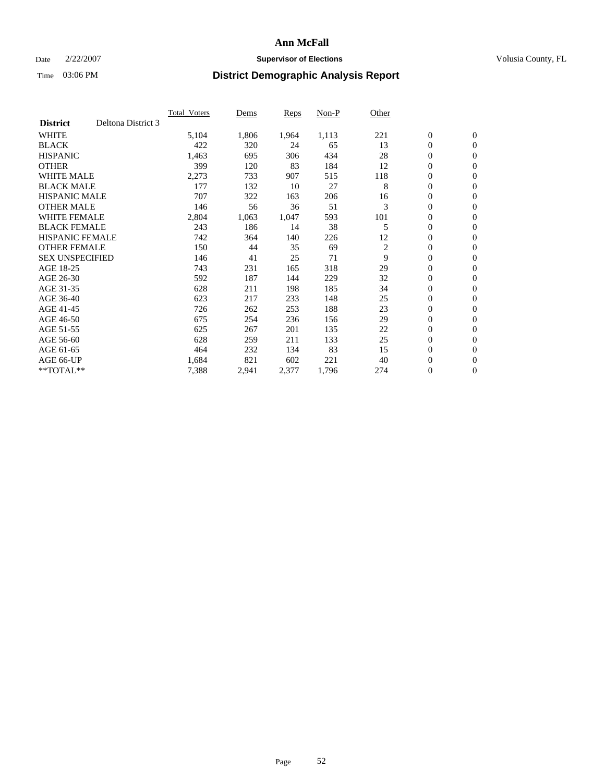### Date  $2/22/2007$  **Supervisor of Elections Supervisor of Elections** Volusia County, FL

|                        |                    | <b>Total Voters</b> | Dems  | Reps  | Non-P | Other          |                  |                  |  |
|------------------------|--------------------|---------------------|-------|-------|-------|----------------|------------------|------------------|--|
| <b>District</b>        | Deltona District 3 |                     |       |       |       |                |                  |                  |  |
| <b>WHITE</b>           |                    | 5,104               | 1,806 | 1,964 | 1,113 | 221            | $\boldsymbol{0}$ | $\boldsymbol{0}$ |  |
| <b>BLACK</b>           |                    | 422                 | 320   | 24    | 65    | 13             | $\mathbf{0}$     | $\mathbf{0}$     |  |
| <b>HISPANIC</b>        |                    | 1,463               | 695   | 306   | 434   | 28             | $\mathbf{0}$     | $\mathbf{0}$     |  |
| <b>OTHER</b>           |                    | 399                 | 120   | 83    | 184   | 12             | 0                | $\mathbf{0}$     |  |
| <b>WHITE MALE</b>      |                    | 2,273               | 733   | 907   | 515   | 118            | 0                | $\mathbf{0}$     |  |
| <b>BLACK MALE</b>      |                    | 177                 | 132   | 10    | 27    | 8              | 0                | $\mathbf{0}$     |  |
| <b>HISPANIC MALE</b>   |                    | 707                 | 322   | 163   | 206   | 16             | 0                | $\mathbf{0}$     |  |
| <b>OTHER MALE</b>      |                    | 146                 | 56    | 36    | 51    | 3              | 0                | $\mathbf{0}$     |  |
| <b>WHITE FEMALE</b>    |                    | 2,804               | 1,063 | 1,047 | 593   | 101            | 0                | $\mathbf{0}$     |  |
| <b>BLACK FEMALE</b>    |                    | 243                 | 186   | 14    | 38    | 5              | $\mathbf{0}$     | $\mathbf{0}$     |  |
| <b>HISPANIC FEMALE</b> |                    | 742                 | 364   | 140   | 226   | 12             | 0                | $\mathbf{0}$     |  |
| <b>OTHER FEMALE</b>    |                    | 150                 | 44    | 35    | 69    | $\overline{2}$ | $\overline{0}$   | $\mathbf{0}$     |  |
| <b>SEX UNSPECIFIED</b> |                    | 146                 | 41    | 25    | 71    | 9              | $\boldsymbol{0}$ | $\mathbf{0}$     |  |
| AGE 18-25              |                    | 743                 | 231   | 165   | 318   | 29             | 0                | $\mathbf{0}$     |  |
| AGE 26-30              |                    | 592                 | 187   | 144   | 229   | 32             | 0                | $\mathbf{0}$     |  |
| AGE 31-35              |                    | 628                 | 211   | 198   | 185   | 34             | 0                | $\mathbf{0}$     |  |
| AGE 36-40              |                    | 623                 | 217   | 233   | 148   | 25             | $\boldsymbol{0}$ | $\mathbf{0}$     |  |
| AGE 41-45              |                    | 726                 | 262   | 253   | 188   | 23             | 0                | $\mathbf{0}$     |  |
| AGE 46-50              |                    | 675                 | 254   | 236   | 156   | 29             | $\mathbf{0}$     | $\mathbf{0}$     |  |
| AGE 51-55              |                    | 625                 | 267   | 201   | 135   | 22             | $\overline{0}$   | $\mathbf{0}$     |  |
| AGE 56-60              |                    | 628                 | 259   | 211   | 133   | 25             | $\boldsymbol{0}$ | $\mathbf{0}$     |  |
| AGE 61-65              |                    | 464                 | 232   | 134   | 83    | 15             | 0                | $\mathbf{0}$     |  |
| AGE 66-UP              |                    | 1,684               | 821   | 602   | 221   | 40             | 0                | 0                |  |
| $*$ TOTAL $**$         |                    | 7,388               | 2,941 | 2,377 | 1,796 | 274            | 0                | $\boldsymbol{0}$ |  |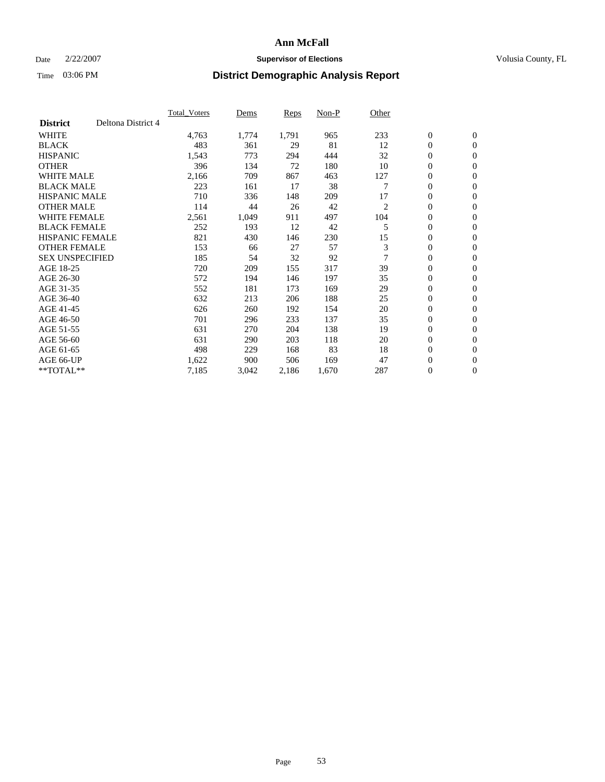### Date  $2/22/2007$  **Supervisor of Elections Supervisor of Elections** Volusia County, FL

|                        |                    | <b>Total_Voters</b> | Dems  | <b>Reps</b> | Non-P | Other          |                  |                  |  |
|------------------------|--------------------|---------------------|-------|-------------|-------|----------------|------------------|------------------|--|
| <b>District</b>        | Deltona District 4 |                     |       |             |       |                |                  |                  |  |
| <b>WHITE</b>           |                    | 4,763               | 1,774 | 1,791       | 965   | 233            | $\boldsymbol{0}$ | $\mathbf{0}$     |  |
| <b>BLACK</b>           |                    | 483                 | 361   | 29          | 81    | 12             | $\overline{0}$   | $\mathbf{0}$     |  |
| <b>HISPANIC</b>        |                    | 1,543               | 773   | 294         | 444   | 32             | $\overline{0}$   | $\mathbf{0}$     |  |
| <b>OTHER</b>           |                    | 396                 | 134   | 72          | 180   | 10             | $\overline{0}$   | $\mathbf{0}$     |  |
| <b>WHITE MALE</b>      |                    | 2,166               | 709   | 867         | 463   | 127            | $\overline{0}$   | $\mathbf{0}$     |  |
| <b>BLACK MALE</b>      |                    | 223                 | 161   | 17          | 38    |                | $\boldsymbol{0}$ | $\mathbf{0}$     |  |
| <b>HISPANIC MALE</b>   |                    | 710                 | 336   | 148         | 209   | 17             | 0                | $\mathbf{0}$     |  |
| <b>OTHER MALE</b>      |                    | 114                 | 44    | 26          | 42    | 2              | $\boldsymbol{0}$ | $\mathbf{0}$     |  |
| <b>WHITE FEMALE</b>    |                    | 2,561               | 1,049 | 911         | 497   | 104            | 0                | $\mathbf{0}$     |  |
| <b>BLACK FEMALE</b>    |                    | 252                 | 193   | 12          | 42    | 5              | $\overline{0}$   | $\mathbf{0}$     |  |
| <b>HISPANIC FEMALE</b> |                    | 821                 | 430   | 146         | 230   | 15             | 0                | $\mathbf{0}$     |  |
| <b>OTHER FEMALE</b>    |                    | 153                 | 66    | 27          | 57    | 3              | $\overline{0}$   | $\mathbf{0}$     |  |
| <b>SEX UNSPECIFIED</b> |                    | 185                 | 54    | 32          | 92    | $\overline{7}$ | $\boldsymbol{0}$ | $\mathbf{0}$     |  |
| AGE 18-25              |                    | 720                 | 209   | 155         | 317   | 39             | 0                | $\mathbf{0}$     |  |
| AGE 26-30              |                    | 572                 | 194   | 146         | 197   | 35             | $\boldsymbol{0}$ | $\mathbf{0}$     |  |
| AGE 31-35              |                    | 552                 | 181   | 173         | 169   | 29             | 0                | $\mathbf{0}$     |  |
| AGE 36-40              |                    | 632                 | 213   | 206         | 188   | 25             | $\boldsymbol{0}$ | $\mathbf{0}$     |  |
| AGE 41-45              |                    | 626                 | 260   | 192         | 154   | 20             | $\mathbf{0}$     | $\mathbf{0}$     |  |
| AGE 46-50              |                    | 701                 | 296   | 233         | 137   | 35             | $\overline{0}$   | $\mathbf{0}$     |  |
| AGE 51-55              |                    | 631                 | 270   | 204         | 138   | 19             | $\overline{0}$   | $\mathbf{0}$     |  |
| AGE 56-60              |                    | 631                 | 290   | 203         | 118   | 20             | $\boldsymbol{0}$ | $\mathbf{0}$     |  |
| AGE 61-65              |                    | 498                 | 229   | 168         | 83    | 18             | $\boldsymbol{0}$ | $\mathbf{0}$     |  |
| AGE 66-UP              |                    | 1,622               | 900   | 506         | 169   | 47             | 0                | $\bf{0}$         |  |
| $*$ TOTAL $**$         |                    | 7,185               | 3,042 | 2,186       | 1,670 | 287            | 0                | $\boldsymbol{0}$ |  |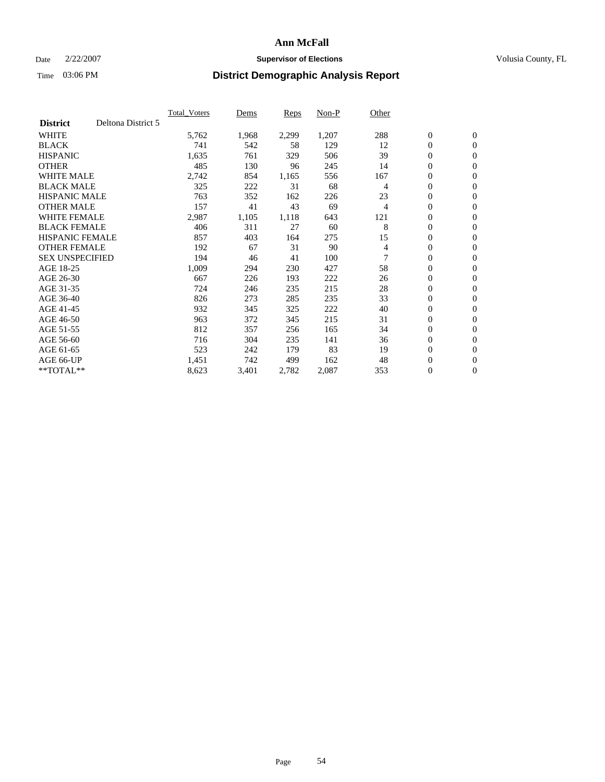### Date  $2/22/2007$  **Supervisor of Elections Supervisor of Elections** Volusia County, FL

|                        |                    | <b>Total Voters</b> | Dems  | Reps  | Non-P | Other |                  |                  |  |
|------------------------|--------------------|---------------------|-------|-------|-------|-------|------------------|------------------|--|
| <b>District</b>        | Deltona District 5 |                     |       |       |       |       |                  |                  |  |
| <b>WHITE</b>           |                    | 5,762               | 1,968 | 2,299 | 1,207 | 288   | $\boldsymbol{0}$ | $\mathbf{0}$     |  |
| <b>BLACK</b>           |                    | 741                 | 542   | 58    | 129   | 12    | $\mathbf{0}$     | $\mathbf{0}$     |  |
| <b>HISPANIC</b>        |                    | 1,635               | 761   | 329   | 506   | 39    | 0                | $\mathbf{0}$     |  |
| <b>OTHER</b>           |                    | 485                 | 130   | 96    | 245   | 14    | 0                | $\mathbf{0}$     |  |
| <b>WHITE MALE</b>      |                    | 2,742               | 854   | 1,165 | 556   | 167   | 0                | $\mathbf{0}$     |  |
| <b>BLACK MALE</b>      |                    | 325                 | 222   | 31    | 68    | 4     | 0                | $\mathbf{0}$     |  |
| <b>HISPANIC MALE</b>   |                    | 763                 | 352   | 162   | 226   | 23    | 0                | $\mathbf{0}$     |  |
| <b>OTHER MALE</b>      |                    | 157                 | 41    | 43    | 69    | 4     | $\mathbf{0}$     | $\mathbf{0}$     |  |
| <b>WHITE FEMALE</b>    |                    | 2,987               | 1,105 | 1,118 | 643   | 121   | 0                | $\mathbf{0}$     |  |
| <b>BLACK FEMALE</b>    |                    | 406                 | 311   | 27    | 60    | 8     | $\boldsymbol{0}$ | $\mathbf{0}$     |  |
| <b>HISPANIC FEMALE</b> |                    | 857                 | 403   | 164   | 275   | 15    | 0                | $\mathbf{0}$     |  |
| <b>OTHER FEMALE</b>    |                    | 192                 | 67    | 31    | 90    | 4     | 0                | $\mathbf{0}$     |  |
| <b>SEX UNSPECIFIED</b> |                    | 194                 | 46    | 41    | 100   |       | $\mathbf{0}$     | $\mathbf{0}$     |  |
| AGE 18-25              |                    | 1,009               | 294   | 230   | 427   | 58    | 0                | $\mathbf{0}$     |  |
| AGE 26-30              |                    | 667                 | 226   | 193   | 222   | 26    | $\mathbf{0}$     | $\mathbf{0}$     |  |
| AGE 31-35              |                    | 724                 | 246   | 235   | 215   | 28    | 0                | $\mathbf{0}$     |  |
| AGE 36-40              |                    | 826                 | 273   | 285   | 235   | 33    | 0                | $\mathbf{0}$     |  |
| AGE 41-45              |                    | 932                 | 345   | 325   | 222   | 40    | 0                | $\mathbf{0}$     |  |
| AGE 46-50              |                    | 963                 | 372   | 345   | 215   | 31    | 0                | $\mathbf{0}$     |  |
| AGE 51-55              |                    | 812                 | 357   | 256   | 165   | 34    | $\boldsymbol{0}$ | $\mathbf{0}$     |  |
| AGE 56-60              |                    | 716                 | 304   | 235   | 141   | 36    | 0                | $\mathbf{0}$     |  |
| AGE 61-65              |                    | 523                 | 242   | 179   | 83    | 19    | $\mathbf{0}$     | $\mathbf{0}$     |  |
| AGE 66-UP              |                    | 1,451               | 742   | 499   | 162   | 48    | $\boldsymbol{0}$ | $\boldsymbol{0}$ |  |
| $*$ TOTAL $**$         |                    | 8,623               | 3,401 | 2,782 | 2,087 | 353   | 0                | $\mathbf{0}$     |  |
|                        |                    |                     |       |       |       |       |                  |                  |  |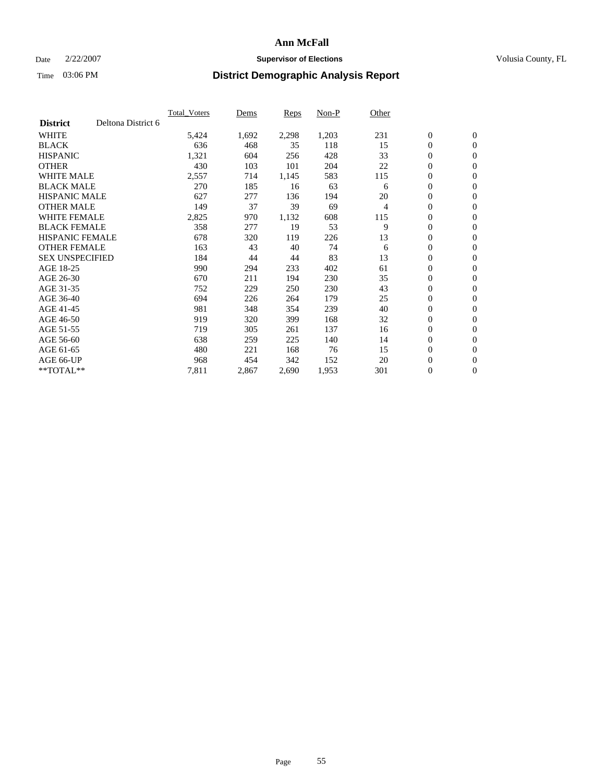### Date  $2/22/2007$  **Supervisor of Elections Supervisor of Elections** Volusia County, FL

|                        |                    | <b>Total_Voters</b> | Dems  | <b>Reps</b> | Non-P | Other |                  |                  |  |
|------------------------|--------------------|---------------------|-------|-------------|-------|-------|------------------|------------------|--|
| <b>District</b>        | Deltona District 6 |                     |       |             |       |       |                  |                  |  |
| <b>WHITE</b>           |                    | 5,424               | 1,692 | 2,298       | 1,203 | 231   | $\boldsymbol{0}$ | $\boldsymbol{0}$ |  |
| <b>BLACK</b>           |                    | 636                 | 468   | 35          | 118   | 15    | $\overline{0}$   | $\mathbf{0}$     |  |
| <b>HISPANIC</b>        |                    | 1,321               | 604   | 256         | 428   | 33    | $\overline{0}$   | $\mathbf{0}$     |  |
| <b>OTHER</b>           |                    | 430                 | 103   | 101         | 204   | 22    | $\overline{0}$   | $\mathbf{0}$     |  |
| <b>WHITE MALE</b>      |                    | 2,557               | 714   | 1,145       | 583   | 115   | $\overline{0}$   | $\mathbf{0}$     |  |
| <b>BLACK MALE</b>      |                    | 270                 | 185   | 16          | 63    | 6     | $\boldsymbol{0}$ | $\boldsymbol{0}$ |  |
| <b>HISPANIC MALE</b>   |                    | 627                 | 277   | 136         | 194   | 20    | 0                | $\mathbf{0}$     |  |
| <b>OTHER MALE</b>      |                    | 149                 | 37    | 39          | 69    | 4     | $\boldsymbol{0}$ | $\boldsymbol{0}$ |  |
| <b>WHITE FEMALE</b>    |                    | 2,825               | 970   | 1,132       | 608   | 115   | $\overline{0}$   | $\mathbf{0}$     |  |
| <b>BLACK FEMALE</b>    |                    | 358                 | 277   | 19          | 53    | 9     | $\boldsymbol{0}$ | $\mathbf{0}$     |  |
| <b>HISPANIC FEMALE</b> |                    | 678                 | 320   | 119         | 226   | 13    | 0                | $\mathbf{0}$     |  |
| <b>OTHER FEMALE</b>    |                    | 163                 | 43    | 40          | 74    | 6     | $\overline{0}$   | $\mathbf{0}$     |  |
| <b>SEX UNSPECIFIED</b> |                    | 184                 | 44    | 44          | 83    | 13    | $\boldsymbol{0}$ | $\boldsymbol{0}$ |  |
| AGE 18-25              |                    | 990                 | 294   | 233         | 402   | 61    | $\overline{0}$   | $\mathbf{0}$     |  |
| AGE 26-30              |                    | 670                 | 211   | 194         | 230   | 35    | $\boldsymbol{0}$ | $\mathbf{0}$     |  |
| AGE 31-35              |                    | 752                 | 229   | 250         | 230   | 43    | 0                | $\mathbf{0}$     |  |
| AGE 36-40              |                    | 694                 | 226   | 264         | 179   | 25    | $\boldsymbol{0}$ | $\mathbf{0}$     |  |
| AGE 41-45              |                    | 981                 | 348   | 354         | 239   | 40    | $\mathbf{0}$     | $\mathbf{0}$     |  |
| AGE 46-50              |                    | 919                 | 320   | 399         | 168   | 32    | $\overline{0}$   | $\mathbf{0}$     |  |
| AGE 51-55              |                    | 719                 | 305   | 261         | 137   | 16    | $\overline{0}$   | $\mathbf{0}$     |  |
| AGE 56-60              |                    | 638                 | 259   | 225         | 140   | 14    | $\boldsymbol{0}$ | $\mathbf{0}$     |  |
| AGE 61-65              |                    | 480                 | 221   | 168         | 76    | 15    | $\boldsymbol{0}$ | $\boldsymbol{0}$ |  |
| AGE 66-UP              |                    | 968                 | 454   | 342         | 152   | 20    | 0                | $\mathbf{0}$     |  |
| $*$ TOTAL $**$         |                    | 7,811               | 2,867 | 2,690       | 1,953 | 301   | 0                | $\boldsymbol{0}$ |  |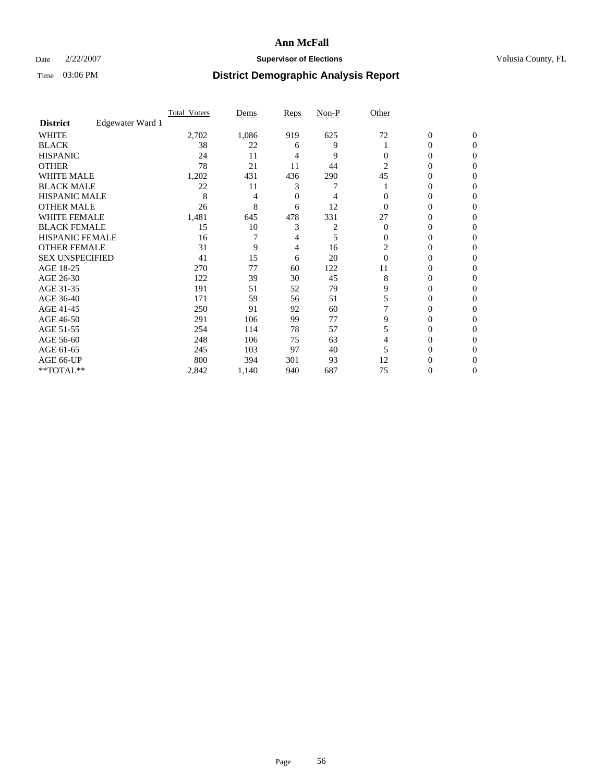### Date  $2/22/2007$  **Supervisor of Elections Supervisor of Elections** Volusia County, FL

|                        |                  | <b>Total_Voters</b> | Dems  | <b>Reps</b> | Non-P | Other          |                  |              |  |
|------------------------|------------------|---------------------|-------|-------------|-------|----------------|------------------|--------------|--|
| <b>District</b>        | Edgewater Ward 1 |                     |       |             |       |                |                  |              |  |
| <b>WHITE</b>           |                  | 2,702               | 1,086 | 919         | 625   | 72             | $\boldsymbol{0}$ | $\mathbf{0}$ |  |
| <b>BLACK</b>           |                  | 38                  | 22    | 6           | 9     |                | 0                | $\Omega$     |  |
| <b>HISPANIC</b>        |                  | 24                  | 11    | 4           | 9     | 0              | 0                | $\Omega$     |  |
| <b>OTHER</b>           |                  | 78                  | 21    | 11          | 44    | $\overline{2}$ | 0                | 0            |  |
| <b>WHITE MALE</b>      |                  | 1,202               | 431   | 436         | 290   | 45             | 0                | 0            |  |
| <b>BLACK MALE</b>      |                  | 22                  | 11    | 3           |       |                | 0                | 0            |  |
| <b>HISPANIC MALE</b>   |                  | 8                   | 4     | 0           |       |                | 0                | 0            |  |
| <b>OTHER MALE</b>      |                  | 26                  | 8     | 6           | 12    | 0              | 0                | 0            |  |
| WHITE FEMALE           |                  | 1,481               | 645   | 478         | 331   | 27             | 0                | 0            |  |
| <b>BLACK FEMALE</b>    |                  | 15                  | 10    | 3           |       | $\Omega$       | 0                | 0            |  |
| <b>HISPANIC FEMALE</b> |                  | 16                  |       |             | 5     | 0              | 0                | 0            |  |
| <b>OTHER FEMALE</b>    |                  | 31                  | 9     | 4           | 16    | 2              | 0                | 0            |  |
| <b>SEX UNSPECIFIED</b> |                  | 41                  | 15    | 6           | 20    | $\Omega$       | 0                | $\Omega$     |  |
| AGE 18-25              |                  | 270                 | 77    | 60          | 122   | 11             | 0                | $_{0}$       |  |
| AGE 26-30              |                  | 122                 | 39    | 30          | 45    | 8              | 0                | 0            |  |
| AGE 31-35              |                  | 191                 | 51    | 52          | 79    | 9              | 0                | 0            |  |
| AGE 36-40              |                  | 171                 | 59    | 56          | 51    |                | 0                | 0            |  |
| AGE 41-45              |                  | 250                 | 91    | 92          | 60    |                | 0                | 0            |  |
| AGE 46-50              |                  | 291                 | 106   | 99          | 77    | 9              | 0                | $\Omega$     |  |
| AGE 51-55              |                  | 254                 | 114   | 78          | 57    |                | 0                | $\Omega$     |  |
| AGE 56-60              |                  | 248                 | 106   | 75          | 63    |                | 0                | $\Omega$     |  |
| AGE 61-65              |                  | 245                 | 103   | 97          | 40    |                | 0                | 0            |  |
| AGE 66-UP              |                  | 800                 | 394   | 301         | 93    | 12             |                  |              |  |
| **TOTAL**              |                  | 2,842               | 1,140 | 940         | 687   | 75             | 0                | 0            |  |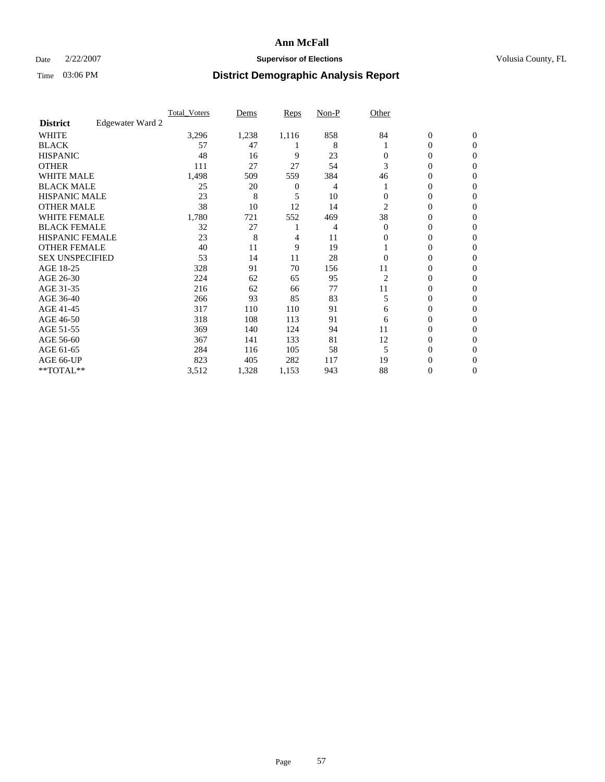### Date  $2/22/2007$  **Supervisor of Elections Supervisor of Elections** Volusia County, FL

|                        |                  | <b>Total Voters</b> | Dems  | Reps  | Non-P | Other    |                  |                  |  |
|------------------------|------------------|---------------------|-------|-------|-------|----------|------------------|------------------|--|
| <b>District</b>        | Edgewater Ward 2 |                     |       |       |       |          |                  |                  |  |
| <b>WHITE</b>           |                  | 3,296               | 1,238 | 1,116 | 858   | 84       | $\boldsymbol{0}$ | $\mathbf{0}$     |  |
| <b>BLACK</b>           |                  | 57                  | 47    |       | 8     |          | 0                | $\mathbf{0}$     |  |
| <b>HISPANIC</b>        |                  | 48                  | 16    | 9     | 23    | 0        | 0                | $\mathbf{0}$     |  |
| <b>OTHER</b>           |                  | 111                 | 27    | 27    | 54    | 3        | $\overline{0}$   | $\boldsymbol{0}$ |  |
| <b>WHITE MALE</b>      |                  | 1,498               | 509   | 559   | 384   | 46       | 0                | $\theta$         |  |
| <b>BLACK MALE</b>      |                  | 25                  | 20    | 0     | 4     |          | 0                | 0                |  |
| <b>HISPANIC MALE</b>   |                  | 23                  | 8     | 5     | 10    | 0        | 0                | 0                |  |
| <b>OTHER MALE</b>      |                  | 38                  | 10    | 12    | 14    | 2        | 0                | 0                |  |
| <b>WHITE FEMALE</b>    |                  | 1,780               | 721   | 552   | 469   | 38       | 0                | 0                |  |
| <b>BLACK FEMALE</b>    |                  | 32                  | 27    |       | 4     | $\Omega$ | 0                | $\mathbf{0}$     |  |
| <b>HISPANIC FEMALE</b> |                  | 23                  | 8     | 4     | 11    | 0        | 0                | $\Omega$         |  |
| <b>OTHER FEMALE</b>    |                  | 40                  | 11    | 9     | 19    |          | 0                | $\theta$         |  |
| <b>SEX UNSPECIFIED</b> |                  | 53                  | 14    | 11    | 28    | $\Omega$ | 0                | $\Omega$         |  |
| AGE 18-25              |                  | 328                 | 91    | 70    | 156   | 11       | 0                | 0                |  |
| AGE 26-30              |                  | 224                 | 62    | 65    | 95    | 2        | 0                | $\Omega$         |  |
| AGE 31-35              |                  | 216                 | 62    | 66    | 77    | 11       | 0                | 0                |  |
| AGE 36-40              |                  | 266                 | 93    | 85    | 83    | 5        | 0                | 0                |  |
| AGE 41-45              |                  | 317                 | 110   | 110   | 91    | 6        | 0                | 0                |  |
| AGE 46-50              |                  | 318                 | 108   | 113   | 91    | 6        | 0                | $\mathbf{0}$     |  |
| AGE 51-55              |                  | 369                 | 140   | 124   | 94    | 11       | 0                | $\Omega$         |  |
| AGE 56-60              |                  | 367                 | 141   | 133   | 81    | 12       | 0                | $\theta$         |  |
| AGE 61-65              |                  | 284                 | 116   | 105   | 58    | 5        | 0                | 0                |  |
| AGE 66-UP              |                  | 823                 | 405   | 282   | 117   | 19       | 0                |                  |  |
| **TOTAL**              |                  | 3,512               | 1,328 | 1,153 | 943   | 88       | 0                | $\mathbf{0}$     |  |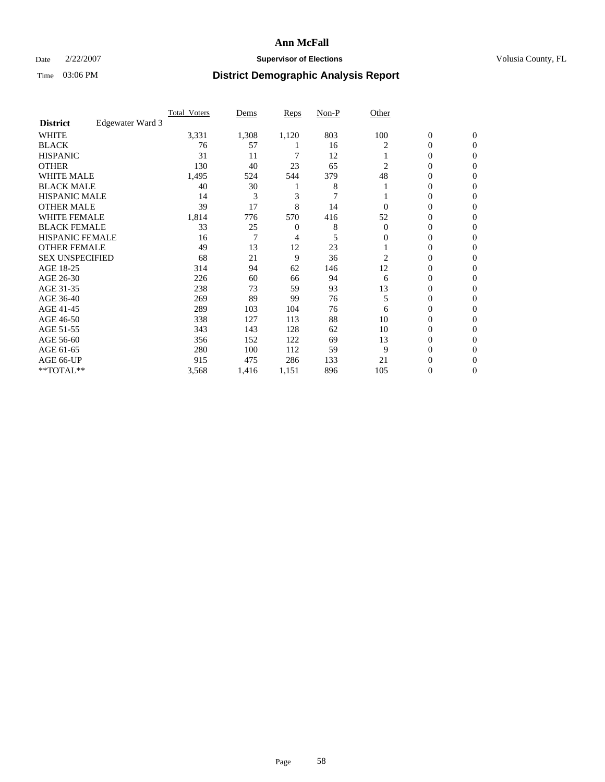### Date  $2/22/2007$  **Supervisor of Elections Supervisor of Elections** Volusia County, FL

|                        |                  | <b>Total Voters</b> | Dems  | <b>Reps</b> | Non-P | Other    |                  |                  |  |
|------------------------|------------------|---------------------|-------|-------------|-------|----------|------------------|------------------|--|
| <b>District</b>        | Edgewater Ward 3 |                     |       |             |       |          |                  |                  |  |
| <b>WHITE</b>           |                  | 3,331               | 1,308 | 1,120       | 803   | 100      | $\boldsymbol{0}$ | $\mathbf{0}$     |  |
| <b>BLACK</b>           |                  | 76                  | 57    |             | 16    | 2        | 0                | $\mathbf{0}$     |  |
| <b>HISPANIC</b>        |                  | 31                  | 11    |             | 12    |          | 0                | $\mathbf{0}$     |  |
| <b>OTHER</b>           |                  | 130                 | 40    | 23          | 65    | 2        | 0                | $\overline{0}$   |  |
| <b>WHITE MALE</b>      |                  | 1,495               | 524   | 544         | 379   | 48       | 0                | $\theta$         |  |
| <b>BLACK MALE</b>      |                  | 40                  | 30    |             | 8     |          | 0                | $\Omega$         |  |
| <b>HISPANIC MALE</b>   |                  | 14                  | 3     | 3           | 7     |          | 0                | 0                |  |
| <b>OTHER MALE</b>      |                  | 39                  | 17    | 8           | 14    | 0        | 0                | 0                |  |
| <b>WHITE FEMALE</b>    |                  | 1,814               | 776   | 570         | 416   | 52       | 0                | 0                |  |
| <b>BLACK FEMALE</b>    |                  | 33                  | 25    | 0           | 8     | $\Omega$ | 0                | $\mathbf{0}$     |  |
| <b>HISPANIC FEMALE</b> |                  | 16                  | 7     | 4           | 5     | 0        | 0                | $\Omega$         |  |
| <b>OTHER FEMALE</b>    |                  | 49                  | 13    | 12          | 23    |          | 0                | $\boldsymbol{0}$ |  |
| <b>SEX UNSPECIFIED</b> |                  | 68                  | 21    | 9           | 36    | 2        | 0                | $\Omega$         |  |
| AGE 18-25              |                  | 314                 | 94    | 62          | 146   | 12       | 0                | 0                |  |
| AGE 26-30              |                  | 226                 | 60    | 66          | 94    | 6        | 0                | $\Omega$         |  |
| AGE 31-35              |                  | 238                 | 73    | 59          | 93    | 13       | 0                | 0                |  |
| AGE 36-40              |                  | 269                 | 89    | 99          | 76    | 5        | 0                | $\mathbf{0}$     |  |
| AGE 41-45              |                  | 289                 | 103   | 104         | 76    | 6        | 0                | 0                |  |
| AGE 46-50              |                  | 338                 | 127   | 113         | 88    | 10       | 0                | $\mathbf{0}$     |  |
| AGE 51-55              |                  | 343                 | 143   | 128         | 62    | 10       | 0                | $\Omega$         |  |
| AGE 56-60              |                  | 356                 | 152   | 122         | 69    | 13       | 0                | $\theta$         |  |
| AGE 61-65              |                  | 280                 | 100   | 112         | 59    | 9        | 0                | $\Omega$         |  |
| AGE 66-UP              |                  | 915                 | 475   | 286         | 133   | 21       | 0                | $_{0}$           |  |
| **TOTAL**              |                  | 3,568               | 1,416 | 1,151       | 896   | 105      | 0                | 0                |  |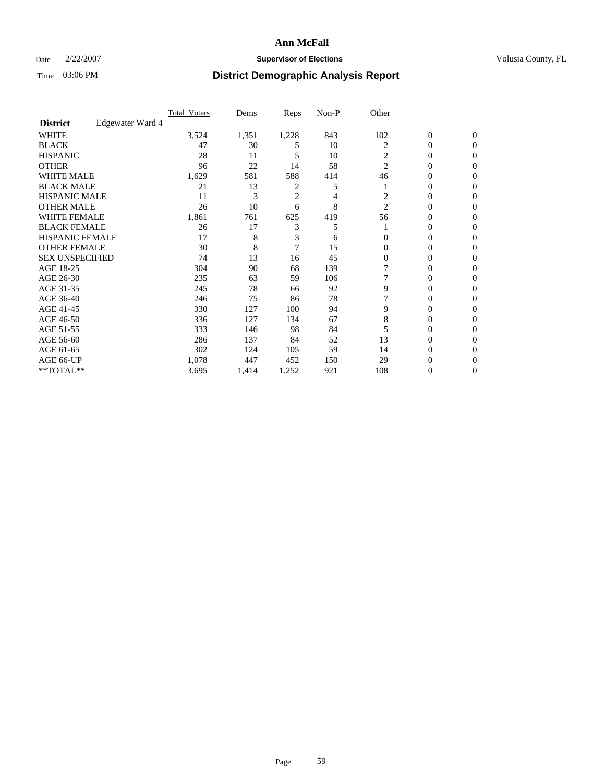### Date  $2/22/2007$  **Supervisor of Elections Supervisor of Elections** Volusia County, FL

|                        |                  | <b>Total Voters</b> | Dems  | Reps           | Non-P | Other          |                  |                  |  |
|------------------------|------------------|---------------------|-------|----------------|-------|----------------|------------------|------------------|--|
| <b>District</b>        | Edgewater Ward 4 |                     |       |                |       |                |                  |                  |  |
| <b>WHITE</b>           |                  | 3,524               | 1,351 | 1,228          | 843   | 102            | $\boldsymbol{0}$ | $\mathbf{0}$     |  |
| <b>BLACK</b>           |                  | 47                  | 30    | 5              | 10    | 2              | 0                | $\mathbf{0}$     |  |
| <b>HISPANIC</b>        |                  | 28                  | 11    | 5              | 10    | $\overline{c}$ | 0                | $\mathbf{0}$     |  |
| <b>OTHER</b>           |                  | 96                  | 22    | 14             | 58    | $\overline{2}$ | 0                | $\boldsymbol{0}$ |  |
| <b>WHITE MALE</b>      |                  | 1,629               | 581   | 588            | 414   | 46             | 0                | $\theta$         |  |
| <b>BLACK MALE</b>      |                  | 21                  | 13    | 2              | 5     |                | 0                | $\Omega$         |  |
| <b>HISPANIC MALE</b>   |                  | 11                  | 3     | $\overline{c}$ | 4     | 2              | 0                | 0                |  |
| <b>OTHER MALE</b>      |                  | 26                  | 10    | 6              | 8     | $\overline{2}$ | 0                | 0                |  |
| <b>WHITE FEMALE</b>    |                  | 1,861               | 761   | 625            | 419   | 56             | 0                | 0                |  |
| <b>BLACK FEMALE</b>    |                  | 26                  | 17    | 3              | 5     |                | 0                | $\mathbf{0}$     |  |
| <b>HISPANIC FEMALE</b> |                  | 17                  | 8     | 3              | 6     | $\Omega$       | 0                | $\Omega$         |  |
| <b>OTHER FEMALE</b>    |                  | 30                  | 8     | $\overline{7}$ | 15    | $\Omega$       | 0                | $\theta$         |  |
| <b>SEX UNSPECIFIED</b> |                  | 74                  | 13    | 16             | 45    | $\overline{0}$ | 0                | $\Omega$         |  |
| AGE 18-25              |                  | 304                 | 90    | 68             | 139   |                | 0                | 0                |  |
| AGE 26-30              |                  | 235                 | 63    | 59             | 106   |                | 0                | $\Omega$         |  |
| AGE 31-35              |                  | 245                 | 78    | 66             | 92    | 9              | 0                | 0                |  |
| AGE 36-40              |                  | 246                 | 75    | 86             | 78    |                | 0                | $\mathbf{0}$     |  |
| AGE 41-45              |                  | 330                 | 127   | 100            | 94    | 9              | 0                | 0                |  |
| AGE 46-50              |                  | 336                 | 127   | 134            | 67    | 8              | 0                | $\mathbf{0}$     |  |
| AGE 51-55              |                  | 333                 | 146   | 98             | 84    |                | 0                | $\Omega$         |  |
| AGE 56-60              |                  | 286                 | 137   | 84             | 52    | 13             | 0                | $\theta$         |  |
| AGE 61-65              |                  | 302                 | 124   | 105            | 59    | 14             | 0                | 0                |  |
| AGE 66-UP              |                  | 1,078               | 447   | 452            | 150   | 29             | 0                | $_{0}$           |  |
| **TOTAL**              |                  | 3,695               | 1,414 | 1,252          | 921   | 108            | 0                | $\mathbf{0}$     |  |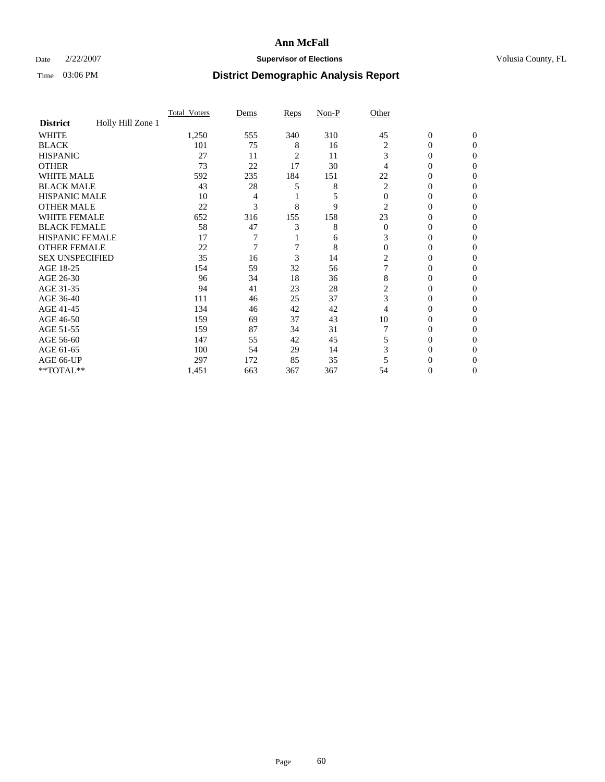### Date  $2/22/2007$  **Supervisor of Elections Supervisor of Elections** Volusia County, FL

|                        |                   | Total Voters | Dems | <b>Reps</b> | Non-P | Other    |                  |              |  |
|------------------------|-------------------|--------------|------|-------------|-------|----------|------------------|--------------|--|
| <b>District</b>        | Holly Hill Zone 1 |              |      |             |       |          |                  |              |  |
| <b>WHITE</b>           |                   | 1,250        | 555  | 340         | 310   | 45       | $\boldsymbol{0}$ | $\mathbf{0}$ |  |
| <b>BLACK</b>           |                   | 101          | 75   | 8           | 16    | 2        | 0                | $\mathbf{0}$ |  |
| <b>HISPANIC</b>        |                   | 27           | 11   | 2           | 11    | 3        | 0                | $\Omega$     |  |
| <b>OTHER</b>           |                   | 73           | 22   | 17          | 30    |          | 0                | $\Omega$     |  |
| <b>WHITE MALE</b>      |                   | 592          | 235  | 184         | 151   | 22       | 0                | 0            |  |
| <b>BLACK MALE</b>      |                   | 43           | 28   | 5           | 8     | 2        | 0                | 0            |  |
| <b>HISPANIC MALE</b>   |                   | 10           | 4    |             |       | $\Omega$ | 0                | 0            |  |
| <b>OTHER MALE</b>      |                   | 22           | 3    | 8           | 9     | 2        | $\overline{0}$   | 0            |  |
| WHITE FEMALE           |                   | 652          | 316  | 155         | 158   | 23       | 0                | 0            |  |
| <b>BLACK FEMALE</b>    |                   | 58           | 47   | 3           | 8     | $\Omega$ | 0                | 0            |  |
| <b>HISPANIC FEMALE</b> |                   | 17           |      |             | 6     | 3        | 0                | $\Omega$     |  |
| <b>OTHER FEMALE</b>    |                   | 22           | 7    |             | 8     | $\Omega$ | 0                | $\Omega$     |  |
| <b>SEX UNSPECIFIED</b> |                   | 35           | 16   | 3           | 14    | 2        | 0                | $\Omega$     |  |
| AGE 18-25              |                   | 154          | 59   | 32          | 56    |          | 0                | $_{0}$       |  |
| AGE 26-30              |                   | 96           | 34   | 18          | 36    | 8        | 0                | 0            |  |
| AGE 31-35              |                   | 94           | 41   | 23          | 28    | 2        | 0                | 0            |  |
| AGE 36-40              |                   | 111          | 46   | 25          | 37    | 3        | 0                | 0            |  |
| AGE 41-45              |                   | 134          | 46   | 42          | 42    | 4        | 0                | 0            |  |
| AGE 46-50              |                   | 159          | 69   | 37          | 43    | 10       | 0                | $\Omega$     |  |
| AGE 51-55              |                   | 159          | 87   | 34          | 31    |          | 0                | $\Omega$     |  |
| AGE 56-60              |                   | 147          | 55   | 42          | 45    | 5        | 0                | $\Omega$     |  |
| AGE 61-65              |                   | 100          | 54   | 29          | 14    | 3        | 0                | 0            |  |
| AGE 66-UP              |                   | 297          | 172  | 85          | 35    |          |                  |              |  |
| **TOTAL**              |                   | 1,451        | 663  | 367         | 367   | 54       | 0                | 0            |  |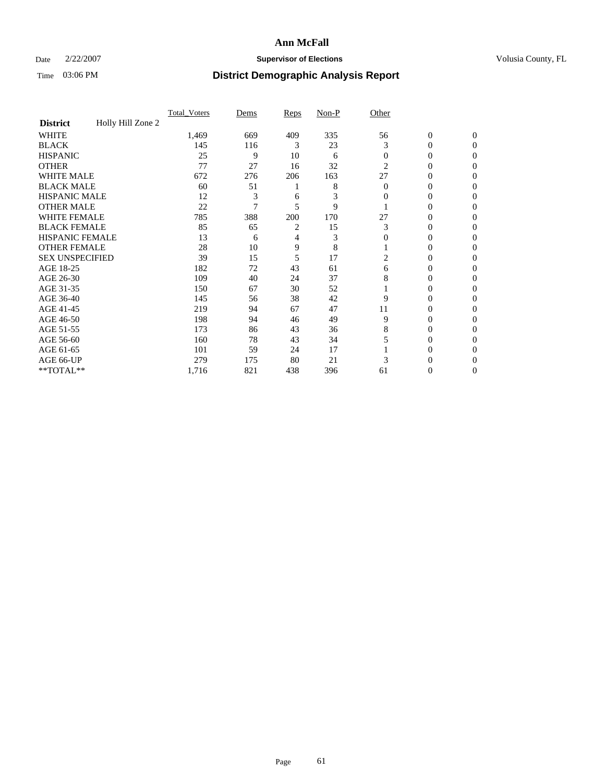### Date  $2/22/2007$  **Supervisor of Elections Supervisor of Elections** Volusia County, FL

|                        |                   | Total Voters | Dems | <b>Reps</b>    | Non-P | Other          |                  |                |
|------------------------|-------------------|--------------|------|----------------|-------|----------------|------------------|----------------|
| <b>District</b>        | Holly Hill Zone 2 |              |      |                |       |                |                  |                |
| <b>WHITE</b>           |                   | 1,469        | 669  | 409            | 335   | 56             | $\boldsymbol{0}$ | $\mathbf{0}$   |
| <b>BLACK</b>           |                   | 145          | 116  | 3              | 23    | 3              | $\theta$         | $\Omega$       |
| <b>HISPANIC</b>        |                   | 25           | 9    | 10             | 6     | $\mathbf{0}$   | 0                | $\mathbf{0}$   |
| <b>OTHER</b>           |                   | 77           | 27   | 16             | 32    | $\overline{2}$ | 0                | $\Omega$       |
| <b>WHITE MALE</b>      |                   | 672          | 276  | 206            | 163   | 27             | 0                | $\Omega$       |
| <b>BLACK MALE</b>      |                   | 60           | 51   |                | 8     | $\overline{0}$ | 0                | 0              |
| <b>HISPANIC MALE</b>   |                   | 12           | 3    | 6              | 3     | 0              | 0                | 0              |
| <b>OTHER MALE</b>      |                   | 22           |      | 5              | 9     |                | 0                | 0              |
| <b>WHITE FEMALE</b>    |                   | 785          | 388  | 200            | 170   | 27             | 0                | $\Omega$       |
| <b>BLACK FEMALE</b>    |                   | 85           | 65   | $\overline{c}$ | 15    | 3              | 0                | $\Omega$       |
| <b>HISPANIC FEMALE</b> |                   | 13           | 6    | 4              | 3     | $\mathbf{0}$   | 0                | 0              |
| <b>OTHER FEMALE</b>    |                   | 28           | 10   | 9              | 8     |                | $\overline{0}$   | 0              |
| <b>SEX UNSPECIFIED</b> |                   | 39           | 15   | 5              | 17    | 2              | 0                | 0              |
| AGE 18-25              |                   | 182          | 72   | 43             | 61    | 6              | 0                | $\mathbf{0}$   |
| AGE 26-30              |                   | 109          | 40   | 24             | 37    | 8              | 0                | $\Omega$       |
| AGE 31-35              |                   | 150          | 67   | 30             | 52    |                | 0                | $\Omega$       |
| AGE 36-40              |                   | 145          | 56   | 38             | 42    | 9              | 0                | $\overline{0}$ |
| AGE 41-45              |                   | 219          | 94   | 67             | 47    | 11             | 0                | 0              |
| AGE 46-50              |                   | 198          | 94   | 46             | 49    | 9              | 0                | $\mathbf{0}$   |
| AGE 51-55              |                   | 173          | 86   | 43             | 36    | 8              | 0                | $\Omega$       |
| AGE 56-60              |                   | 160          | 78   | 43             | 34    |                | 0                | $\overline{0}$ |
| AGE 61-65              |                   | 101          | 59   | 24             | 17    |                | 0                | $\Omega$       |
| AGE 66-UP              |                   | 279          | 175  | 80             | 21    |                | 0                | $_{0}$         |
| **TOTAL**              |                   | 1,716        | 821  | 438            | 396   | 61             | 0                | 0              |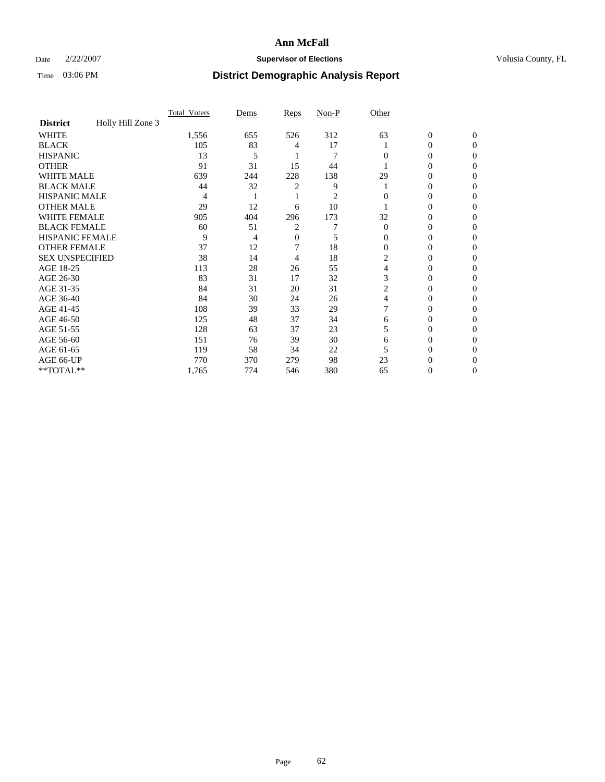### Date  $2/22/2007$  **Supervisor of Elections Supervisor of Elections** Volusia County, FL

|                        |                   | <b>Total Voters</b> | Dems | Reps           | Non-P          | Other    |                  |              |  |
|------------------------|-------------------|---------------------|------|----------------|----------------|----------|------------------|--------------|--|
| <b>District</b>        | Holly Hill Zone 3 |                     |      |                |                |          |                  |              |  |
| <b>WHITE</b>           |                   | 1,556               | 655  | 526            | 312            | 63       | $\boldsymbol{0}$ | $\mathbf{0}$ |  |
| <b>BLACK</b>           |                   | 105                 | 83   | 4              | 17             |          | 0                | $\mathbf{0}$ |  |
| <b>HISPANIC</b>        |                   | 13                  | 5    |                | $\overline{7}$ | 0        | 0                | $\Omega$     |  |
| <b>OTHER</b>           |                   | 91                  | 31   | 15             | 44             |          | 0                | $\theta$     |  |
| <b>WHITE MALE</b>      |                   | 639                 | 244  | 228            | 138            | 29       | 0                | 0            |  |
| <b>BLACK MALE</b>      |                   | 44                  | 32   | 2              | 9              |          | 0                | 0            |  |
| <b>HISPANIC MALE</b>   |                   | 4                   |      |                | 2              |          | 0                |              |  |
| <b>OTHER MALE</b>      |                   | 29                  | 12   | 6              | 10             |          | 0                | 0            |  |
| <b>WHITE FEMALE</b>    |                   | 905                 | 404  | 296            | 173            | 32       | 0                | 0            |  |
| <b>BLACK FEMALE</b>    |                   | 60                  | 51   | $\overline{2}$ |                | $\Omega$ | 0                | 0            |  |
| <b>HISPANIC FEMALE</b> |                   | 9                   | 4    | 0              | 5              | 0        | 0                | $\theta$     |  |
| <b>OTHER FEMALE</b>    |                   | 37                  | 12   |                | 18             | $\Omega$ | 0                | 0            |  |
| <b>SEX UNSPECIFIED</b> |                   | 38                  | 14   | 4              | 18             | 2        | 0                | 0            |  |
| AGE 18-25              |                   | 113                 | 28   | 26             | 55             | 4        | 0                |              |  |
| AGE 26-30              |                   | 83                  | 31   | 17             | 32             | 3        | 0                | 0            |  |
| AGE 31-35              |                   | 84                  | 31   | 20             | 31             | 2        | 0                |              |  |
| AGE 36-40              |                   | 84                  | 30   | 24             | 26             | 4        | 0                | 0            |  |
| AGE 41-45              |                   | 108                 | 39   | 33             | 29             |          | 0                | 0            |  |
| AGE 46-50              |                   | 125                 | 48   | 37             | 34             | 6        | 0                | 0            |  |
| AGE 51-55              |                   | 128                 | 63   | 37             | 23             | 5        | 0                | $\theta$     |  |
| AGE 56-60              |                   | 151                 | 76   | 39             | 30             | 6        | 0                | 0            |  |
| AGE 61-65              |                   | 119                 | 58   | 34             | 22             |          | 0                |              |  |
| AGE 66-UP              |                   | 770                 | 370  | 279            | 98             | 23       | 0                |              |  |
| **TOTAL**              |                   | 1,765               | 774  | 546            | 380            | 65       | 0                | 0            |  |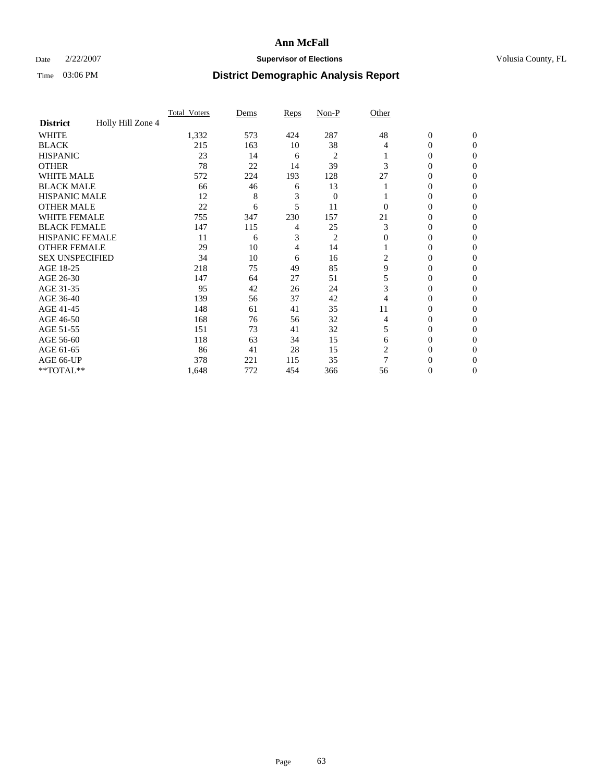### Date  $2/22/2007$  **Supervisor of Elections Supervisor of Elections** Volusia County, FL

|                        |                   | Total Voters | Dems | <b>Reps</b> | Non-P            | Other        |                  |                |
|------------------------|-------------------|--------------|------|-------------|------------------|--------------|------------------|----------------|
| <b>District</b>        | Holly Hill Zone 4 |              |      |             |                  |              |                  |                |
| <b>WHITE</b>           |                   | 1,332        | 573  | 424         | 287              | 48           | $\boldsymbol{0}$ | $\mathbf{0}$   |
| <b>BLACK</b>           |                   | 215          | 163  | 10          | 38               | 4            | $\theta$         | $\Omega$       |
| <b>HISPANIC</b>        |                   | 23           | 14   | 6           | 2                |              | 0                | $\mathbf{0}$   |
| <b>OTHER</b>           |                   | 78           | 22   | 14          | 39               | 3            | $\overline{0}$   | $\Omega$       |
| <b>WHITE MALE</b>      |                   | 572          | 224  | 193         | 128              | 27           | 0                | $\Omega$       |
| <b>BLACK MALE</b>      |                   | 66           | 46   | 6           | 13               |              | 0                | 0              |
| <b>HISPANIC MALE</b>   |                   | 12           | 8    | 3           | $\boldsymbol{0}$ |              | $\overline{0}$   | 0              |
| <b>OTHER MALE</b>      |                   | 22           | 6    | 5           | 11               | $\Omega$     | 0                | 0              |
| <b>WHITE FEMALE</b>    |                   | 755          | 347  | 230         | 157              | 21           | 0                | $\Omega$       |
| <b>BLACK FEMALE</b>    |                   | 147          | 115  | 4           | 25               | 3            | $\overline{0}$   | $\theta$       |
| <b>HISPANIC FEMALE</b> |                   | 11           | 6    | 3           | $\overline{c}$   | $\mathbf{0}$ | 0                | 0              |
| <b>OTHER FEMALE</b>    |                   | 29           | 10   | 4           | 14               |              | 0                | 0              |
| <b>SEX UNSPECIFIED</b> |                   | 34           | 10   | 6           | 16               | 2            | 0                | 0              |
| AGE 18-25              |                   | 218          | 75   | 49          | 85               | 9            | $\mathbf{0}$     | $\mathbf{0}$   |
| AGE 26-30              |                   | 147          | 64   | 27          | 51               | 5            | 0                | $\Omega$       |
| AGE 31-35              |                   | 95           | 42   | 26          | 24               | 3            | $\overline{0}$   | $\overline{0}$ |
| AGE 36-40              |                   | 139          | 56   | 37          | 42               |              | 0                | $\overline{0}$ |
| AGE 41-45              |                   | 148          | 61   | 41          | 35               | 11           | 0                | 0              |
| AGE 46-50              |                   | 168          | 76   | 56          | 32               | 4            | 0                | $\mathbf{0}$   |
| AGE 51-55              |                   | 151          | 73   | 41          | 32               | 5            | 0                | $\Omega$       |
| AGE 56-60              |                   | 118          | 63   | 34          | 15               | 6            | 0                | $\mathbf{0}$   |
| AGE 61-65              |                   | 86           | 41   | 28          | 15               | 2            | $\overline{0}$   | $\overline{0}$ |
| AGE 66-UP              |                   | 378          | 221  | 115         | 35               | 7            | 0                | 0              |
| **TOTAL**              |                   | 1,648        | 772  | 454         | 366              | 56           | 0                | 0              |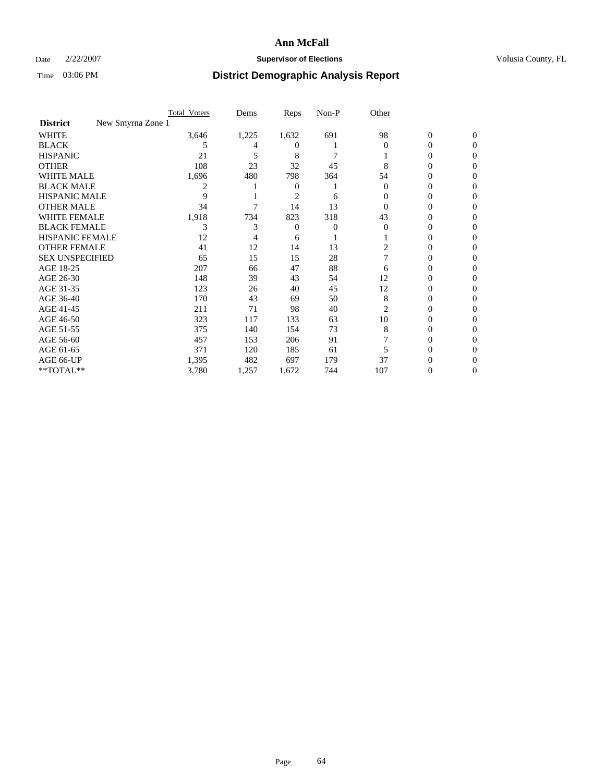### Date  $2/22/2007$  **Supervisor of Elections Supervisor of Elections** Volusia County, FL

|                                      | Total Voters | Dems  | <b>Reps</b> | Non-P | Other    |                |              |  |
|--------------------------------------|--------------|-------|-------------|-------|----------|----------------|--------------|--|
| New Smyrna Zone 1<br><b>District</b> |              |       |             |       |          |                |              |  |
| <b>WHITE</b>                         | 3,646        | 1,225 | 1,632       | 691   | 98       | $\overline{0}$ | $\mathbf{0}$ |  |
| <b>BLACK</b>                         | 5            |       | $^{(1)}$    |       | $\Omega$ | 0              | $\Omega$     |  |
| <b>HISPANIC</b>                      | 21           | 5     | 8           |       |          | 0              | $\Omega$     |  |
| <b>OTHER</b>                         | 108          | 23    | 32          | 45    | 8        | 0              | 0            |  |
| <b>WHITE MALE</b>                    | 1,696        | 480   | 798         | 364   | 54       | 0              | 0            |  |
| <b>BLACK MALE</b>                    | 2            |       | 0           |       | $\theta$ | 0              | 0            |  |
| <b>HISPANIC MALE</b>                 | 9            |       | 2           | 6     |          | 0              |              |  |
| <b>OTHER MALE</b>                    | 34           |       | 14          | 13    |          | 0              | 0            |  |
| WHITE FEMALE                         | 1,918        | 734   | 823         | 318   | 43       | 0              | 0            |  |
| <b>BLACK FEMALE</b>                  | 3            | 3     | 0           | 0     | 0        | 0              | 0            |  |
| <b>HISPANIC FEMALE</b>               | 12           |       | 6           |       |          |                | 0            |  |
| <b>OTHER FEMALE</b>                  | 41           | 12    | 14          | 13    | 2        | 0              | 0            |  |
| <b>SEX UNSPECIFIED</b>               | 65           | 15    | 15          | 28    |          | 0              | 0            |  |
| AGE 18-25                            | 207          | 66    | 47          | 88    | 6        | 0              | $\theta$     |  |
| AGE 26-30                            | 148          | 39    | 43          | 54    | 12       | 0              | $\theta$     |  |
| AGE 31-35                            | 123          | 26    | 40          | 45    | 12       | 0              | 0            |  |
| AGE 36-40                            | 170          | 43    | 69          | 50    | 8        | 0              | 0            |  |
| AGE 41-45                            | 211          | 71    | 98          | 40    | 2        | 0              | 0            |  |
| AGE 46-50                            | 323          | 117   | 133         | 63    | 10       | 0              | 0            |  |
| AGE 51-55                            | 375          | 140   | 154         | 73    | 8        | 0              | $\Omega$     |  |
| AGE 56-60                            | 457          | 153   | 206         | 91    |          | 0              | 0            |  |
| AGE 61-65                            | 371          | 120   | 185         | 61    |          | 0              |              |  |
| AGE 66-UP                            | 1,395        | 482   | 697         | 179   | 37       |                |              |  |
| **TOTAL**                            | 3,780        | 1,257 | 1,672       | 744   | 107      | 0              | 0            |  |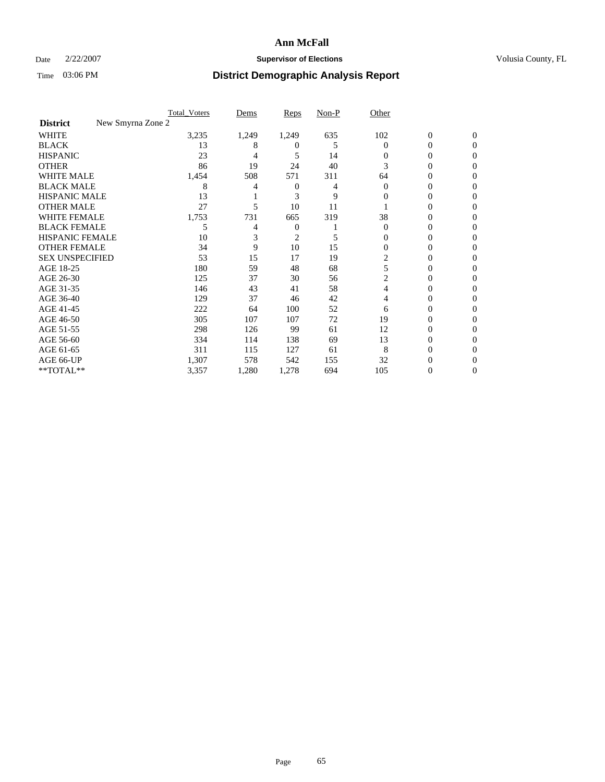### Date  $2/22/2007$  **Supervisor of Elections Supervisor of Elections** Volusia County, FL

|                                      | <b>Total Voters</b> | Dems  | Reps           | Non-P | Other    |                  |              |  |
|--------------------------------------|---------------------|-------|----------------|-------|----------|------------------|--------------|--|
| New Smyrna Zone 2<br><b>District</b> |                     |       |                |       |          |                  |              |  |
| <b>WHITE</b>                         | 3,235               | 1,249 | 1,249          | 635   | 102      | $\boldsymbol{0}$ | $\mathbf{0}$ |  |
| <b>BLACK</b>                         | 13                  | 8     | $^{(1)}$       | 5     | $\Omega$ | 0                | $\mathbf{0}$ |  |
| <b>HISPANIC</b>                      | 23                  | 4     | 5              | 14    | 0        | 0                | $\Omega$     |  |
| <b>OTHER</b>                         | 86                  | 19    | 24             | 40    | 3        | 0                | $\theta$     |  |
| <b>WHITE MALE</b>                    | 1,454               | 508   | 571            | 311   | 64       | 0                | 0            |  |
| <b>BLACK MALE</b>                    | 8                   |       | 0              | 4     | $\Omega$ | 0                | 0            |  |
| <b>HISPANIC MALE</b>                 | 13                  |       | 3              | 9     | 0        | 0                |              |  |
| <b>OTHER MALE</b>                    | 27                  | 5     | 10             | 11    |          | 0                | 0            |  |
| <b>WHITE FEMALE</b>                  | 1,753               | 731   | 665            | 319   | 38       | 0                | 0            |  |
| <b>BLACK FEMALE</b>                  | 5                   | 4     | 0              |       | $\Omega$ | 0                | 0            |  |
| <b>HISPANIC FEMALE</b>               | 10                  |       | $\overline{c}$ | 5     | 0        | 0                | $\Omega$     |  |
| <b>OTHER FEMALE</b>                  | 34                  | 9     | 10             | 15    | $\Omega$ | 0                | $\theta$     |  |
| <b>SEX UNSPECIFIED</b>               | 53                  | 15    | 17             | 19    | 2        | 0                | 0            |  |
| AGE 18-25                            | 180                 | 59    | 48             | 68    | 5        | 0                |              |  |
| AGE 26-30                            | 125                 | 37    | 30             | 56    | 2        | 0                | 0            |  |
| AGE 31-35                            | 146                 | 43    | 41             | 58    | 4        | 0                |              |  |
| AGE 36-40                            | 129                 | 37    | 46             | 42    | 4        | 0                | 0            |  |
| AGE 41-45                            | 222                 | 64    | 100            | 52    | 6        | 0                | 0            |  |
| AGE 46-50                            | 305                 | 107   | 107            | 72    | 19       | 0                | $\Omega$     |  |
| AGE 51-55                            | 298                 | 126   | 99             | 61    | 12       | 0                | $\theta$     |  |
| AGE 56-60                            | 334                 | 114   | 138            | 69    | 13       | 0                | $\theta$     |  |
| AGE 61-65                            | 311                 | 115   | 127            | 61    | 8        | 0                |              |  |
| AGE 66-UP                            | 1,307               | 578   | 542            | 155   | 32       | 0                |              |  |
| **TOTAL**                            | 3,357               | 1,280 | 1,278          | 694   | 105      | 0                | 0            |  |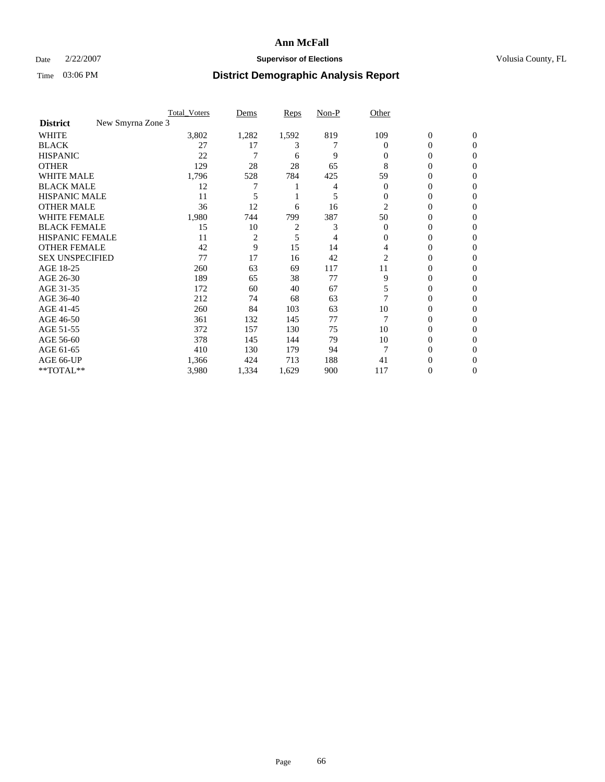### Date  $2/22/2007$  **Supervisor of Elections Supervisor of Elections** Volusia County, FL

|                                      | <b>Total_Voters</b> | Dems  | <b>Reps</b> | Non-P | Other    |                  |              |  |
|--------------------------------------|---------------------|-------|-------------|-------|----------|------------------|--------------|--|
| New Smyrna Zone 3<br><b>District</b> |                     |       |             |       |          |                  |              |  |
| <b>WHITE</b>                         | 3,802               | 1,282 | 1,592       | 819   | 109      | $\boldsymbol{0}$ | $\mathbf{0}$ |  |
| <b>BLACK</b>                         | 27                  | 17    | 3           |       | $\Omega$ | 0                | $\mathbf{0}$ |  |
| <b>HISPANIC</b>                      | 22                  |       | 6           | 9     | 0        | 0                | $\Omega$     |  |
| <b>OTHER</b>                         | 129                 | 28    | 28          | 65    | 8        | 0                | $\Omega$     |  |
| <b>WHITE MALE</b>                    | 1,796               | 528   | 784         | 425   | 59       | 0                | 0            |  |
| <b>BLACK MALE</b>                    | 12                  |       |             |       | $\Omega$ | 0                | 0            |  |
| <b>HISPANIC MALE</b>                 | 11                  |       |             |       | 0        | 0                | 0            |  |
| <b>OTHER MALE</b>                    | 36                  | 12    | 6           | 16    | 2        | 0                | 0            |  |
| <b>WHITE FEMALE</b>                  | 1,980               | 744   | 799         | 387   | 50       | 0                | 0            |  |
| <b>BLACK FEMALE</b>                  | 15                  | 10    | 2           | 3     | $\Omega$ | 0                | 0            |  |
| <b>HISPANIC FEMALE</b>               | 11                  | 2     | 5           | 4     | 0        | 0                | $\Omega$     |  |
| <b>OTHER FEMALE</b>                  | 42                  | 9     | 15          | 14    | 4        | 0                | $\Omega$     |  |
| <b>SEX UNSPECIFIED</b>               | 77                  | 17    | 16          | 42    | 2        | 0                | $\Omega$     |  |
| AGE 18-25                            | 260                 | 63    | 69          | 117   | 11       | 0                | $_{0}$       |  |
| AGE 26-30                            | 189                 | 65    | 38          | 77    | 9        | 0                | 0            |  |
| AGE 31-35                            | 172                 | 60    | 40          | 67    | 5        | 0                | 0            |  |
| AGE 36-40                            | 212                 | 74    | 68          | 63    |          | 0                | 0            |  |
| AGE 41-45                            | 260                 | 84    | 103         | 63    | 10       | 0                | 0            |  |
| AGE 46-50                            | 361                 | 132   | 145         | 77    |          | 0                | $\Omega$     |  |
| AGE 51-55                            | 372                 | 157   | 130         | 75    | 10       | 0                | $\Omega$     |  |
| AGE 56-60                            | 378                 | 145   | 144         | 79    | 10       | 0                | $\Omega$     |  |
| AGE 61-65                            | 410                 | 130   | 179         | 94    | 7        | 0                | 0            |  |
| AGE 66-UP                            | 1,366               | 424   | 713         | 188   | 41       | $_{0}$           |              |  |
| **TOTAL**                            | 3,980               | 1,334 | 1,629       | 900   | 117      | 0                | 0            |  |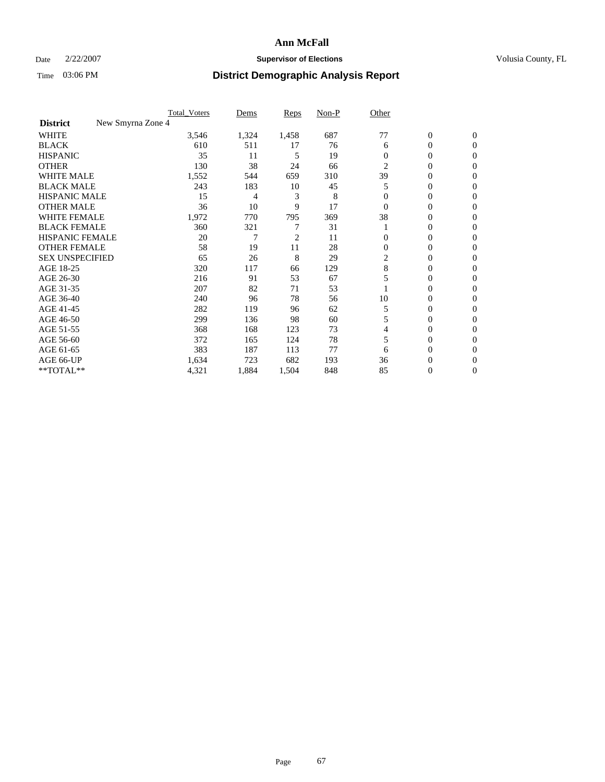### Date  $2/22/2007$  **Supervisor of Elections Supervisor of Elections** Volusia County, FL

|                                      | Total Voters | Dems  | <b>Reps</b> | Non-P | Other          |                  |                |  |
|--------------------------------------|--------------|-------|-------------|-------|----------------|------------------|----------------|--|
| New Smyrna Zone 4<br><b>District</b> |              |       |             |       |                |                  |                |  |
| <b>WHITE</b>                         | 3,546        | 1,324 | 1,458       | 687   | 77             | $\boldsymbol{0}$ | $\mathbf{0}$   |  |
| <b>BLACK</b>                         | 610          | 511   | 17          | 76    | 6              | 0                | $\mathbf{0}$   |  |
| <b>HISPANIC</b>                      | 35           | 11    | 5           | 19    | $\Omega$       | 0                | $\overline{0}$ |  |
| <b>OTHER</b>                         | 130          | 38    | 24          | 66    | $\overline{2}$ | $\overline{0}$   | $\Omega$       |  |
| <b>WHITE MALE</b>                    | 1,552        | 544   | 659         | 310   | 39             | 0                | $\Omega$       |  |
| <b>BLACK MALE</b>                    | 243          | 183   | 10          | 45    | 5              | 0                | $\Omega$       |  |
| <b>HISPANIC MALE</b>                 | 15           | 4     | 3           | 8     |                | 0                | 0              |  |
| <b>OTHER MALE</b>                    | 36           | 10    | 9           | 17    | $\Omega$       | 0                | 0              |  |
| <b>WHITE FEMALE</b>                  | 1,972        | 770   | 795         | 369   | 38             | 0                | 0              |  |
| <b>BLACK FEMALE</b>                  | 360          | 321   |             | 31    |                | 0                | $\mathbf{0}$   |  |
| <b>HISPANIC FEMALE</b>               | 20           | 7     | 2           | 11    | 0              | 0                | $\Omega$       |  |
| <b>OTHER FEMALE</b>                  | 58           | 19    | 11          | 28    | $\Omega$       | 0                | $\Omega$       |  |
| <b>SEX UNSPECIFIED</b>               | 65           | 26    | 8           | 29    | 2              | 0                | $\Omega$       |  |
| AGE 18-25                            | 320          | 117   | 66          | 129   | 8              | 0                | 0              |  |
| AGE 26-30                            | 216          | 91    | 53          | 67    |                | 0                | $\Omega$       |  |
| AGE 31-35                            | 207          | 82    | 71          | 53    |                | 0                | 0              |  |
| AGE 36-40                            | 240          | 96    | 78          | 56    | 10             | 0                | 0              |  |
| AGE 41-45                            | 282          | 119   | 96          | 62    | 5              | 0                | 0              |  |
| AGE 46-50                            | 299          | 136   | 98          | 60    | 5              | 0                | $\mathbf{0}$   |  |
| AGE 51-55                            | 368          | 168   | 123         | 73    | 4              | 0                | $\Omega$       |  |
| AGE 56-60                            | 372          | 165   | 124         | 78    | 5              | 0                | $\Omega$       |  |
| AGE 61-65                            | 383          | 187   | 113         | 77    | 6              | 0                | 0              |  |
| AGE 66-UP                            | 1,634        | 723   | 682         | 193   | 36             | 0                | $_{0}$         |  |
| **TOTAL**                            | 4,321        | 1,884 | 1,504       | 848   | 85             | 0                | $\overline{0}$ |  |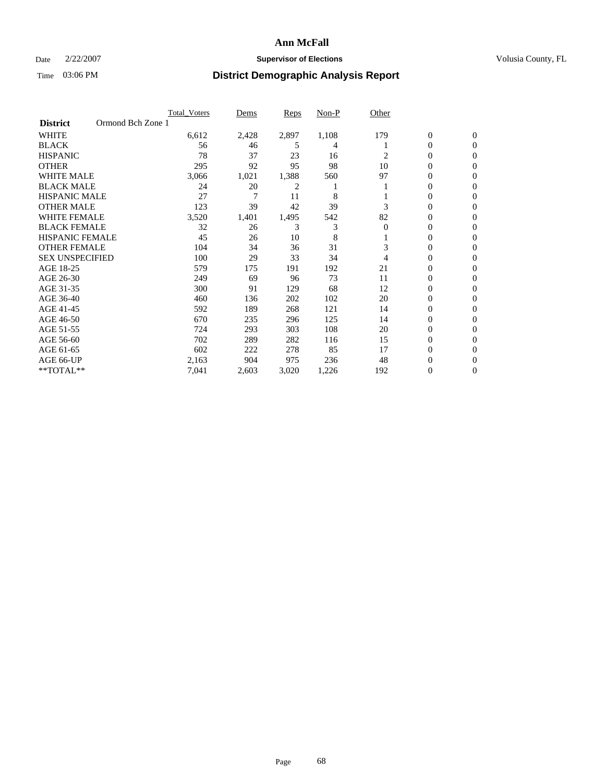### Date  $2/22/2007$  **Supervisor of Elections Supervisor of Elections** Volusia County, FL

|                        | <b>Total Voters</b> | Dems  | Reps  | Non-P | Other    |                  |                  |  |
|------------------------|---------------------|-------|-------|-------|----------|------------------|------------------|--|
| <b>District</b>        | Ormond Bch Zone 1   |       |       |       |          |                  |                  |  |
| <b>WHITE</b>           | 6,612               | 2,428 | 2,897 | 1,108 | 179      | $\boldsymbol{0}$ | $\mathbf{0}$     |  |
| <b>BLACK</b>           | 56                  | 46    | 5     | 4     |          | 0                | $\mathbf{0}$     |  |
| <b>HISPANIC</b>        | 78                  | 37    | 23    | 16    | 2        | 0                | $\mathbf{0}$     |  |
| <b>OTHER</b>           | 295                 | 92    | 95    | 98    | 10       | 0                | $\overline{0}$   |  |
| <b>WHITE MALE</b>      | 3,066               | 1,021 | 1,388 | 560   | 97       | 0                | $\mathbf{0}$     |  |
| <b>BLACK MALE</b>      | 24                  | 20    | 2     |       |          | 0                | $\mathbf{0}$     |  |
| <b>HISPANIC MALE</b>   | 27                  | 7     | 11    | 8     |          | 0                | $\Omega$         |  |
| <b>OTHER MALE</b>      | 123                 | 39    | 42    | 39    | 3        | 0                | 0                |  |
| <b>WHITE FEMALE</b>    | 3,520               | 1,401 | 1,495 | 542   | 82       | 0                | $\Omega$         |  |
| <b>BLACK FEMALE</b>    | 32                  | 26    | 3     | 3     | $\Omega$ | 0                | $\mathbf{0}$     |  |
| <b>HISPANIC FEMALE</b> | 45                  | 26    | 10    | 8     |          | 0                | $\mathbf{0}$     |  |
| <b>OTHER FEMALE</b>    | 104                 | 34    | 36    | 31    | 3        | 0                | $\boldsymbol{0}$ |  |
| <b>SEX UNSPECIFIED</b> | 100                 | 29    | 33    | 34    | 4        | 0                | $\mathbf{0}$     |  |
| AGE 18-25              | 579                 | 175   | 191   | 192   | 21       | 0                | 0                |  |
| AGE 26-30              | 249                 | 69    | 96    | 73    | 11       | 0                | $\Omega$         |  |
| AGE 31-35              | 300                 | 91    | 129   | 68    | 12       | 0                | 0                |  |
| AGE 36-40              | 460                 | 136   | 202   | 102   | 20       | 0                | $\mathbf{0}$     |  |
| AGE 41-45              | 592                 | 189   | 268   | 121   | 14       | 0                | $\mathbf{0}$     |  |
| AGE 46-50              | 670                 | 235   | 296   | 125   | 14       | 0                | $\mathbf{0}$     |  |
| AGE 51-55              | 724                 | 293   | 303   | 108   | 20       | 0                | $\mathbf{0}$     |  |
| AGE 56-60              | 702                 | 289   | 282   | 116   | 15       | 0                | $\mathbf{0}$     |  |
| AGE 61-65              | 602                 | 222   | 278   | 85    | 17       | 0                | $\Omega$         |  |
| AGE 66-UP              | 2,163               | 904   | 975   | 236   | 48       | 0                | 0                |  |
| **TOTAL**              | 7,041               | 2,603 | 3,020 | 1,226 | 192      | 0                | 0                |  |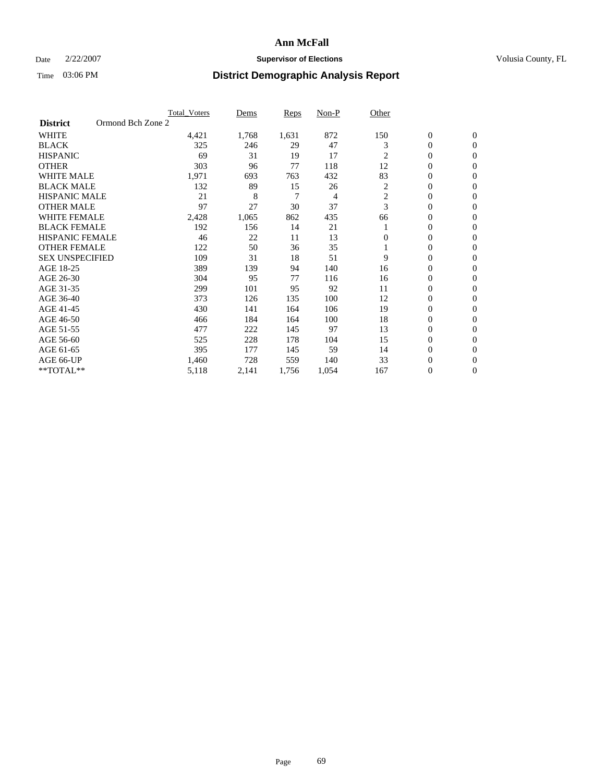### Date  $2/22/2007$  **Supervisor of Elections Supervisor of Elections** Volusia County, FL

|                        | <b>Total Voters</b> | Dems  | Reps  | Non-P | Other          |                  |                  |  |
|------------------------|---------------------|-------|-------|-------|----------------|------------------|------------------|--|
| <b>District</b>        | Ormond Bch Zone 2   |       |       |       |                |                  |                  |  |
| <b>WHITE</b>           | 4,421               | 1,768 | 1,631 | 872   | 150            | $\boldsymbol{0}$ | $\mathbf{0}$     |  |
| <b>BLACK</b>           | 325                 | 246   | 29    | 47    | 3              | $\mathbf{0}$     | $\mathbf{0}$     |  |
| <b>HISPANIC</b>        | 69                  | 31    | 19    | 17    | $\overline{c}$ | $\mathbf{0}$     | $\mathbf{0}$     |  |
| <b>OTHER</b>           | 303                 | 96    | 77    | 118   | 12             | 0                | $\overline{0}$   |  |
| <b>WHITE MALE</b>      | 1,971               | 693   | 763   | 432   | 83             | 0                | $\mathbf{0}$     |  |
| <b>BLACK MALE</b>      | 132                 | 89    | 15    | 26    | 2              | 0                | $\mathbf{0}$     |  |
| <b>HISPANIC MALE</b>   | 21                  | 8     | 7     | 4     | 2              | 0                | $\Omega$         |  |
| <b>OTHER MALE</b>      | 97                  | 27    | 30    | 37    | 3              | 0                | $\mathbf{0}$     |  |
| <b>WHITE FEMALE</b>    | 2,428               | 1,065 | 862   | 435   | 66             | 0                | $\Omega$         |  |
| <b>BLACK FEMALE</b>    | 192                 | 156   | 14    | 21    |                | $\mathbf{0}$     | $\mathbf{0}$     |  |
| <b>HISPANIC FEMALE</b> | 46                  | 22    | 11    | 13    | $\Omega$       | 0                | $\mathbf{0}$     |  |
| <b>OTHER FEMALE</b>    | 122                 | 50    | 36    | 35    |                | 0                | $\overline{0}$   |  |
| <b>SEX UNSPECIFIED</b> | 109                 | 31    | 18    | 51    | 9              | 0                | $\overline{0}$   |  |
| AGE 18-25              | 389                 | 139   | 94    | 140   | 16             | 0                | $\overline{0}$   |  |
| AGE 26-30              | 304                 | 95    | 77    | 116   | 16             | 0                | $\overline{0}$   |  |
| AGE 31-35              | 299                 | 101   | 95    | 92    | 11             | 0                | $\overline{0}$   |  |
| AGE 36-40              | 373                 | 126   | 135   | 100   | 12             | $\mathbf{0}$     | $\mathbf{0}$     |  |
| AGE 41-45              | 430                 | 141   | 164   | 106   | 19             | 0                | $\overline{0}$   |  |
| AGE 46-50              | 466                 | 184   | 164   | 100   | 18             | $\mathbf{0}$     | $\mathbf{0}$     |  |
| AGE 51-55              | 477                 | 222   | 145   | 97    | 13             | 0                | $\mathbf{0}$     |  |
| AGE 56-60              | 525                 | 228   | 178   | 104   | 15             | 0                | $\overline{0}$   |  |
| AGE 61-65              | 395                 | 177   | 145   | 59    | 14             | 0                | $\overline{0}$   |  |
| AGE 66-UP              | 1,460               | 728   | 559   | 140   | 33             | 0                | 0                |  |
| **TOTAL**              | 5,118               | 2,141 | 1,756 | 1,054 | 167            | 0                | $\boldsymbol{0}$ |  |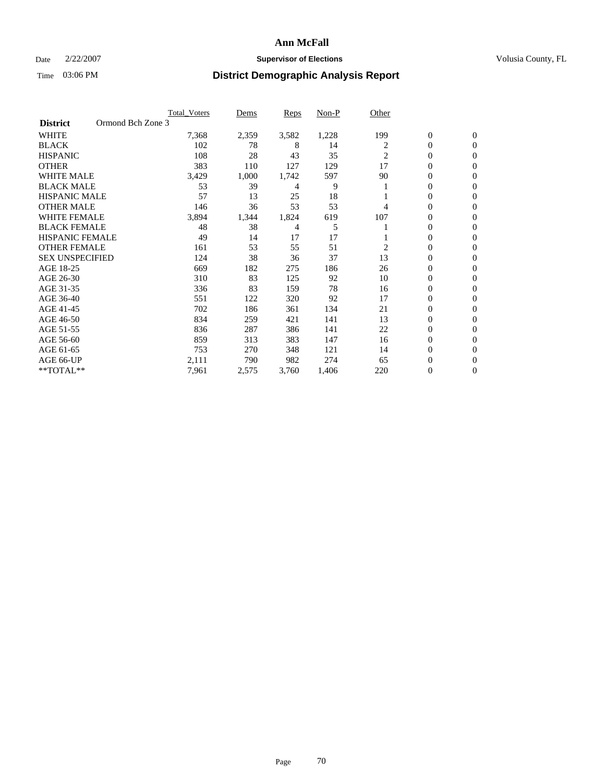### Date  $2/22/2007$  **Supervisor of Elections Supervisor of Elections** Volusia County, FL

|                        | <b>Total Voters</b> | Dems  | Reps  | Non-P | Other          |                  |                  |  |
|------------------------|---------------------|-------|-------|-------|----------------|------------------|------------------|--|
| <b>District</b>        | Ormond Bch Zone 3   |       |       |       |                |                  |                  |  |
| <b>WHITE</b>           | 7,368               | 2,359 | 3,582 | 1,228 | 199            | $\boldsymbol{0}$ | $\mathbf{0}$     |  |
| <b>BLACK</b>           | 102                 | 78    | 8     | 14    | 2              | 0                | $\mathbf{0}$     |  |
| <b>HISPANIC</b>        | 108                 | 28    | 43    | 35    | 2              | 0                | $\mathbf{0}$     |  |
| <b>OTHER</b>           | 383                 | 110   | 127   | 129   | 17             | 0                | $\overline{0}$   |  |
| <b>WHITE MALE</b>      | 3,429               | 1,000 | 1,742 | 597   | 90             | 0                | $\overline{0}$   |  |
| <b>BLACK MALE</b>      | 53                  | 39    | 4     | 9     |                | 0                | $\overline{0}$   |  |
| <b>HISPANIC MALE</b>   | 57                  | 13    | 25    | 18    |                | 0                | $\Omega$         |  |
| <b>OTHER MALE</b>      | 146                 | 36    | 53    | 53    | 4              | 0                | 0                |  |
| <b>WHITE FEMALE</b>    | 3,894               | 1,344 | 1,824 | 619   | 107            | 0                | $\Omega$         |  |
| <b>BLACK FEMALE</b>    | 48                  | 38    | 4     | 5     |                | 0                | $\mathbf{0}$     |  |
| <b>HISPANIC FEMALE</b> | 49                  | 14    | 17    | 17    |                | 0                | $\mathbf{0}$     |  |
| <b>OTHER FEMALE</b>    | 161                 | 53    | 55    | 51    | $\overline{2}$ | 0                | $\overline{0}$   |  |
| <b>SEX UNSPECIFIED</b> | 124                 | 38    | 36    | 37    | 13             | 0                | $\overline{0}$   |  |
| AGE 18-25              | 669                 | 182   | 275   | 186   | 26             | 0                | $\overline{0}$   |  |
| AGE 26-30              | 310                 | 83    | 125   | 92    | 10             | 0                | $\overline{0}$   |  |
| AGE 31-35              | 336                 | 83    | 159   | 78    | 16             | 0                | 0                |  |
| AGE 36-40              | 551                 | 122   | 320   | 92    | 17             | 0                | $\overline{0}$   |  |
| AGE 41-45              | 702                 | 186   | 361   | 134   | 21             | 0                | $\overline{0}$   |  |
| AGE 46-50              | 834                 | 259   | 421   | 141   | 13             | 0                | $\mathbf{0}$     |  |
| AGE 51-55              | 836                 | 287   | 386   | 141   | 22             | 0                | $\mathbf{0}$     |  |
| AGE 56-60              | 859                 | 313   | 383   | 147   | 16             | 0                | $\overline{0}$   |  |
| AGE 61-65              | 753                 | 270   | 348   | 121   | 14             | 0                | $\overline{0}$   |  |
| AGE 66-UP              | 2,111               | 790   | 982   | 274   | 65             | 0                | 0                |  |
| **TOTAL**              | 7,961               | 2,575 | 3,760 | 1,406 | 220            | 0                | $\boldsymbol{0}$ |  |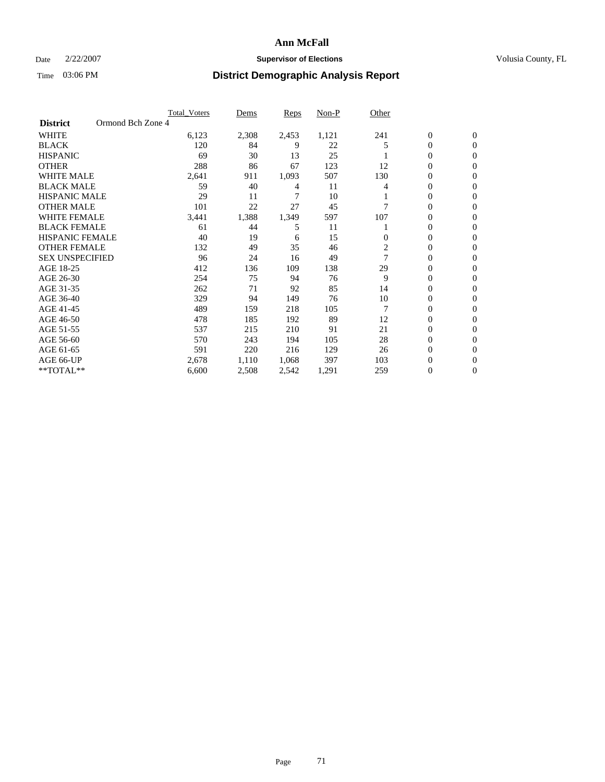### Date  $2/22/2007$  **Supervisor of Elections Supervisor of Elections** Volusia County, FL

|                        |                   | <b>Total_Voters</b> | Dems  | Reps  | Non-P | Other          |                  |                |
|------------------------|-------------------|---------------------|-------|-------|-------|----------------|------------------|----------------|
| <b>District</b>        | Ormond Bch Zone 4 |                     |       |       |       |                |                  |                |
| <b>WHITE</b>           |                   | 6,123               | 2,308 | 2,453 | 1,121 | 241            | $\overline{0}$   | $\mathbf{0}$   |
| <b>BLACK</b>           |                   | 120                 | 84    | 9     | 22    | 5              | $\overline{0}$   | $\mathbf{0}$   |
| <b>HISPANIC</b>        |                   | 69                  | 30    | 13    | 25    |                | 0                | $\Omega$       |
| <b>OTHER</b>           |                   | 288                 | 86    | 67    | 123   | 12             | 0                | 0              |
| <b>WHITE MALE</b>      |                   | 2,641               | 911   | 1,093 | 507   | 130            | 0                | $\overline{0}$ |
| <b>BLACK MALE</b>      |                   | 59                  | 40    | 4     | 11    | 4              | 0                | $\mathbf{0}$   |
| <b>HISPANIC MALE</b>   |                   | 29                  | 11    | 7     | 10    |                | 0                | $\Omega$       |
| <b>OTHER MALE</b>      |                   | 101                 | 22    | 27    | 45    |                | $\overline{0}$   | $\mathbf{0}$   |
| <b>WHITE FEMALE</b>    |                   | 3,441               | 1,388 | 1,349 | 597   | 107            | 0                | $\mathbf{0}$   |
| <b>BLACK FEMALE</b>    |                   | 61                  | 44    | 5     | 11    |                | 0                | $\overline{0}$ |
| <b>HISPANIC FEMALE</b> |                   | 40                  | 19    | 6     | 15    | $\bf{0}$       | 0                | $\mathbf{0}$   |
| <b>OTHER FEMALE</b>    |                   | 132                 | 49    | 35    | 46    | $\overline{c}$ | $\overline{0}$   | 0              |
| <b>SEX UNSPECIFIED</b> |                   | 96                  | 24    | 16    | 49    | 7              | $\overline{0}$   | $\mathbf{0}$   |
| AGE 18-25              |                   | 412                 | 136   | 109   | 138   | 29             | 0                | $\Omega$       |
| AGE 26-30              |                   | 254                 | 75    | 94    | 76    | 9              | $\overline{0}$   | $\mathbf{0}$   |
| AGE 31-35              |                   | 262                 | 71    | 92    | 85    | 14             | 0                | $\mathbf{0}$   |
| AGE 36-40              |                   | 329                 | 94    | 149   | 76    | 10             | $\boldsymbol{0}$ | $\Omega$       |
| AGE 41-45              |                   | 489                 | 159   | 218   | 105   |                | $\overline{0}$   | 0              |
| AGE 46-50              |                   | 478                 | 185   | 192   | 89    | 12             | 0                | $\Omega$       |
| AGE 51-55              |                   | 537                 | 215   | 210   | 91    | 21             | $\boldsymbol{0}$ | $\mathbf{0}$   |
| AGE 56-60              |                   | 570                 | 243   | 194   | 105   | 28             | $\overline{0}$   | $\Omega$       |
| AGE 61-65              |                   | 591                 | 220   | 216   | 129   | 26             | $\overline{0}$   | $\Omega$       |
| AGE 66-UP              |                   | 2,678               | 1,110 | 1,068 | 397   | 103            | 0                | $\mathbf{0}$   |
| **TOTAL**              |                   | 6,600               | 2,508 | 2,542 | 1,291 | 259            | 0                | $\overline{0}$ |
|                        |                   |                     |       |       |       |                |                  |                |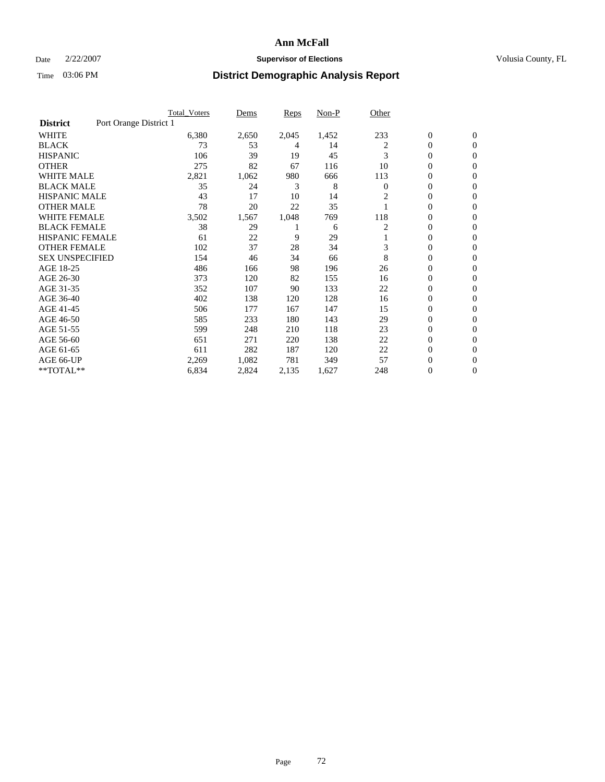### Date  $2/22/2007$  **Supervisor of Elections Supervisor of Elections** Volusia County, FL

|                        |                        | Total Voters | Dems  | <b>Reps</b> | Non-P | Other    |                  |                |
|------------------------|------------------------|--------------|-------|-------------|-------|----------|------------------|----------------|
| <b>District</b>        | Port Orange District 1 |              |       |             |       |          |                  |                |
| <b>WHITE</b>           |                        | 6,380        | 2,650 | 2,045       | 1,452 | 233      | $\boldsymbol{0}$ | $\mathbf{0}$   |
| <b>BLACK</b>           |                        | 73           | 53    | 4           | 14    | 2        | $\overline{0}$   | $\mathbf{0}$   |
| <b>HISPANIC</b>        |                        | 106          | 39    | 19          | 45    | 3        | $\overline{0}$   | $\mathbf{0}$   |
| <b>OTHER</b>           |                        | 275          | 82    | 67          | 116   | 10       | 0                | $\mathbf{0}$   |
| <b>WHITE MALE</b>      |                        | 2,821        | 1,062 | 980         | 666   | 113      | 0                | $\mathbf{0}$   |
| <b>BLACK MALE</b>      |                        | 35           | 24    | 3           | 8     | $\Omega$ | $\boldsymbol{0}$ | $\mathbf{0}$   |
| <b>HISPANIC MALE</b>   |                        | 43           | 17    | 10          | 14    |          | $\overline{0}$   | $\mathbf{0}$   |
| <b>OTHER MALE</b>      |                        | 78           | 20    | 22          | 35    |          | $\overline{0}$   | $\mathbf{0}$   |
| <b>WHITE FEMALE</b>    |                        | 3,502        | 1,567 | 1,048       | 769   | 118      | 0                | $\mathbf{0}$   |
| <b>BLACK FEMALE</b>    |                        | 38           | 29    |             | 6     | 2        | $\overline{0}$   | $\mathbf{0}$   |
| <b>HISPANIC FEMALE</b> |                        | 61           | 22    | 9           | 29    |          | 0                | $\mathbf{0}$   |
| <b>OTHER FEMALE</b>    |                        | 102          | 37    | 28          | 34    | 3        | 0                | $\mathbf{0}$   |
| <b>SEX UNSPECIFIED</b> |                        | 154          | 46    | 34          | 66    | 8        | $\overline{0}$   | $\mathbf{0}$   |
| AGE 18-25              |                        | 486          | 166   | 98          | 196   | 26       | 0                | $\Omega$       |
| AGE 26-30              |                        | 373          | 120   | 82          | 155   | 16       | $\overline{0}$   | $\mathbf{0}$   |
| AGE 31-35              |                        | 352          | 107   | 90          | 133   | 22       | $\overline{0}$   | $\mathbf{0}$   |
| AGE 36-40              |                        | 402          | 138   | 120         | 128   | 16       | $\boldsymbol{0}$ | $\mathbf{0}$   |
| AGE 41-45              |                        | 506          | 177   | 167         | 147   | 15       | $\boldsymbol{0}$ | $\mathbf{0}$   |
| AGE 46-50              |                        | 585          | 233   | 180         | 143   | 29       | 0                | $\Omega$       |
| AGE 51-55              |                        | 599          | 248   | 210         | 118   | 23       | $\boldsymbol{0}$ | $\mathbf{0}$   |
| AGE 56-60              |                        | 651          | 271   | 220         | 138   | 22       | $\overline{0}$   | $\mathbf{0}$   |
| AGE 61-65              |                        | 611          | 282   | 187         | 120   | 22       | $\mathbf{0}$     | $\mathbf{0}$   |
| AGE 66-UP              |                        | 2,269        | 1,082 | 781         | 349   | 57       | 0                | $\mathbf{0}$   |
| **TOTAL**              |                        | 6,834        | 2,824 | 2,135       | 1,627 | 248      | 0                | $\overline{0}$ |
|                        |                        |              |       |             |       |          |                  |                |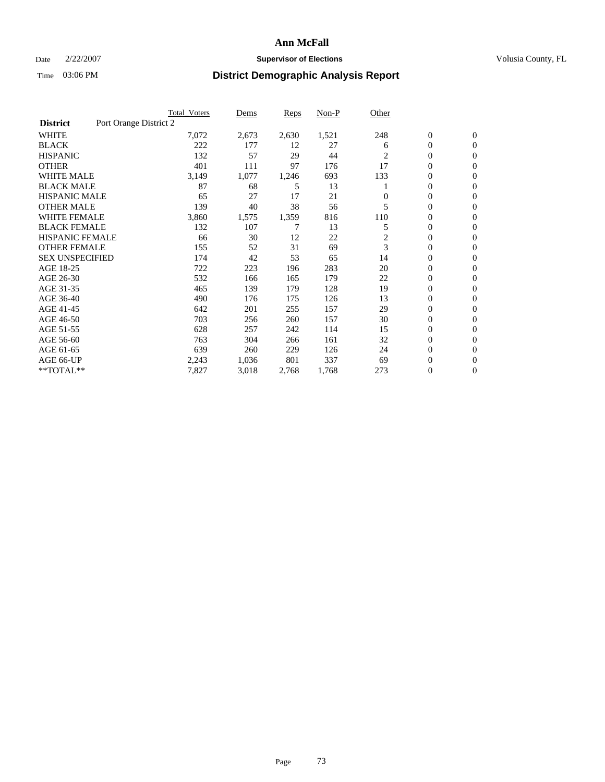### **Ann McFall**

#### Date  $2/22/2007$  **Supervisor of Elections** Volusia County, FL

# Time 03:06 PM **District Demographic Analysis Report**

|                        | <b>Total Voters</b>    | Dems  | Reps  | Non-P | Other    |                  |                  |  |
|------------------------|------------------------|-------|-------|-------|----------|------------------|------------------|--|
| <b>District</b>        | Port Orange District 2 |       |       |       |          |                  |                  |  |
| <b>WHITE</b>           | 7,072                  | 2,673 | 2,630 | 1,521 | 248      | $\boldsymbol{0}$ | $\mathbf{0}$     |  |
| <b>BLACK</b>           | 222                    | 177   | 12    | 27    | 6        | 0                | $\mathbf{0}$     |  |
| <b>HISPANIC</b>        | 132                    | 57    | 29    | 44    | 2        | 0                | $\mathbf{0}$     |  |
| <b>OTHER</b>           | 401                    | 111   | 97    | 176   | 17       | 0                | $\mathbf{0}$     |  |
| <b>WHITE MALE</b>      | 3,149                  | 1,077 | 1,246 | 693   | 133      | 0                | $\mathbf{0}$     |  |
| <b>BLACK MALE</b>      | 87                     | 68    | 5     | 13    |          | 0                | $\mathbf{0}$     |  |
| <b>HISPANIC MALE</b>   | 65                     | 27    | 17    | 21    | $\Omega$ | 0                | $\mathbf{0}$     |  |
| <b>OTHER MALE</b>      | 139                    | 40    | 38    | 56    | 5        | $\mathbf{0}$     | $\mathbf{0}$     |  |
| <b>WHITE FEMALE</b>    | 3,860                  | 1,575 | 1,359 | 816   | 110      | 0                | $\mathbf{0}$     |  |
| <b>BLACK FEMALE</b>    | 132                    | 107   | 7     | 13    | 5        | $\mathbf{0}$     | $\mathbf{0}$     |  |
| <b>HISPANIC FEMALE</b> | 66                     | 30    | 12    | 22    | 2        | 0                | $\mathbf{0}$     |  |
| <b>OTHER FEMALE</b>    | 155                    | 52    | 31    | 69    | 3        | 0                | $\mathbf{0}$     |  |
| <b>SEX UNSPECIFIED</b> | 174                    | 42    | 53    | 65    | 14       | 0                | 0                |  |
| AGE 18-25              | 722                    | 223   | 196   | 283   | 20       | 0                | $\mathbf{0}$     |  |
| AGE 26-30              | 532                    | 166   | 165   | 179   | 22       | $\mathbf{0}$     | $\mathbf{0}$     |  |
| AGE 31-35              | 465                    | 139   | 179   | 128   | 19       | 0                | $\mathbf{0}$     |  |
| AGE 36-40              | 490                    | 176   | 175   | 126   | 13       | 0                | $\mathbf{0}$     |  |
| AGE 41-45              | 642                    | 201   | 255   | 157   | 29       | 0                | $\mathbf{0}$     |  |
| AGE 46-50              | 703                    | 256   | 260   | 157   | 30       | 0                | $\mathbf{0}$     |  |
| AGE 51-55              | 628                    | 257   | 242   | 114   | 15       | $\boldsymbol{0}$ | $\boldsymbol{0}$ |  |
| AGE 56-60              | 763                    | 304   | 266   | 161   | 32       | 0                | $\mathbf{0}$     |  |
| AGE 61-65              | 639                    | 260   | 229   | 126   | 24       | $\overline{0}$   | $\mathbf{0}$     |  |
| AGE 66-UP              | 2,243                  | 1,036 | 801   | 337   | 69       | 0                | $\boldsymbol{0}$ |  |
| **TOTAL**              | 7,827                  | 3,018 | 2,768 | 1,768 | 273      | 0                | $\boldsymbol{0}$ |  |
|                        |                        |       |       |       |          |                  |                  |  |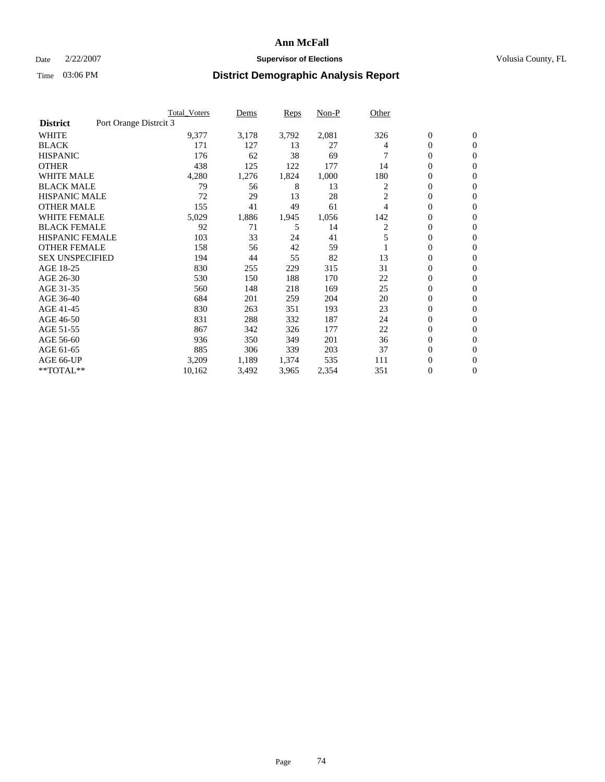### **Ann McFall**

### Date  $2/22/2007$  **Supervisor of Elections Supervisor of Elections** Volusia County, FL

### Time 03:06 PM **District Demographic Analysis Report**

|                                           | <b>Total_Voters</b> | Dems  | <b>Reps</b> | Non-P | Other |                  |                  |  |
|-------------------------------------------|---------------------|-------|-------------|-------|-------|------------------|------------------|--|
| Port Orange Distrcit 3<br><b>District</b> |                     |       |             |       |       |                  |                  |  |
| <b>WHITE</b>                              | 9,377               | 3,178 | 3,792       | 2,081 | 326   | $\boldsymbol{0}$ | $\mathbf{0}$     |  |
| <b>BLACK</b>                              | 171                 | 127   | 13          | 27    | 4     | $\overline{0}$   | $\mathbf{0}$     |  |
| <b>HISPANIC</b>                           | 176                 | 62    | 38          | 69    |       | $\overline{0}$   | $\mathbf{0}$     |  |
| <b>OTHER</b>                              | 438                 | 125   | 122         | 177   | 14    | 0                | $\overline{0}$   |  |
| <b>WHITE MALE</b>                         | 4,280               | 1,276 | 1,824       | 1,000 | 180   | 0                | $\mathbf{0}$     |  |
| <b>BLACK MALE</b>                         | 79                  | 56    | 8           | 13    | 2     | $\boldsymbol{0}$ | $\mathbf{0}$     |  |
| <b>HISPANIC MALE</b>                      | 72                  | 29    | 13          | 28    | 2     | 0                | $\Omega$         |  |
| <b>OTHER MALE</b>                         | 155                 | 41    | 49          | 61    | 4     | 0                | $\mathbf{0}$     |  |
| <b>WHITE FEMALE</b>                       | 5,029               | 1,886 | 1,945       | 1,056 | 142   | 0                | $\Omega$         |  |
| <b>BLACK FEMALE</b>                       | 92                  | 71    | 5           | 14    | 2     | $\overline{0}$   | $\mathbf{0}$     |  |
| <b>HISPANIC FEMALE</b>                    | 103                 | 33    | 24          | 41    |       | 0                | $\mathbf{0}$     |  |
| <b>OTHER FEMALE</b>                       | 158                 | 56    | 42          | 59    |       | 0                | $\mathbf{0}$     |  |
| <b>SEX UNSPECIFIED</b>                    | 194                 | 44    | 55          | 82    | 13    | $\boldsymbol{0}$ | $\mathbf{0}$     |  |
| AGE 18-25                                 | 830                 | 255   | 229         | 315   | 31    | $\overline{0}$   | $\mathbf{0}$     |  |
| AGE 26-30                                 | 530                 | 150   | 188         | 170   | 22    | $\boldsymbol{0}$ | $\mathbf{0}$     |  |
| AGE 31-35                                 | 560                 | 148   | 218         | 169   | 25    | 0                | $\mathbf{0}$     |  |
| AGE 36-40                                 | 684                 | 201   | 259         | 204   | 20    | $\boldsymbol{0}$ | $\mathbf{0}$     |  |
| AGE 41-45                                 | 830                 | 263   | 351         | 193   | 23    | $\mathbf{0}$     | $\mathbf{0}$     |  |
| AGE 46-50                                 | 831                 | 288   | 332         | 187   | 24    | $\overline{0}$   | $\mathbf{0}$     |  |
| AGE 51-55                                 | 867                 | 342   | 326         | 177   | 22    | 0                | $\mathbf{0}$     |  |
| AGE 56-60                                 | 936                 | 350   | 349         | 201   | 36    | $\boldsymbol{0}$ | $\mathbf{0}$     |  |
| AGE 61-65                                 | 885                 | 306   | 339         | 203   | 37    | 0                | $\mathbf{0}$     |  |
| AGE 66-UP                                 | 3,209               | 1,189 | 1,374       | 535   | 111   | 0                | 0                |  |
| **TOTAL**                                 | 10,162              | 3,492 | 3,965       | 2,354 | 351   | 0                | $\boldsymbol{0}$ |  |